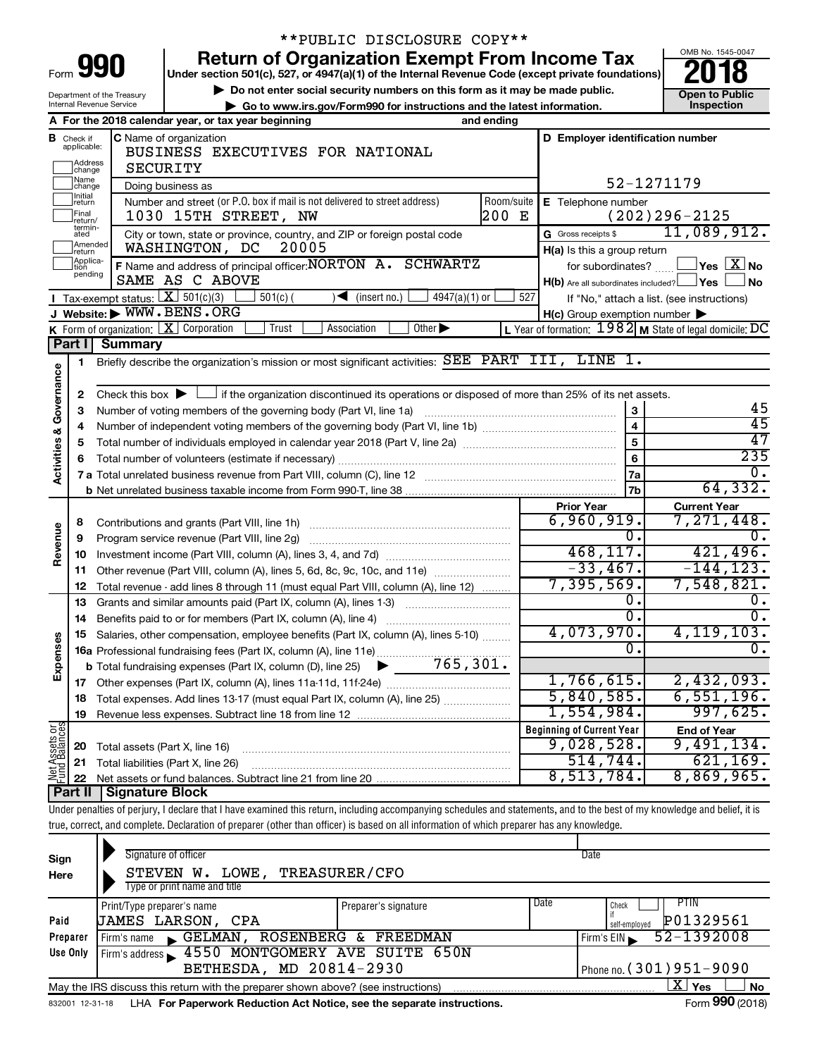| Form<br>в |  |  |
|-----------|--|--|

Department of the Treasury Internal Revenue Service

## \*\*PUBLIC DISCLOSURE COPY\*\*

**990** Return of Organization Exempt From Income Tax **Punce 1845-004 Puncer section 501(c), 527, or 4947(a)(1)** of the Internal Revenue Code (except private foundations) **2018** 

▶ Do not enter social security numbers on this form as it may be made public. <br>**● Go to www.irs.gov/Form990 for instructions and the latest information.** Inspection **| Go to www.irs.gov/Form990 for instructions and the latest information. Inspection**



|                                |                                               | A For the 2018 calendar year, or tax year beginning                                                                                         | and ending |                                                     |                                                           |  |  |
|--------------------------------|-----------------------------------------------|---------------------------------------------------------------------------------------------------------------------------------------------|------------|-----------------------------------------------------|-----------------------------------------------------------|--|--|
| В                              | Check if<br>applicable:<br>Address<br>]change | <b>C</b> Name of organization<br>BUSINESS EXECUTIVES FOR NATIONAL<br>SECURITY                                                               |            | D Employer identification number                    |                                                           |  |  |
|                                | Mame<br>]change                               | Doing business as                                                                                                                           | 52-1271179 |                                                     |                                                           |  |  |
|                                | Initial<br>return                             | Number and street (or P.O. box if mail is not delivered to street address)                                                                  | Room/suite | E Telephone number                                  |                                                           |  |  |
|                                | Final<br>return/                              | 1030 15TH STREET, NW                                                                                                                        | 200 E      |                                                     | $(202)296 - 2125$                                         |  |  |
|                                | termin-<br>ated                               | City or town, state or province, country, and ZIP or foreign postal code                                                                    |            | G Gross receipts \$                                 | 11,089,912.                                               |  |  |
|                                | Amended<br>return                             | WASHINGTON, DC<br>20005                                                                                                                     |            | H(a) Is this a group return                         |                                                           |  |  |
|                                | Applica-<br>Ition<br>pending                  | F Name and address of principal officer: NORTON A. SCHWARTZ                                                                                 |            | for subordinates?                                   | $\Box$ Yes $\Box X$ No                                    |  |  |
|                                |                                               | SAME AS C ABOVE                                                                                                                             |            | $H(b)$ Are all subordinates included? $\Box$ Yes    | <b>No</b>                                                 |  |  |
|                                |                                               | <b>I</b> Tax-exempt status: $X \ 501(c)(3)$<br>$501(c)$ (<br>$\sqrt{\bullet}$ (insert no.)<br>$4947(a)(1)$ or                               | 527        |                                                     | If "No," attach a list. (see instructions)                |  |  |
|                                |                                               | J Website: WWW.BENS.ORG<br>Association<br>Other $\blacktriangleright$                                                                       |            | $H(c)$ Group exemption number $\blacktriangleright$ |                                                           |  |  |
|                                | Part I                                        | K Form of organization: $X$ Corporation<br>Trust<br><b>Summary</b>                                                                          |            |                                                     | L Year of formation: $1982$ M State of legal domicile: DC |  |  |
|                                |                                               | Briefly describe the organization's mission or most significant activities: SEE PART III, LINE 1.                                           |            |                                                     |                                                           |  |  |
|                                | 1                                             |                                                                                                                                             |            |                                                     |                                                           |  |  |
| Governance                     | 2                                             | Check this box $\blacktriangleright$ $\Box$ if the organization discontinued its operations or disposed of more than 25% of its net assets. |            |                                                     |                                                           |  |  |
|                                | 3                                             | Number of voting members of the governing body (Part VI, line 1a)                                                                           |            | 3                                                   | 45                                                        |  |  |
|                                | 4                                             |                                                                                                                                             |            | $\overline{4}$                                      | 45                                                        |  |  |
|                                | 5                                             |                                                                                                                                             |            | 5                                                   | 47                                                        |  |  |
|                                | 6                                             |                                                                                                                                             |            | $6\phantom{a}$                                      | 235                                                       |  |  |
| <b>Activities &amp;</b>        |                                               |                                                                                                                                             |            | 7a                                                  | 0.                                                        |  |  |
|                                |                                               |                                                                                                                                             |            | 7 <sub>b</sub>                                      | 64,332.                                                   |  |  |
|                                |                                               |                                                                                                                                             |            | <b>Prior Year</b>                                   | <b>Current Year</b>                                       |  |  |
|                                | 8                                             |                                                                                                                                             |            | 6,960,919.                                          | 7,271,448.                                                |  |  |
|                                | 9                                             | Program service revenue (Part VIII, line 2g)                                                                                                |            | 0.                                                  | $\mathbf 0$ .                                             |  |  |
| Revenue                        | 10                                            |                                                                                                                                             |            | 468, 117.                                           | 421,496.                                                  |  |  |
|                                | 11                                            | Other revenue (Part VIII, column (A), lines 5, 6d, 8c, 9c, 10c, and 11e)                                                                    |            | $-33,467.$                                          | $-144, 123.$                                              |  |  |
|                                | 12                                            | Total revenue - add lines 8 through 11 (must equal Part VIII, column (A), line 12)                                                          |            | 7,395,569.                                          | 7,548,821.                                                |  |  |
|                                | 13                                            | Grants and similar amounts paid (Part IX, column (A), lines 1-3)                                                                            |            | 0.                                                  | 0.                                                        |  |  |
|                                | 14                                            | Benefits paid to or for members (Part IX, column (A), line 4)                                                                               |            | 0.                                                  | 0.                                                        |  |  |
|                                | 15                                            | Salaries, other compensation, employee benefits (Part IX, column (A), lines 5-10)                                                           |            | 4,073,970.                                          | 4, 119, 103.                                              |  |  |
| Expenses                       |                                               | 16a Professional fundraising fees (Part IX, column (A), line 11e)                                                                           |            | 0.                                                  | 0.                                                        |  |  |
|                                |                                               | 765,301.<br><b>b</b> Total fundraising expenses (Part IX, column (D), line 25) $\blacktriangleright$                                        |            |                                                     |                                                           |  |  |
|                                | 17                                            |                                                                                                                                             |            | 1,766,615.                                          | 2,432,093.                                                |  |  |
|                                | 18                                            | Total expenses. Add lines 13-17 (must equal Part IX, column (A), line 25)                                                                   |            | 5,840,585.                                          | 6,551,196.<br>997,625.                                    |  |  |
|                                | 19                                            |                                                                                                                                             |            | 1,554,984.                                          |                                                           |  |  |
|                                |                                               |                                                                                                                                             |            | <b>Beginning of Current Year</b><br>9,028,528.      | <b>End of Year</b><br>9,491,134.                          |  |  |
| Net Assets or<br>Fund Balances | 20<br>21                                      | Total assets (Part X, line 16)                                                                                                              |            | 514, 744.                                           | 621, 169.                                                 |  |  |
|                                |                                               | Total liabilities (Part X, line 26)                                                                                                         |            | 8,513,784.                                          | 8,869,965.                                                |  |  |
|                                |                                               | Dart II   Cianaturo Blook                                                                                                                   |            |                                                     |                                                           |  |  |

**Part II Signature Block**

Under penalties of perjury, I declare that I have examined this return, including accompanying schedules and statements, and to the best of my knowledge and belief, it is true, correct, and complete. Declaration of preparer (other than officer) is based on all information of which preparer has any knowledge.

| Sign<br>Here | Signature of officer<br>LOWE, TREASURER/CFO<br>STEVEN W.<br>Type or print name and title                     |                              | Date                                      |  |  |  |  |
|--------------|--------------------------------------------------------------------------------------------------------------|------------------------------|-------------------------------------------|--|--|--|--|
| Paid         | Print/Type preparer's name<br><b>JAMES LARSON, CPA</b>                                                       | Date<br>Preparer's signature | PTIN<br>Check<br>P01329561                |  |  |  |  |
| Preparer     | ROSENBERG &<br><b>GELMAN</b><br>Firm's name<br>$\blacksquare$                                                | FREEDMAN                     | self-emploved<br>52-1392008<br>Firm's EIN |  |  |  |  |
| Use Only     | Firm's address 1550 MONTGOMERY AVE SUITE 650N<br>BETHESDA, MD 20814-2930                                     | Phone no. (301) 951-9090     |                                           |  |  |  |  |
|              | X'<br>Yes<br><b>No</b><br>May the IRS discuss this return with the preparer shown above? (see instructions)  |                              |                                           |  |  |  |  |
|              | Form 990 (2018)<br>LHA For Paperwork Reduction Act Notice, see the separate instructions.<br>832001 12-31-18 |                              |                                           |  |  |  |  |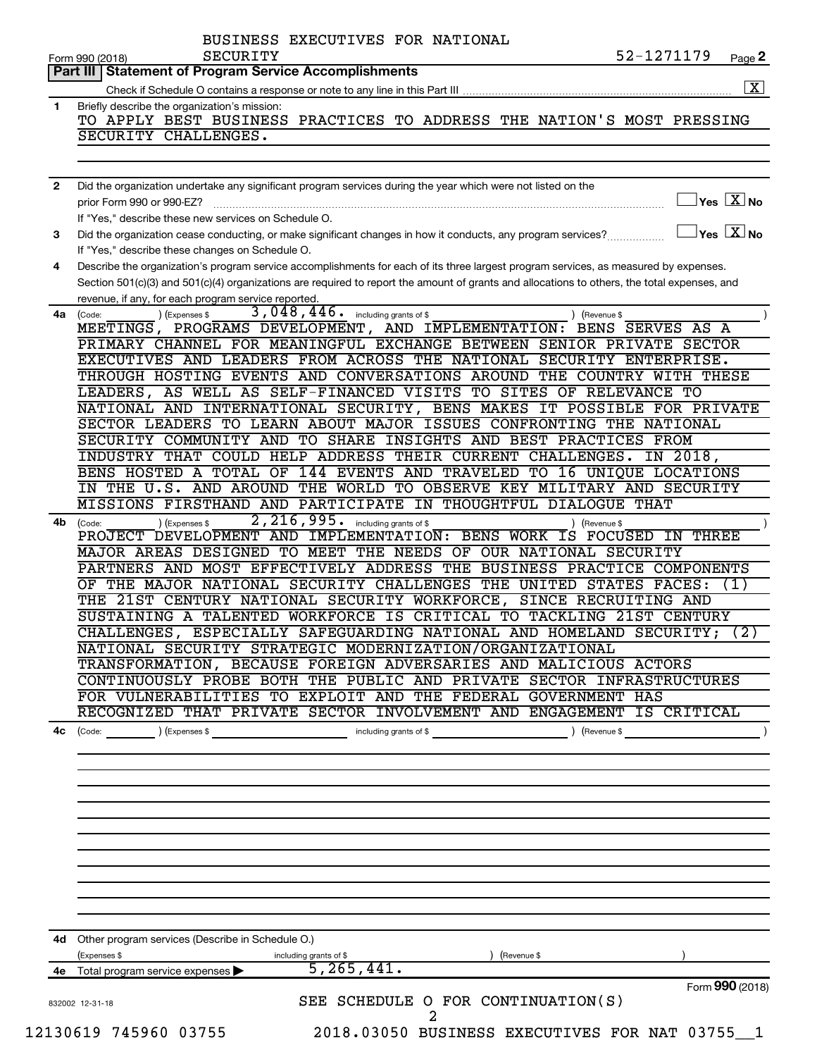|              | 52-1271179<br><b>SECURITY</b><br>Page 2<br>Form 990 (2018)                                                                                                                         |
|--------------|------------------------------------------------------------------------------------------------------------------------------------------------------------------------------------|
|              | <b>Part III   Statement of Program Service Accomplishments</b>                                                                                                                     |
|              |                                                                                                                                                                                    |
| 1            | Briefly describe the organization's mission:                                                                                                                                       |
|              | TO APPLY BEST BUSINESS PRACTICES TO ADDRESS THE NATION'S MOST PRESSING                                                                                                             |
|              | SECURITY CHALLENGES.                                                                                                                                                               |
|              |                                                                                                                                                                                    |
| $\mathbf{2}$ | Did the organization undertake any significant program services during the year which were not listed on the<br>$\sqrt{\mathsf{Yes}\mathord{\;\mathbb{X}}\mathord{\;\mathsf{No}}}$ |
|              | prior Form 990 or 990-EZ?<br>If "Yes," describe these new services on Schedule O.                                                                                                  |
|              | $\sqrt{\ }$ Yes $\sqrt{\ \text{X}}$ No                                                                                                                                             |
| 3            | Did the organization cease conducting, or make significant changes in how it conducts, any program services?                                                                       |
|              | If "Yes," describe these changes on Schedule O.                                                                                                                                    |
| 4            | Describe the organization's program service accomplishments for each of its three largest program services, as measured by expenses.                                               |
|              | Section 501(c)(3) and 501(c)(4) organizations are required to report the amount of grants and allocations to others, the total expenses, and                                       |
|              | revenue, if any, for each program service reported.                                                                                                                                |
| 4a           | 3,048,446. including grants of \$<br>(Expenses \$<br>(Code:<br>) (Revenue \$                                                                                                       |
|              | MEETINGS, PROGRAMS DEVELOPMENT, AND IMPLEMENTATION: BENS SERVES AS A                                                                                                               |
|              | PRIMARY CHANNEL FOR MEANINGFUL EXCHANGE BETWEEN SENIOR PRIVATE SECTOR                                                                                                              |
|              | EXECUTIVES AND LEADERS FROM ACROSS THE NATIONAL SECURITY ENTERPRISE.                                                                                                               |
|              | THROUGH HOSTING EVENTS AND CONVERSATIONS AROUND THE COUNTRY WITH THESE                                                                                                             |
|              | LEADERS, AS WELL AS SELF-FINANCED VISITS TO SITES OF RELEVANCE TO                                                                                                                  |
|              | NATIONAL AND INTERNATIONAL SECURITY, BENS MAKES IT POSSIBLE FOR PRIVATE                                                                                                            |
|              | SECTOR LEADERS TO LEARN ABOUT MAJOR ISSUES CONFRONTING THE NATIONAL                                                                                                                |
|              | SECURITY COMMUNITY AND TO SHARE INSIGHTS AND BEST PRACTICES FROM                                                                                                                   |
|              | INDUSTRY THAT COULD HELP ADDRESS THEIR CURRENT CHALLENGES. IN 2018,                                                                                                                |
|              | BENS HOSTED A TOTAL OF 144 EVENTS AND TRAVELED TO 16 UNIQUE LOCATIONS                                                                                                              |
|              | IN THE U.S. AND AROUND THE WORLD TO OBSERVE KEY MILITARY AND SECURITY                                                                                                              |
|              | MISSIONS FIRSTHAND AND PARTICIPATE IN THOUGHTFUL DIALOGUE THAT                                                                                                                     |
| 4b           | 2, 216, 995. including grants of \$<br>(Expenses \$<br>(Revenue \$<br>(Code:                                                                                                       |
|              | PROJECT DEVELOPMENT AND IMPLEMENTATION: BENS WORK IS<br>FOCUSED<br><b>THREE</b><br>IN                                                                                              |
|              | MAJOR AREAS DESIGNED TO MEET THE NEEDS OF OUR NATIONAL SECURITY                                                                                                                    |
|              | PARTNERS AND MOST EFFECTIVELY ADDRESS THE BUSINESS PRACTICE COMPONENTS                                                                                                             |
|              | THE MAJOR NATIONAL SECURITY CHALLENGES THE UNITED STATES FACES:<br>OF<br>(1)                                                                                                       |
|              | THE 21ST CENTURY NATIONAL SECURITY WORKFORCE, SINCE RECRUITING AND                                                                                                                 |
|              | SUSTAINING A TALENTED WORKFORCE IS CRITICAL TO TACKLING 21ST CENTURY                                                                                                               |
|              | CHALLENGES, ESPECIALLY SAFEGUARDING NATIONAL AND HOMELAND SECURITY; (2)                                                                                                            |
|              | NATIONAL SECURITY STRATEGIC MODERNIZATION/ORGANIZATIONAL                                                                                                                           |
|              | TRANSFORMATION, BECAUSE FOREIGN ADVERSARIES AND MALICIOUS ACTORS                                                                                                                   |
|              | CONTINUOUSLY PROBE BOTH THE PUBLIC AND PRIVATE SECTOR INFRASTRUCTURES                                                                                                              |
|              | FOR VULNERABILITIES TO EXPLOIT AND THE FEDERAL GOVERNMENT HAS                                                                                                                      |
|              | RECOGNIZED THAT PRIVATE SECTOR INVOLVEMENT AND ENGAGEMENT IS CRITICAL                                                                                                              |
| 4c           | (Code: ) (Expenses \$ > including grants of \$ ) (Revenue \$ )                                                                                                                     |
|              |                                                                                                                                                                                    |
|              |                                                                                                                                                                                    |
|              |                                                                                                                                                                                    |
|              |                                                                                                                                                                                    |
|              |                                                                                                                                                                                    |
|              |                                                                                                                                                                                    |
|              | 4d Other program services (Describe in Schedule O.)                                                                                                                                |
|              | (Expenses \$<br>(Revenue \$                                                                                                                                                        |
|              | including grants of \$<br>$\overline{5,265,441}$ .<br>4e Total program service expenses                                                                                            |
|              | Form 990 (2018)                                                                                                                                                                    |
|              | SEE SCHEDULE O FOR CONTINUATION(S)<br>832002 12-31-18                                                                                                                              |
|              | 12130619 745960 03755<br>2018.03050 BUSINESS EXECUTIVES FOR NAT 03755 1                                                                                                            |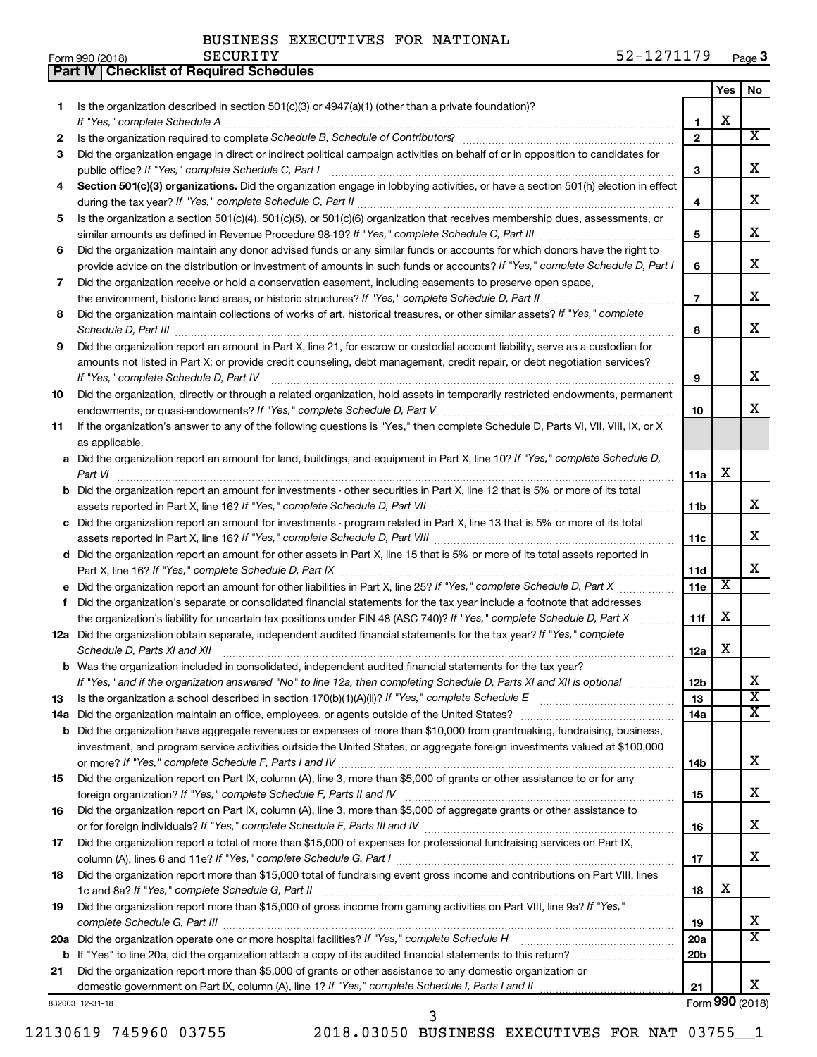**Part IV Checklist of Required Schedules**

|    |                                                                                                                                                                                          |                 | Yes                   | No                      |
|----|------------------------------------------------------------------------------------------------------------------------------------------------------------------------------------------|-----------------|-----------------------|-------------------------|
| 1  | Is the organization described in section $501(c)(3)$ or $4947(a)(1)$ (other than a private foundation)?                                                                                  |                 |                       |                         |
|    | If "Yes," complete Schedule A                                                                                                                                                            | 1               | x                     | $\overline{\mathbf{X}}$ |
| 2  |                                                                                                                                                                                          | $\mathbf{2}$    |                       |                         |
| 3  | Did the organization engage in direct or indirect political campaign activities on behalf of or in opposition to candidates for                                                          |                 |                       | x                       |
| 4  | public office? If "Yes," complete Schedule C, Part I<br>Section 501(c)(3) organizations. Did the organization engage in lobbying activities, or have a section 501(h) election in effect | 3               |                       |                         |
|    |                                                                                                                                                                                          | 4               |                       | x                       |
| 5  | Is the organization a section 501(c)(4), 501(c)(5), or 501(c)(6) organization that receives membership dues, assessments, or                                                             |                 |                       |                         |
|    |                                                                                                                                                                                          | 5               |                       | x                       |
| 6  | Did the organization maintain any donor advised funds or any similar funds or accounts for which donors have the right to                                                                |                 |                       |                         |
|    | provide advice on the distribution or investment of amounts in such funds or accounts? If "Yes," complete Schedule D, Part I                                                             | 6               |                       | х                       |
| 7  | Did the organization receive or hold a conservation easement, including easements to preserve open space,                                                                                |                 |                       |                         |
|    |                                                                                                                                                                                          | $\overline{7}$  |                       | x                       |
| 8  | Did the organization maintain collections of works of art, historical treasures, or other similar assets? If "Yes," complete                                                             |                 |                       |                         |
|    |                                                                                                                                                                                          | 8               |                       | x                       |
| 9  | Did the organization report an amount in Part X, line 21, for escrow or custodial account liability, serve as a custodian for                                                            |                 |                       |                         |
|    | amounts not listed in Part X; or provide credit counseling, debt management, credit repair, or debt negotiation services?                                                                |                 |                       |                         |
|    | If "Yes." complete Schedule D. Part IV                                                                                                                                                   | 9               |                       | х                       |
| 10 | Did the organization, directly or through a related organization, hold assets in temporarily restricted endowments, permanent                                                            |                 |                       |                         |
|    |                                                                                                                                                                                          | 10              |                       | х                       |
| 11 | If the organization's answer to any of the following questions is "Yes," then complete Schedule D, Parts VI, VII, VIII, IX, or X                                                         |                 |                       |                         |
|    | as applicable.                                                                                                                                                                           |                 |                       |                         |
|    | a Did the organization report an amount for land, buildings, and equipment in Part X, line 10? If "Yes," complete Schedule D,<br>Part VI                                                 | 11a             | х                     |                         |
|    | <b>b</b> Did the organization report an amount for investments - other securities in Part X, line 12 that is 5% or more of its total                                                     |                 |                       |                         |
|    |                                                                                                                                                                                          | 11b             |                       | x                       |
|    | c Did the organization report an amount for investments - program related in Part X, line 13 that is 5% or more of its total                                                             |                 |                       |                         |
|    |                                                                                                                                                                                          | 11c             |                       | X.                      |
|    | d Did the organization report an amount for other assets in Part X, line 15 that is 5% or more of its total assets reported in                                                           |                 |                       |                         |
|    |                                                                                                                                                                                          | 11d             |                       | х                       |
|    | e Did the organization report an amount for other liabilities in Part X, line 25? If "Yes," complete Schedule D, Part X                                                                  | 11e             | $\overline{\text{X}}$ |                         |
| f. | Did the organization's separate or consolidated financial statements for the tax year include a footnote that addresses                                                                  |                 |                       |                         |
|    | the organization's liability for uncertain tax positions under FIN 48 (ASC 740)? If "Yes," complete Schedule D, Part X                                                                   | 11f             | х                     |                         |
|    | 12a Did the organization obtain separate, independent audited financial statements for the tax year? If "Yes," complete                                                                  |                 | х                     |                         |
|    | Schedule D, Parts XI and XII<br>b Was the organization included in consolidated, independent audited financial statements for the tax year?                                              | 12a             |                       |                         |
|    | If "Yes," and if the organization answered "No" to line 12a, then completing Schedule D, Parts XI and XII is optional www.                                                               | 12 <sub>b</sub> |                       |                         |
| 13 | Is the organization a school described in section $170(b)(1)(A)(ii)?$ If "Yes," complete Schedule E                                                                                      | 13              |                       | $\overline{\textbf{x}}$ |
|    | 14a Did the organization maintain an office, employees, or agents outside of the United States?                                                                                          | 14a             |                       | X                       |
|    | <b>b</b> Did the organization have aggregate revenues or expenses of more than \$10,000 from grantmaking, fundraising, business,                                                         |                 |                       |                         |
|    | investment, and program service activities outside the United States, or aggregate foreign investments valued at \$100,000                                                               |                 |                       |                         |
|    |                                                                                                                                                                                          | 14b             |                       | x                       |
| 15 | Did the organization report on Part IX, column (A), line 3, more than \$5,000 of grants or other assistance to or for any                                                                |                 |                       |                         |
|    |                                                                                                                                                                                          | 15              |                       | x                       |
| 16 | Did the organization report on Part IX, column (A), line 3, more than \$5,000 of aggregate grants or other assistance to                                                                 |                 |                       |                         |
|    |                                                                                                                                                                                          | 16              |                       | x                       |
| 17 | Did the organization report a total of more than \$15,000 of expenses for professional fundraising services on Part IX,                                                                  |                 |                       | x                       |
|    |                                                                                                                                                                                          | 17              |                       |                         |
| 18 | Did the organization report more than \$15,000 total of fundraising event gross income and contributions on Part VIII, lines                                                             | 18              | x                     |                         |
| 19 | Did the organization report more than \$15,000 of gross income from gaming activities on Part VIII, line 9a? If "Yes,"                                                                   |                 |                       |                         |
|    |                                                                                                                                                                                          | 19              |                       | x                       |
|    | 20a Did the organization operate one or more hospital facilities? If "Yes," complete Schedule H                                                                                          | 20a             |                       | $\overline{\mathtt{x}}$ |
|    |                                                                                                                                                                                          | 20b             |                       |                         |
| 21 | Did the organization report more than \$5,000 of grants or other assistance to any domestic organization or                                                                              |                 |                       |                         |
|    |                                                                                                                                                                                          | 21              |                       | x                       |
|    | 332003 12-31-18                                                                                                                                                                          |                 |                       | Form 990 (2018)         |

832003 12-31-18

12130619 745960 03755 2018.03050 BUSINESS EXECUTIVES FOR NAT 03755\_\_1

3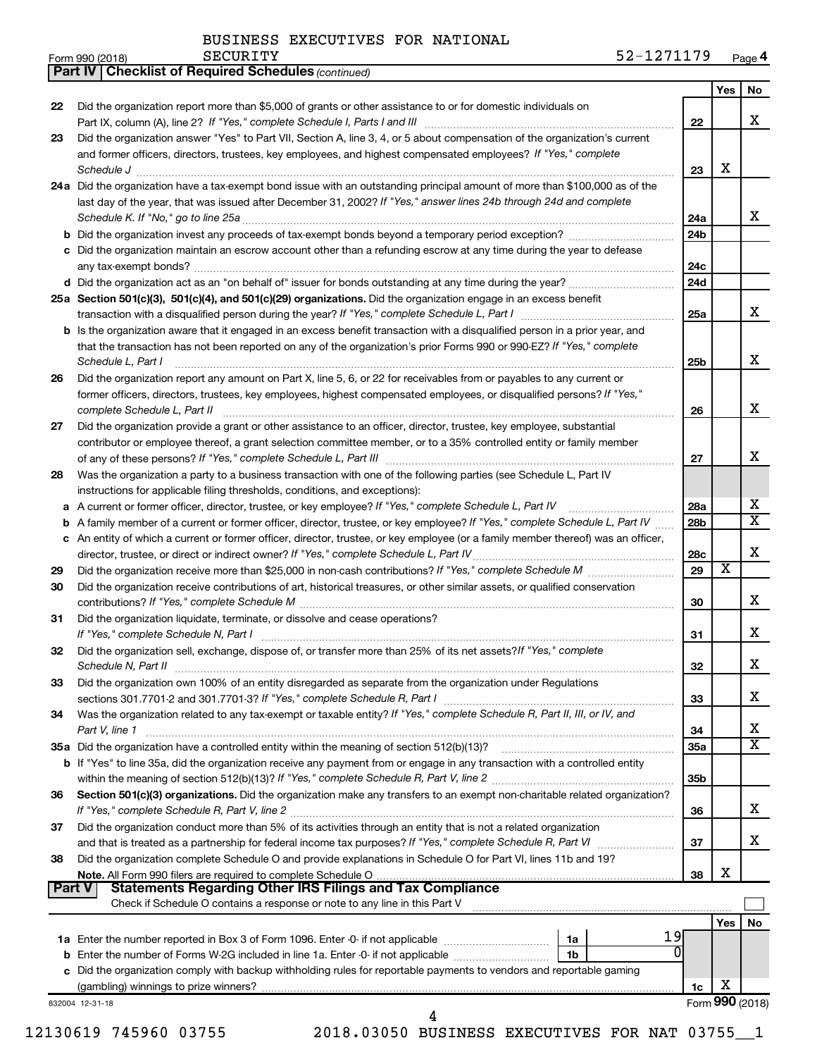*(continued)*

**Part IV Checklist of Required Schedules**

| Form 990 (2018) | SECURITY | 271170<br>$ \sim$<br>Page 4<br>ے ر<br><b>A</b> |
|-----------------|----------|------------------------------------------------|
|-----------------|----------|------------------------------------------------|

|               |                                                                                                                                                               |                 | Yes                     | No                      |
|---------------|---------------------------------------------------------------------------------------------------------------------------------------------------------------|-----------------|-------------------------|-------------------------|
| 22            | Did the organization report more than \$5,000 of grants or other assistance to or for domestic individuals on                                                 |                 |                         |                         |
|               |                                                                                                                                                               | 22              |                         | х                       |
| 23            | Did the organization answer "Yes" to Part VII, Section A, line 3, 4, or 5 about compensation of the organization's current                                    |                 |                         |                         |
|               | and former officers, directors, trustees, key employees, and highest compensated employees? If "Yes," complete                                                |                 |                         |                         |
|               | Schedule J                                                                                                                                                    | 23              | х                       |                         |
|               | 24a Did the organization have a tax-exempt bond issue with an outstanding principal amount of more than \$100,000 as of the                                   |                 |                         |                         |
|               | last day of the year, that was issued after December 31, 2002? If "Yes," answer lines 24b through 24d and complete                                            |                 |                         |                         |
|               | Schedule K. If "No," go to line 25a                                                                                                                           | 24a             |                         | x                       |
|               | <b>b</b> Did the organization invest any proceeds of tax-exempt bonds beyond a temporary period exception?                                                    | 24 <sub>b</sub> |                         |                         |
|               | c Did the organization maintain an escrow account other than a refunding escrow at any time during the year to defease                                        |                 |                         |                         |
|               |                                                                                                                                                               | 24c<br>24d      |                         |                         |
|               |                                                                                                                                                               |                 |                         |                         |
|               | 25a Section 501(c)(3), 501(c)(4), and 501(c)(29) organizations. Did the organization engage in an excess benefit                                              | 25a             |                         | x                       |
|               | <b>b</b> Is the organization aware that it engaged in an excess benefit transaction with a disqualified person in a prior year, and                           |                 |                         |                         |
|               | that the transaction has not been reported on any of the organization's prior Forms 990 or 990-EZ? If "Yes," complete                                         |                 |                         |                         |
|               | Schedule L, Part I                                                                                                                                            | 25 <sub>b</sub> |                         | x                       |
| 26            | Did the organization report any amount on Part X, line 5, 6, or 22 for receivables from or payables to any current or                                         |                 |                         |                         |
|               | former officers, directors, trustees, key employees, highest compensated employees, or disqualified persons? If "Yes,"                                        |                 |                         |                         |
|               | complete Schedule L, Part II                                                                                                                                  | 26              |                         | х                       |
| 27            | Did the organization provide a grant or other assistance to an officer, director, trustee, key employee, substantial                                          |                 |                         |                         |
|               | contributor or employee thereof, a grant selection committee member, or to a 35% controlled entity or family member                                           |                 |                         |                         |
|               |                                                                                                                                                               | 27              |                         | x                       |
| 28            | Was the organization a party to a business transaction with one of the following parties (see Schedule L, Part IV                                             |                 |                         |                         |
|               | instructions for applicable filing thresholds, conditions, and exceptions):                                                                                   |                 |                         |                         |
| а             | A current or former officer, director, trustee, or key employee? If "Yes," complete Schedule L, Part IV                                                       | 28a             |                         | х                       |
| b             | A family member of a current or former officer, director, trustee, or key employee? If "Yes," complete Schedule L, Part IV                                    | 28b             |                         | $\overline{\textbf{X}}$ |
|               | c An entity of which a current or former officer, director, trustee, or key employee (or a family member thereof) was an officer,                             |                 |                         |                         |
|               | director, trustee, or direct or indirect owner? If "Yes," complete Schedule L, Part IV                                                                        | 28c             |                         | X                       |
| 29            |                                                                                                                                                               | 29              | $\overline{\textbf{x}}$ |                         |
| 30            | Did the organization receive contributions of art, historical treasures, or other similar assets, or qualified conservation                                   |                 |                         | х                       |
|               |                                                                                                                                                               | 30              |                         |                         |
| 31            | Did the organization liquidate, terminate, or dissolve and cease operations?<br>If "Yes," complete Schedule N, Part I                                         | 31              |                         | х                       |
| 32            | Did the organization sell, exchange, dispose of, or transfer more than 25% of its net assets? If "Yes," complete                                              |                 |                         |                         |
|               |                                                                                                                                                               | 32              |                         | х                       |
| 33            | Did the organization own 100% of an entity disregarded as separate from the organization under Regulations                                                    |                 |                         |                         |
|               | sections 301.7701-2 and 301.7701-3? If "Yes," complete Schedule R, Part I                                                                                     | 33              |                         | х                       |
| 34            | Was the organization related to any tax-exempt or taxable entity? If "Yes," complete Schedule R, Part II, III, or IV, and                                     |                 |                         |                         |
|               | Part V, line 1                                                                                                                                                | 34              |                         | x                       |
|               |                                                                                                                                                               | 35a             |                         | $\overline{\textbf{X}}$ |
|               | b If "Yes" to line 35a, did the organization receive any payment from or engage in any transaction with a controlled entity                                   |                 |                         |                         |
|               |                                                                                                                                                               | 35 <sub>b</sub> |                         |                         |
| 36            | Section 501(c)(3) organizations. Did the organization make any transfers to an exempt non-charitable related organization?                                    |                 |                         |                         |
|               |                                                                                                                                                               | 36              |                         | х                       |
| 37            | Did the organization conduct more than 5% of its activities through an entity that is not a related organization                                              |                 |                         |                         |
|               |                                                                                                                                                               | 37              |                         | х                       |
| 38            | Did the organization complete Schedule O and provide explanations in Schedule O for Part VI, lines 11b and 19?                                                |                 |                         |                         |
|               |                                                                                                                                                               | 38              | х                       |                         |
| <b>Part V</b> | <b>Statements Regarding Other IRS Filings and Tax Compliance</b>                                                                                              |                 |                         |                         |
|               | Check if Schedule O contains a response or note to any line in this Part V [100] contains according to contains a response or note to any line in this Part V |                 |                         |                         |
|               | 19                                                                                                                                                            |                 | Yes                     | No                      |
|               | 1a<br><b>b</b> Enter the number of Forms W-2G included in line 1a. Enter -0- if not applicable<br>1b                                                          |                 |                         |                         |
|               | c Did the organization comply with backup withholding rules for reportable payments to vendors and reportable gaming                                          |                 |                         |                         |
|               |                                                                                                                                                               | 1c              | х                       |                         |
|               | 832004 12-31-18                                                                                                                                               |                 |                         | Form 990 (2018)         |
|               | 4                                                                                                                                                             |                 |                         |                         |
|               |                                                                                                                                                               |                 |                         |                         |

12130619 745960 03755 2018.03050 BUSINESS EXECUTIVES FOR NAT 03755\_\_1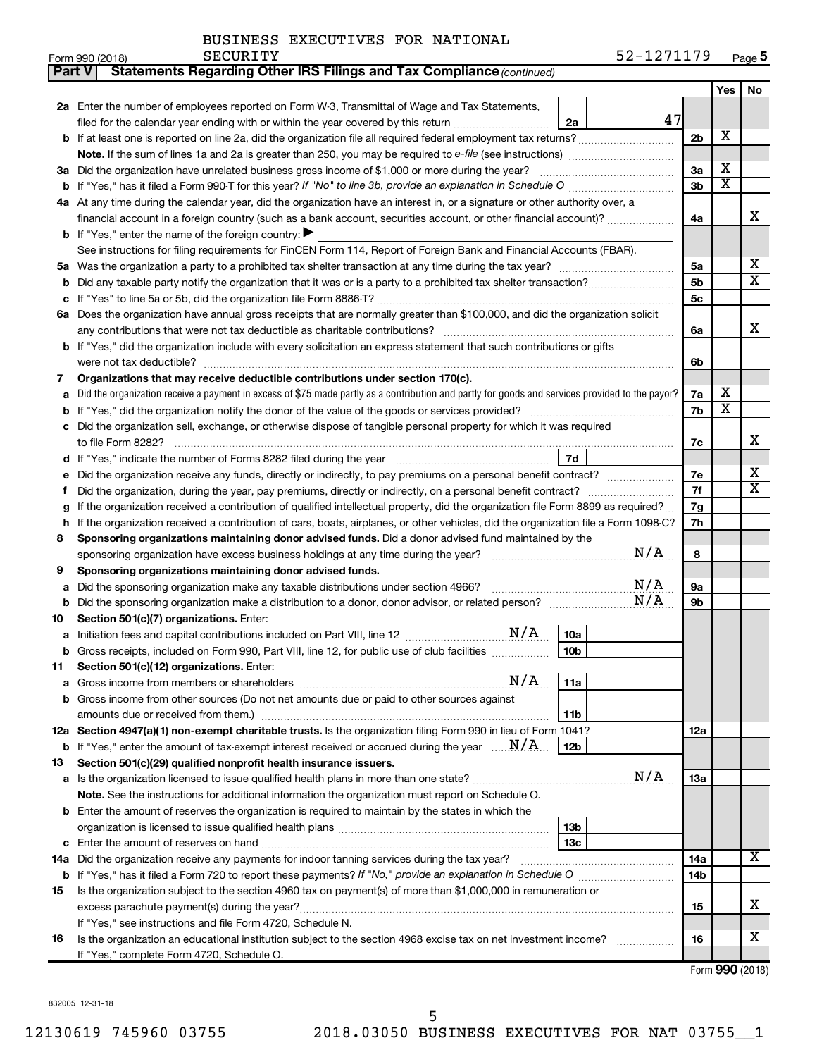|  | BUSINESS EXECUTIVES FOR NATIONAL |  |  |
|--|----------------------------------|--|--|
|--|----------------------------------|--|--|

| Part V | Statements Regarding Other IRS Filings and Tax Compliance (continued)                                                                                        |     |                       |                         |
|--------|--------------------------------------------------------------------------------------------------------------------------------------------------------------|-----|-----------------------|-------------------------|
|        |                                                                                                                                                              |     | Yes                   | No                      |
|        | 2a Enter the number of employees reported on Form W-3, Transmittal of Wage and Tax Statements,                                                               |     |                       |                         |
|        | 47<br>filed for the calendar year ending with or within the year covered by this return<br>2a                                                                |     |                       |                         |
|        | <b>b</b> If at least one is reported on line 2a, did the organization file all required federal employment tax returns?                                      | 2b  | X                     |                         |
|        |                                                                                                                                                              |     |                       |                         |
| За     | Did the organization have unrelated business gross income of \$1,000 or more during the year?                                                                | За  | х                     |                         |
|        |                                                                                                                                                              | 3b  | $\overline{\text{X}}$ |                         |
|        | 4a At any time during the calendar year, did the organization have an interest in, or a signature or other authority over, a                                 |     |                       |                         |
|        | financial account in a foreign country (such as a bank account, securities account, or other financial account)?                                             | 4a  |                       | х                       |
|        | <b>b</b> If "Yes," enter the name of the foreign country: $\blacktriangleright$                                                                              |     |                       |                         |
|        | See instructions for filing requirements for FinCEN Form 114, Report of Foreign Bank and Financial Accounts (FBAR).                                          |     |                       |                         |
| 5a     |                                                                                                                                                              | 5a  |                       | х                       |
| b      |                                                                                                                                                              | 5b  |                       | $\overline{\textbf{x}}$ |
|        |                                                                                                                                                              | 5с  |                       |                         |
|        | 6a Does the organization have annual gross receipts that are normally greater than \$100,000, and did the organization solicit                               |     |                       |                         |
|        |                                                                                                                                                              | 6a  |                       | х                       |
|        | b If "Yes," did the organization include with every solicitation an express statement that such contributions or gifts                                       |     |                       |                         |
|        | were not tax deductible?                                                                                                                                     | 6b  |                       |                         |
| 7      | Organizations that may receive deductible contributions under section 170(c).                                                                                |     |                       |                         |
| a      | Did the organization receive a payment in excess of \$75 made partly as a contribution and partly for goods and services provided to the payor?              | 7a  | х                     |                         |
| b      |                                                                                                                                                              | 7b  | $\overline{\text{X}}$ |                         |
| c      | Did the organization sell, exchange, or otherwise dispose of tangible personal property for which it was required                                            |     |                       |                         |
|        | to file Form 8282?                                                                                                                                           | 7c  |                       | х                       |
|        | 7d                                                                                                                                                           |     |                       | х                       |
|        | Did the organization receive any funds, directly or indirectly, to pay premiums on a personal benefit contract?                                              |     |                       |                         |
| f      |                                                                                                                                                              |     |                       |                         |
| g      | If the organization received a contribution of qualified intellectual property, did the organization file Form 8899 as required?                             |     |                       |                         |
| h      | If the organization received a contribution of cars, boats, airplanes, or other vehicles, did the organization file a Form 1098-C?                           |     |                       |                         |
| 8      | Sponsoring organizations maintaining donor advised funds. Did a donor advised fund maintained by the                                                         |     |                       |                         |
|        | N/A                                                                                                                                                          | 8   |                       |                         |
| 9      | Sponsoring organizations maintaining donor advised funds.                                                                                                    |     |                       |                         |
| а      | N/A<br>Did the sponsoring organization make any taxable distributions under section 4966?                                                                    | 9а  |                       |                         |
| b      | N/A                                                                                                                                                          | 9b  |                       |                         |
| 10     | Section 501(c)(7) organizations. Enter:                                                                                                                      |     |                       |                         |
|        | 10a                                                                                                                                                          |     |                       |                         |
|        | 10 <sub>b</sub><br>Gross receipts, included on Form 990, Part VIII, line 12, for public use of club facilities                                               |     |                       |                         |
| 11     | Section 501(c)(12) organizations. Enter:                                                                                                                     |     |                       |                         |
| а      | N/A<br>11a                                                                                                                                                   |     |                       |                         |
|        | Gross income from other sources (Do not net amounts due or paid to other sources against                                                                     |     |                       |                         |
|        | amounts due or received from them.)<br>11b                                                                                                                   |     |                       |                         |
|        | 12a Section 4947(a)(1) non-exempt charitable trusts. Is the organization filing Form 990 in lieu of Form 1041?                                               | 12a |                       |                         |
|        | <b>b</b> If "Yes," enter the amount of tax-exempt interest received or accrued during the year $\ldots$ $\mathbf{N}/\mathbf{A}$ .<br>12b                     |     |                       |                         |
| 13     | Section 501(c)(29) qualified nonprofit health insurance issuers.<br>N/A                                                                                      |     |                       |                         |
|        |                                                                                                                                                              | 13a |                       |                         |
|        | Note. See the instructions for additional information the organization must report on Schedule O.                                                            |     |                       |                         |
|        | <b>b</b> Enter the amount of reserves the organization is required to maintain by the states in which the                                                    |     |                       |                         |
|        | 13b                                                                                                                                                          |     |                       |                         |
| c      | 13c                                                                                                                                                          |     |                       | x                       |
|        | 14a Did the organization receive any payments for indoor tanning services during the tax year?                                                               | 14a |                       |                         |
|        |                                                                                                                                                              | 14b |                       |                         |
| 15     | Is the organization subject to the section 4960 tax on payment(s) of more than \$1,000,000 in remuneration or                                                |     |                       | х                       |
|        |                                                                                                                                                              | 15  |                       |                         |
|        | If "Yes," see instructions and file Form 4720, Schedule N.                                                                                                   |     |                       | x                       |
| 16     | Is the organization an educational institution subject to the section 4968 excise tax on net investment income?<br>If "Yes," complete Form 4720, Schedule O. | 16  |                       |                         |
|        |                                                                                                                                                              |     |                       |                         |

Form (2018) **990**

832005 12-31-18

l,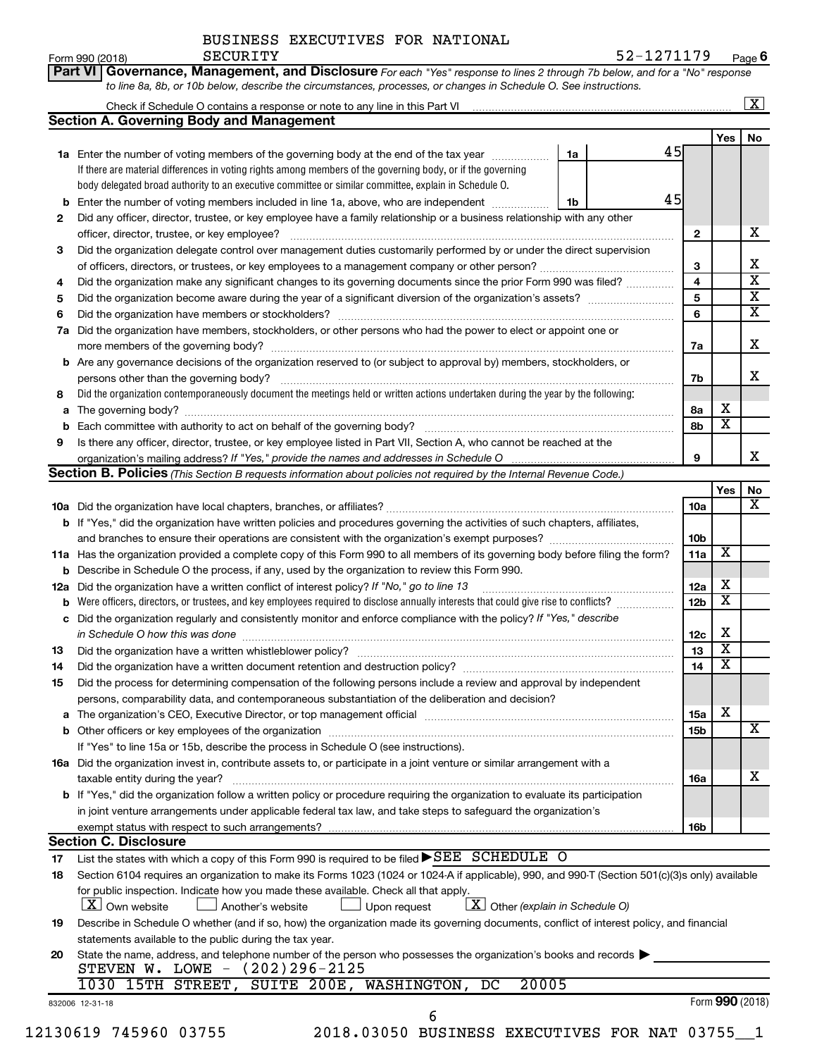| Form 990 (2018) | SECURITY | 52-1271179                                                                                                                         | Pag |
|-----------------|----------|------------------------------------------------------------------------------------------------------------------------------------|-----|
|                 |          | <b>Part VI Governance, Management, and Disclosure</b> For each "Yes" response to lines 2 through 7b below, and for a "No" response |     |
|                 |          | to line 8a, 8b, or 10b below, describe the circumstances, processes, or changes in Schedule O. See instructions.                   |     |

|     |                                                                                                                                                                                                                               |    |    |                 |                         | $\boxed{\textbf{X}}$         |
|-----|-------------------------------------------------------------------------------------------------------------------------------------------------------------------------------------------------------------------------------|----|----|-----------------|-------------------------|------------------------------|
|     | <b>Section A. Governing Body and Management</b>                                                                                                                                                                               |    |    |                 |                         |                              |
|     |                                                                                                                                                                                                                               |    |    |                 | Yes l                   | No                           |
|     | 1a Enter the number of voting members of the governing body at the end of the tax year                                                                                                                                        | 1a | 45 |                 |                         |                              |
|     | If there are material differences in voting rights among members of the governing body, or if the governing                                                                                                                   |    |    |                 |                         |                              |
|     | body delegated broad authority to an executive committee or similar committee, explain in Schedule O.                                                                                                                         |    |    |                 |                         |                              |
| b   | Enter the number of voting members included in line 1a, above, who are independent                                                                                                                                            | 1b | 45 |                 |                         |                              |
| 2   | Did any officer, director, trustee, or key employee have a family relationship or a business relationship with any other                                                                                                      |    |    |                 |                         |                              |
|     | officer, director, trustee, or key employee?                                                                                                                                                                                  |    |    | 2               |                         | x                            |
| 3   | Did the organization delegate control over management duties customarily performed by or under the direct supervision                                                                                                         |    |    |                 |                         |                              |
|     |                                                                                                                                                                                                                               |    |    | 3               |                         | x<br>$\overline{\mathbf{x}}$ |
| 4   | Did the organization make any significant changes to its governing documents since the prior Form 990 was filed?                                                                                                              |    |    | 4               |                         | $\overline{\textbf{x}}$      |
| 5   |                                                                                                                                                                                                                               |    |    | 5               |                         | $\overline{\mathbf{x}}$      |
| 6   | Did the organization have members or stockholders?                                                                                                                                                                            |    |    | 6               |                         |                              |
| 7a  | Did the organization have members, stockholders, or other persons who had the power to elect or appoint one or                                                                                                                |    |    |                 |                         | x                            |
|     | more members of the governing body?                                                                                                                                                                                           |    |    | 7a              |                         |                              |
| b   | Are any governance decisions of the organization reserved to (or subject to approval by) members, stockholders, or                                                                                                            |    |    |                 |                         | x                            |
|     | persons other than the governing body?<br>Did the organization contemporaneously document the meetings held or written actions undertaken during the year by the following:                                                   |    |    | 7b              |                         |                              |
| 8   |                                                                                                                                                                                                                               |    |    |                 | х                       |                              |
| a   | Each committee with authority to act on behalf of the governing body?                                                                                                                                                         |    |    | 8а<br>8b        | $\overline{\mathbf{X}}$ |                              |
| b   |                                                                                                                                                                                                                               |    |    |                 |                         |                              |
| 9   | Is there any officer, director, trustee, or key employee listed in Part VII, Section A, who cannot be reached at the                                                                                                          |    |    | 9               |                         | x                            |
|     | Section B. Policies (This Section B requests information about policies not required by the Internal Revenue Code.)                                                                                                           |    |    |                 |                         |                              |
|     |                                                                                                                                                                                                                               |    |    |                 | Yes                     | No                           |
|     |                                                                                                                                                                                                                               |    |    | <b>10a</b>      |                         | $\overline{\mathbf{x}}$      |
|     | b If "Yes," did the organization have written policies and procedures governing the activities of such chapters, affiliates,                                                                                                  |    |    |                 |                         |                              |
|     |                                                                                                                                                                                                                               |    |    | 10 <sub>b</sub> |                         |                              |
|     | 11a Has the organization provided a complete copy of this Form 990 to all members of its governing body before filing the form?                                                                                               |    |    |                 | X                       |                              |
| b   | Describe in Schedule O the process, if any, used by the organization to review this Form 990.                                                                                                                                 |    |    | 11a             |                         |                              |
| 12a | Did the organization have a written conflict of interest policy? If "No," go to line 13                                                                                                                                       |    |    | 12a             | х                       |                              |
| b   | Were officers, directors, or trustees, and key employees required to disclose annually interests that could give rise to conflicts?                                                                                           |    |    | 12 <sub>b</sub> | х                       |                              |
| с   | Did the organization regularly and consistently monitor and enforce compliance with the policy? If "Yes," describe                                                                                                            |    |    |                 |                         |                              |
|     | in Schedule O how this was done                                                                                                                                                                                               |    |    | 12c             | x                       |                              |
| 13  | Did the organization have a written whistleblower policy?                                                                                                                                                                     |    |    | 13              | X                       |                              |
| 14  |                                                                                                                                                                                                                               |    |    | 14              | X                       |                              |
| 15  | Did the process for determining compensation of the following persons include a review and approval by independent                                                                                                            |    |    |                 |                         |                              |
|     | persons, comparability data, and contemporaneous substantiation of the deliberation and decision?                                                                                                                             |    |    |                 |                         |                              |
|     | The organization's CEO, Executive Director, or top management official manufactured content of the organization's CEO, Executive Director, or top management official manufactured and the state of the state of the state of |    |    | 15a             | х                       |                              |
| b   |                                                                                                                                                                                                                               |    |    | 15 <sub>b</sub> |                         | X                            |
|     | If "Yes" to line 15a or 15b, describe the process in Schedule O (see instructions).                                                                                                                                           |    |    |                 |                         |                              |
|     | 16a Did the organization invest in, contribute assets to, or participate in a joint venture or similar arrangement with a                                                                                                     |    |    |                 |                         |                              |
|     | taxable entity during the year?                                                                                                                                                                                               |    |    | 16a             |                         | х                            |
|     | b If "Yes," did the organization follow a written policy or procedure requiring the organization to evaluate its participation                                                                                                |    |    |                 |                         |                              |
|     | in joint venture arrangements under applicable federal tax law, and take steps to safeguard the organization's                                                                                                                |    |    |                 |                         |                              |
|     | exempt status with respect to such arrangements?                                                                                                                                                                              |    |    | 16b             |                         |                              |
|     | <b>Section C. Disclosure</b>                                                                                                                                                                                                  |    |    |                 |                         |                              |
| 17  | List the states with which a copy of this Form 990 is required to be filed $\blacktriangleright$ SEE SCHEDULE O                                                                                                               |    |    |                 |                         |                              |
| 18  | Section 6104 requires an organization to make its Forms 1023 (1024 or 1024 A if applicable), 990, and 990-T (Section 501(c)(3)s only) available                                                                               |    |    |                 |                         |                              |
|     | for public inspection. Indicate how you made these available. Check all that apply.<br>$\boxed{\textbf{X}}$ Other (explain in Schedule O)<br>$X$ Own website                                                                  |    |    |                 |                         |                              |
|     | Another's website<br>Upon request                                                                                                                                                                                             |    |    |                 |                         |                              |
| 19  | Describe in Schedule O whether (and if so, how) the organization made its governing documents, conflict of interest policy, and financial                                                                                     |    |    |                 |                         |                              |
|     | statements available to the public during the tax year.<br>State the name, address, and telephone number of the person who possesses the organization's books and records                                                     |    |    |                 |                         |                              |
| 20  | STEVEN W. LOWE - (202)296-2125                                                                                                                                                                                                |    |    |                 |                         |                              |
|     | 1030 15TH STREET, SUITE 200E, WASHINGTON, DC<br>20005                                                                                                                                                                         |    |    |                 |                         |                              |
|     | 832006 12-31-18                                                                                                                                                                                                               |    |    |                 |                         | Form 990 (2018)              |
|     | 6                                                                                                                                                                                                                             |    |    |                 |                         |                              |

12130619 745960 03755 2018.03050 BUSINESS EXECUTIVES FOR NAT 03755\_\_1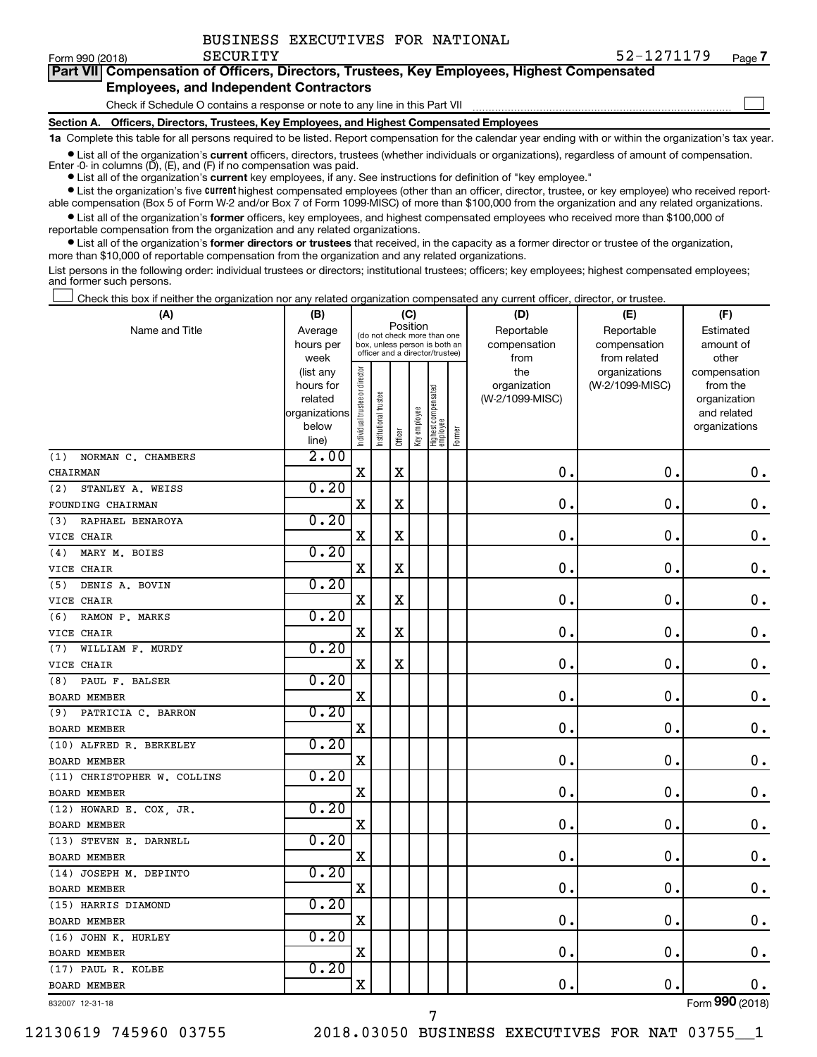$\Box$ 

| Part VII Compensation of Officers, Directors, Trustees, Key Employees, Highest Compensated |  |
|--------------------------------------------------------------------------------------------|--|
| <b>Employees, and Independent Contractors</b>                                              |  |

Check if Schedule O contains a response or note to any line in this Part VII

**Section A. Officers, Directors, Trustees, Key Employees, and Highest Compensated Employees**

**1a**  Complete this table for all persons required to be listed. Report compensation for the calendar year ending with or within the organization's tax year.

 $\bullet$  List all of the organization's current officers, directors, trustees (whether individuals or organizations), regardless of amount of compensation. Enter -0- in columns  $(D)$ ,  $(E)$ , and  $(F)$  if no compensation was paid.

**•** List all of the organization's **current** key employees, if any. See instructions for definition of "key employee."

**•** List the organization's five current highest compensated employees (other than an officer, director, trustee, or key employee) who received reportable compensation (Box 5 of Form W-2 and/or Box 7 of Form 1099-MISC) of more than \$100,000 from the organization and any related organizations.

**•** List all of the organization's former officers, key employees, and highest compensated employees who received more than \$100,000 of reportable compensation from the organization and any related organizations.

**•** List all of the organization's former directors or trustees that received, in the capacity as a former director or trustee of the organization, more than \$10,000 of reportable compensation from the organization and any related organizations.

List persons in the following order: individual trustees or directors; institutional trustees; officers; key employees; highest compensated employees; and former such persons.

Check this box if neither the organization nor any related organization compensated any current officer, director, or trustee.  $\Box$ 

| (A)                         | (B)                    |                                |                                                                  | (C)         |              |                                 |        | (D)                 | (E)                              | (F)                      |
|-----------------------------|------------------------|--------------------------------|------------------------------------------------------------------|-------------|--------------|---------------------------------|--------|---------------------|----------------------------------|--------------------------|
| Name and Title              | Average                |                                | (do not check more than one                                      | Position    |              |                                 |        | Reportable          | Reportable                       | Estimated                |
|                             | hours per              |                                | box, unless person is both an<br>officer and a director/trustee) |             |              |                                 |        | compensation        | compensation                     | amount of                |
|                             | week                   |                                |                                                                  |             |              |                                 |        | from                | from related                     | other                    |
|                             | (list any<br>hours for |                                |                                                                  |             |              |                                 |        | the<br>organization | organizations<br>(W-2/1099-MISC) | compensation<br>from the |
|                             | related                |                                |                                                                  |             |              |                                 |        | (W-2/1099-MISC)     |                                  | organization             |
|                             | organizations          |                                |                                                                  |             |              |                                 |        |                     |                                  | and related              |
|                             | below                  | Individual trustee or director | Institutional trustee                                            |             | Key employee | Highest compensated<br>employee |        |                     |                                  | organizations            |
|                             | line)                  |                                |                                                                  | Officer     |              |                                 | Former |                     |                                  |                          |
| NORMAN C. CHAMBERS<br>(1)   | 2.00                   |                                |                                                                  |             |              |                                 |        |                     |                                  |                          |
| CHAIRMAN                    |                        | $\rm X$                        |                                                                  | $\rm X$     |              |                                 |        | $\mathbf 0$ .       | $\mathbf 0$ .                    | $\mathbf 0$ .            |
| STANLEY A. WEISS<br>(2)     | 0.20                   |                                |                                                                  |             |              |                                 |        |                     |                                  |                          |
| FOUNDING CHAIRMAN           |                        | X                              |                                                                  | X           |              |                                 |        | $\mathbf 0$         | $\mathbf 0$                      | 0.                       |
| RAPHAEL BENAROYA<br>(3)     | 0.20                   |                                |                                                                  |             |              |                                 |        |                     |                                  |                          |
| VICE CHAIR                  |                        | X                              |                                                                  | $\rm X$     |              |                                 |        | $\mathbf 0$         | $\mathbf 0$                      | $\mathbf 0$ .            |
| MARY M. BOIES<br>(4)        | 0.20                   |                                |                                                                  |             |              |                                 |        |                     |                                  |                          |
| VICE CHAIR                  |                        | $\rm X$                        |                                                                  | X           |              |                                 |        | $\mathbf 0$         | 0                                | $\mathbf 0$ .            |
| DENIS A. BOVIN<br>(5)       | 0.20                   |                                |                                                                  |             |              |                                 |        |                     |                                  |                          |
| VICE CHAIR                  |                        | $\mathbf X$                    |                                                                  | $\mathbf X$ |              |                                 |        | $\mathbf 0$         | $\mathbf 0$                      | $\mathbf 0$ .            |
| (6)<br>RAMON P. MARKS       | 0.20                   |                                |                                                                  |             |              |                                 |        |                     |                                  |                          |
| VICE CHAIR                  |                        | X                              |                                                                  | X           |              |                                 |        | $\mathbf 0$         | $\mathbf 0$                      | $\mathbf 0$ .            |
| WILLIAM F. MURDY<br>(7)     | 0.20                   |                                |                                                                  |             |              |                                 |        |                     |                                  |                          |
| VICE CHAIR                  |                        | $\mathbf X$                    |                                                                  | $\rm X$     |              |                                 |        | $\mathbf 0$         | $\mathbf 0$                      | $\mathbf 0$ .            |
| PAUL F. BALSER<br>(8)       | 0.20                   |                                |                                                                  |             |              |                                 |        |                     |                                  |                          |
| BOARD MEMBER                |                        | $\rm X$                        |                                                                  |             |              |                                 |        | $\mathbf 0$         | 0                                | $\mathbf 0$ .            |
| PATRICIA C. BARRON<br>(9)   | 0.20                   |                                |                                                                  |             |              |                                 |        |                     |                                  |                          |
| <b>BOARD MEMBER</b>         |                        | $\mathbf X$                    |                                                                  |             |              |                                 |        | $\mathbf 0$         | $\mathbf 0$                      | $\mathbf 0$ .            |
| (10) ALFRED R. BERKELEY     | 0.20                   |                                |                                                                  |             |              |                                 |        |                     |                                  |                          |
| BOARD MEMBER                |                        | X                              |                                                                  |             |              |                                 |        | $\mathbf 0$         | $\mathbf 0$                      | $\mathbf 0$ .            |
| (11) CHRISTOPHER W. COLLINS | 0.20                   |                                |                                                                  |             |              |                                 |        |                     |                                  |                          |
| <b>BOARD MEMBER</b>         |                        | $\mathbf X$                    |                                                                  |             |              |                                 |        | 0                   | $\mathbf 0$                      | $\mathbf 0$ .            |
| (12) HOWARD E. COX, JR.     | 0.20                   |                                |                                                                  |             |              |                                 |        |                     |                                  |                          |
| <b>BOARD MEMBER</b>         |                        | $\rm X$                        |                                                                  |             |              |                                 |        | $\mathbf 0$         | $\mathbf 0$                      | $\mathbf 0$ .            |
| (13) STEVEN E. DARNELL      | 0.20                   |                                |                                                                  |             |              |                                 |        |                     |                                  |                          |
| <b>BOARD MEMBER</b>         |                        | $\mathbf X$                    |                                                                  |             |              |                                 |        | $\mathbf 0$         | $\mathbf 0$                      | $\mathbf 0$ .            |
| (14) JOSEPH M. DEPINTO      | 0.20                   |                                |                                                                  |             |              |                                 |        |                     |                                  |                          |
| BOARD MEMBER                |                        | X                              |                                                                  |             |              |                                 |        | 0                   | $\mathbf 0$                      | $\mathbf 0$ .            |
| (15) HARRIS DIAMOND         | 0.20                   |                                |                                                                  |             |              |                                 |        |                     |                                  |                          |
| <b>BOARD MEMBER</b>         |                        | $\mathbf X$                    |                                                                  |             |              |                                 |        | $\mathbf 0$         | $\mathbf 0$                      | $\mathbf 0$ .            |
| (16) JOHN K. HURLEY         | 0.20                   |                                |                                                                  |             |              |                                 |        |                     |                                  |                          |
| <b>BOARD MEMBER</b>         |                        | $\rm X$                        |                                                                  |             |              |                                 |        | $\mathbf 0$         | $\mathbf 0$                      | 0.                       |
| (17) PAUL R. KOLBE          | 0.20                   |                                |                                                                  |             |              |                                 |        |                     |                                  |                          |
| <b>BOARD MEMBER</b>         |                        | $\rm X$                        |                                                                  |             |              |                                 |        | 0.                  | $\mathbf 0$ .                    | 0.                       |

7

832007 12-31-18

Form (2018) **990**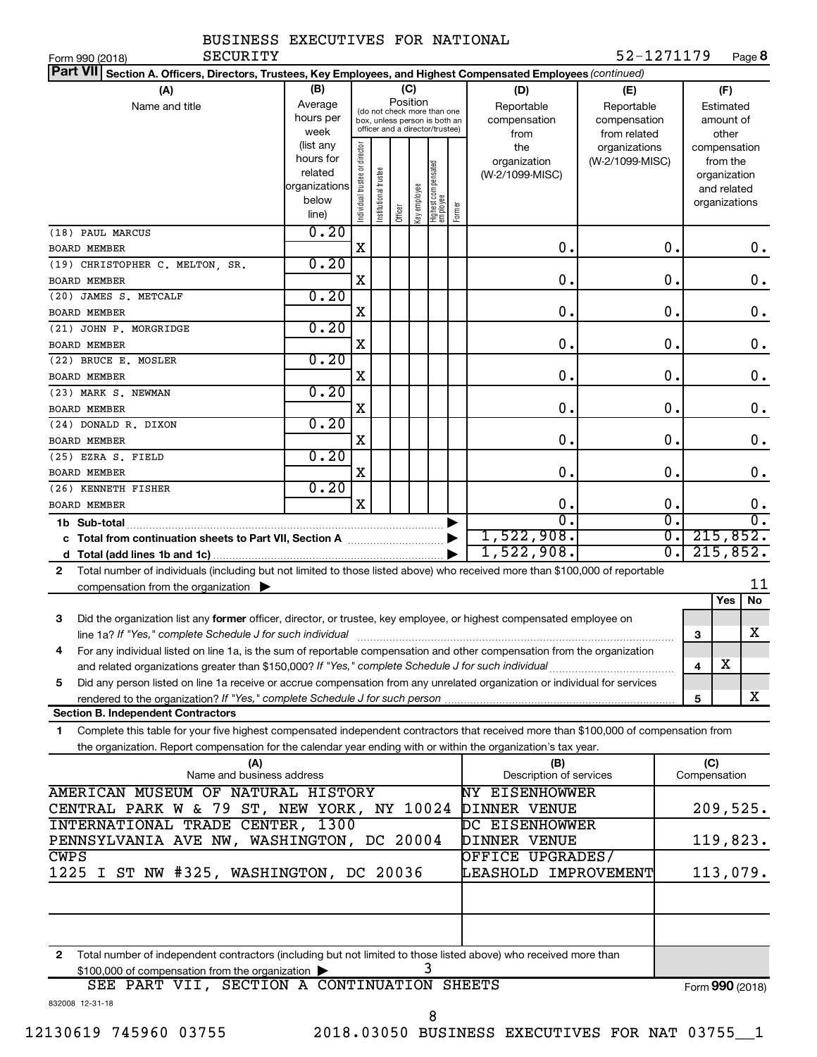| BUSINESS EXECUTIVES FOR NATIONAL |  |  |  |  |
|----------------------------------|--|--|--|--|
|----------------------------------|--|--|--|--|

Form 990 (2018) Page **8** SECURITY 52-1271179

| Part VII Section A. Officers, Directors, Trustees, Key Employees, and Highest Compensated Employees (continued)                              |               |                                |                                                              |         |              |                                   |        |                         |                 |                             |     |               |                  |
|----------------------------------------------------------------------------------------------------------------------------------------------|---------------|--------------------------------|--------------------------------------------------------------|---------|--------------|-----------------------------------|--------|-------------------------|-----------------|-----------------------------|-----|---------------|------------------|
| (A)                                                                                                                                          | (B)           |                                |                                                              |         | (C)          |                                   |        | (D)                     | (E)             |                             |     | (F)           |                  |
| Name and title                                                                                                                               | Average       |                                |                                                              |         | Position     |                                   |        | Reportable              | Reportable      |                             |     | Estimated     |                  |
|                                                                                                                                              | hours per     |                                | (do not check more than one<br>box, unless person is both an |         |              |                                   |        | compensation            | compensation    |                             |     | amount of     |                  |
|                                                                                                                                              | week          |                                | officer and a director/trustee)                              |         |              |                                   |        | from                    | from related    |                             |     | other         |                  |
|                                                                                                                                              | (list any     |                                |                                                              |         |              |                                   |        | the                     | organizations   |                             |     | compensation  |                  |
|                                                                                                                                              | hours for     |                                |                                                              |         |              |                                   |        | organization            | (W-2/1099-MISC) |                             |     | from the      |                  |
|                                                                                                                                              | related       |                                |                                                              |         |              |                                   |        | (W-2/1099-MISC)         |                 |                             |     | organization  |                  |
|                                                                                                                                              | organizations |                                |                                                              |         |              |                                   |        |                         |                 |                             |     | and related   |                  |
|                                                                                                                                              | below         | Individual trustee or director | Institutional trustee                                        |         | Key employee | Highest compensated<br>  employee | Former |                         |                 |                             |     | organizations |                  |
|                                                                                                                                              | line)         |                                |                                                              | Officer |              |                                   |        |                         |                 |                             |     |               |                  |
| (18) PAUL MARCUS                                                                                                                             | 0.20          | $\mathbf X$                    |                                                              |         |              |                                   |        | $\mathbf 0$ .           |                 | $\mathbf 0$ .               |     |               | 0.               |
| BOARD MEMBER                                                                                                                                 | 0.20          |                                |                                                              |         |              |                                   |        |                         |                 |                             |     |               |                  |
| (19) CHRISTOPHER C. MELTON, SR.                                                                                                              |               | X                              |                                                              |         |              |                                   |        | 0.                      |                 | $\mathbf 0$ .               |     |               | $\mathbf 0$ .    |
| BOARD MEMBER                                                                                                                                 | 0.20          |                                |                                                              |         |              |                                   |        |                         |                 |                             |     |               |                  |
| (20) JAMES S. METCALF<br><b>BOARD MEMBER</b>                                                                                                 |               | X                              |                                                              |         |              |                                   |        | $\mathbf 0$ .           |                 | $\mathbf 0$ .               |     |               | 0.               |
| (21) JOHN P. MORGRIDGE                                                                                                                       | 0.20          |                                |                                                              |         |              |                                   |        |                         |                 |                             |     |               |                  |
| BOARD MEMBER                                                                                                                                 |               | X                              |                                                              |         |              |                                   |        | $\mathbf 0$ .           |                 | $\mathbf 0$ .               |     |               | 0.               |
| (22) BRUCE E. MOSLER                                                                                                                         | 0.20          |                                |                                                              |         |              |                                   |        |                         |                 |                             |     |               |                  |
| BOARD MEMBER                                                                                                                                 |               | X                              |                                                              |         |              |                                   |        | $\mathbf 0$ .           |                 | $\mathbf 0$ .               |     |               | 0.               |
| (23) MARK S. NEWMAN                                                                                                                          | 0.20          |                                |                                                              |         |              |                                   |        |                         |                 |                             |     |               |                  |
| <b>BOARD MEMBER</b>                                                                                                                          |               | X                              |                                                              |         |              |                                   |        | 0.                      |                 | $\mathbf 0$ .               |     |               | $\mathbf 0$ .    |
| (24) DONALD R. DIXON                                                                                                                         | 0.20          |                                |                                                              |         |              |                                   |        |                         |                 |                             |     |               |                  |
| BOARD MEMBER                                                                                                                                 |               | X                              |                                                              |         |              |                                   |        | $\mathbf 0$ .           |                 | $\mathbf 0$ .               |     |               | $\mathbf 0$ .    |
| (25) EZRA S. FIELD                                                                                                                           | 0.20          |                                |                                                              |         |              |                                   |        |                         |                 |                             |     |               |                  |
| <b>BOARD MEMBER</b>                                                                                                                          |               | X                              |                                                              |         |              |                                   |        | $\mathbf 0$ .           |                 | $\mathbf 0$ .               |     |               | 0.               |
| (26) KENNETH FISHER                                                                                                                          | 0.20          |                                |                                                              |         |              |                                   |        |                         |                 |                             |     |               |                  |
| <b>BOARD MEMBER</b>                                                                                                                          |               | $\mathbf x$                    |                                                              |         |              |                                   |        | $\mathbf 0$ .           |                 | $\mathbf 0$ .               |     |               | 0.               |
| 1b Sub-total                                                                                                                                 |               |                                |                                                              |         |              |                                   |        | $\overline{0}$ .        |                 | $\overline{\mathfrak{o}}$ . |     |               | $\overline{0}$ . |
|                                                                                                                                              |               |                                |                                                              |         |              |                                   |        | 1,522,908.              |                 | σ.                          |     | 215,852.      |                  |
|                                                                                                                                              |               |                                |                                                              |         |              |                                   |        | 1,522,908.              |                 | σ.                          |     | 215,852.      |                  |
| Total number of individuals (including but not limited to those listed above) who received more than \$100,000 of reportable<br>$\mathbf{2}$ |               |                                |                                                              |         |              |                                   |        |                         |                 |                             |     |               |                  |
| compensation from the organization $\blacktriangleright$                                                                                     |               |                                |                                                              |         |              |                                   |        |                         |                 |                             |     |               | 11               |
|                                                                                                                                              |               |                                |                                                              |         |              |                                   |        |                         |                 |                             |     | Yes           | No               |
| Did the organization list any former officer, director, or trustee, key employee, or highest compensated employee on<br>3                    |               |                                |                                                              |         |              |                                   |        |                         |                 |                             |     |               |                  |
| line 1a? If "Yes," complete Schedule J for such individual                                                                                   |               |                                |                                                              |         |              |                                   |        |                         |                 |                             | 3   |               | х                |
| For any individual listed on line 1a, is the sum of reportable compensation and other compensation from the organization<br>4                |               |                                |                                                              |         |              |                                   |        |                         |                 |                             |     |               |                  |
|                                                                                                                                              |               |                                |                                                              |         |              |                                   |        |                         |                 |                             | 4   | X             |                  |
| Did any person listed on line 1a receive or accrue compensation from any unrelated organization or individual for services<br>5              |               |                                |                                                              |         |              |                                   |        |                         |                 |                             |     |               |                  |
|                                                                                                                                              |               |                                |                                                              |         |              |                                   |        |                         |                 |                             | 5   |               | X                |
| <b>Section B. Independent Contractors</b>                                                                                                    |               |                                |                                                              |         |              |                                   |        |                         |                 |                             |     |               |                  |
| Complete this table for your five highest compensated independent contractors that received more than \$100,000 of compensation from<br>1.   |               |                                |                                                              |         |              |                                   |        |                         |                 |                             |     |               |                  |
| the organization. Report compensation for the calendar year ending with or within the organization's tax year.                               |               |                                |                                                              |         |              |                                   |        |                         |                 |                             |     |               |                  |
| (A)                                                                                                                                          |               |                                |                                                              |         |              |                                   |        | (B)                     |                 |                             | (C) |               |                  |
| Name and business address                                                                                                                    |               |                                |                                                              |         |              |                                   |        | Description of services |                 |                             |     | Compensation  |                  |
| AMERICAN MUSEUM OF NATURAL HISTORY                                                                                                           |               |                                |                                                              |         |              |                                   |        | <b>NY EISENHOWWER</b>   |                 |                             |     |               |                  |
| CENTRAL PARK W & 79 ST, NEW YORK, NY 10024                                                                                                   |               |                                |                                                              |         |              |                                   |        | DINNER VENUE            |                 |                             |     | 209,525.      |                  |
| <b>INTERNATIONAL TRADE CENTER, 1300</b>                                                                                                      |               |                                |                                                              |         |              |                                   |        | DC EISENHOWWER          |                 |                             |     |               |                  |
| PENNSYLVANIA AVE NW, WASHINGTON, DC 20004                                                                                                    |               |                                |                                                              |         |              |                                   |        | DINNER VENUE            |                 |                             |     | 119,823.      |                  |
| <b>CWPS</b>                                                                                                                                  |               |                                |                                                              |         |              |                                   |        | OFFICE UPGRADES/        |                 |                             |     |               |                  |
| 1225 I ST NW #325, WASHINGTON, DC 20036                                                                                                      |               |                                |                                                              |         |              |                                   |        | LEASHOLD IMPROVEMENT    |                 |                             |     | 113,079.      |                  |
|                                                                                                                                              |               |                                |                                                              |         |              |                                   |        |                         |                 |                             |     |               |                  |
|                                                                                                                                              |               |                                |                                                              |         |              |                                   |        |                         |                 |                             |     |               |                  |
|                                                                                                                                              |               |                                |                                                              |         |              |                                   |        |                         |                 |                             |     |               |                  |
| Total number of independent contractors (including but not limited to those listed above) who received more than<br>$\mathbf{2}$             |               |                                |                                                              |         |              |                                   |        |                         |                 |                             |     |               |                  |
| \$100,000 of compensation from the organization                                                                                              |               |                                |                                                              |         |              | 3                                 |        |                         |                 |                             |     |               |                  |

|                 |  | SEE PART VII, SECTION A CONTINUATION SHEETS | Form 990 (2018) |
|-----------------|--|---------------------------------------------|-----------------|
| 832008 12-31-18 |  |                                             |                 |

8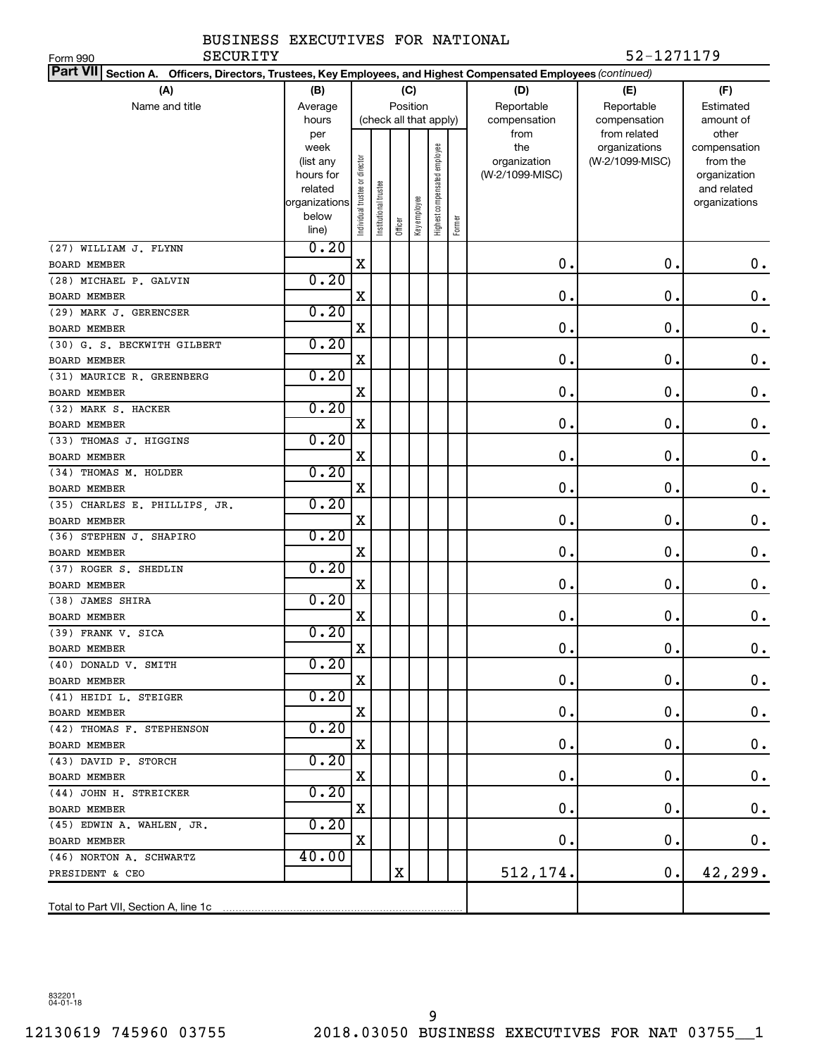| SECURITY<br>Form 990                                                                                            |                      |                               |                      |                |                        |                              |        |                 | 52-1271179      |                             |
|-----------------------------------------------------------------------------------------------------------------|----------------------|-------------------------------|----------------------|----------------|------------------------|------------------------------|--------|-----------------|-----------------|-----------------------------|
| Part VII Section A. Officers, Directors, Trustees, Key Employees, and Highest Compensated Employees (continued) |                      |                               |                      |                |                        |                              |        |                 |                 |                             |
| (A)                                                                                                             | (B)                  |                               |                      |                | (C)                    |                              |        | (D)             | (E)             | (F)                         |
| Name and title                                                                                                  | Average              |                               |                      |                | Position               |                              |        | Reportable      | Reportable      | Estimated                   |
|                                                                                                                 | hours                |                               |                      |                | (check all that apply) |                              |        | compensation    | compensation    | amount of                   |
|                                                                                                                 | per                  |                               |                      |                |                        |                              |        | from            | from related    | other                       |
|                                                                                                                 | week                 |                               |                      |                |                        |                              |        | the             | organizations   | compensation                |
|                                                                                                                 | (list any            |                               |                      |                |                        |                              |        | organization    | (W-2/1099-MISC) | from the                    |
|                                                                                                                 | hours for<br>related |                               |                      |                |                        |                              |        | (W-2/1099-MISC) |                 | organization<br>and related |
|                                                                                                                 | organizations        |                               |                      |                |                        |                              |        |                 |                 | organizations               |
|                                                                                                                 | below                | ndividual trustee or director | nstitutional trustee |                |                        | Highest compensated employee |        |                 |                 |                             |
|                                                                                                                 | line)                |                               |                      | <b>Officer</b> | Key employee           |                              | Former |                 |                 |                             |
| (27) WILLIAM J. FLYNN                                                                                           | 0.20                 |                               |                      |                |                        |                              |        |                 |                 |                             |
| <b>BOARD MEMBER</b>                                                                                             |                      | $\mathbf X$                   |                      |                |                        |                              |        | $\mathbf 0$ .   | 0.              | 0.                          |
| (28) MICHAEL P. GALVIN                                                                                          | 0.20                 |                               |                      |                |                        |                              |        |                 |                 |                             |
| <b>BOARD MEMBER</b>                                                                                             |                      | X                             |                      |                |                        |                              |        | $\mathbf 0$ .   | $\mathbf 0$ .   | 0.                          |
| (29) MARK J. GERENCSER                                                                                          | 0.20                 |                               |                      |                |                        |                              |        |                 |                 |                             |
| <b>BOARD MEMBER</b>                                                                                             |                      | X                             |                      |                |                        |                              |        | $\mathbf 0$ .   | $\mathbf 0$ .   | 0.                          |
| (30) G. S. BECKWITH GILBERT                                                                                     | 0.20                 |                               |                      |                |                        |                              |        |                 |                 |                             |
| <b>BOARD MEMBER</b>                                                                                             |                      | X                             |                      |                |                        |                              |        | $\mathbf 0$ .   | $\mathbf 0$ .   | 0.                          |
| (31) MAURICE R. GREENBERG                                                                                       | 0.20                 |                               |                      |                |                        |                              |        |                 |                 |                             |
| <b>BOARD MEMBER</b>                                                                                             |                      | X                             |                      |                |                        |                              |        | $\mathbf 0$ .   | $\mathbf 0$ .   | 0.                          |
| (32) MARK S. HACKER                                                                                             | 0.20                 |                               |                      |                |                        |                              |        |                 |                 |                             |
| <b>BOARD MEMBER</b>                                                                                             |                      | X                             |                      |                |                        |                              |        | $\mathbf 0$ .   | $\mathbf 0$ .   | 0.                          |
| (33) THOMAS J. HIGGINS                                                                                          | 0.20                 |                               |                      |                |                        |                              |        |                 |                 |                             |
| <b>BOARD MEMBER</b>                                                                                             |                      | X                             |                      |                |                        |                              |        | $\mathbf 0$ .   | $\mathbf 0$ .   | 0.                          |
| (34) THOMAS M. HOLDER                                                                                           | 0.20                 |                               |                      |                |                        |                              |        |                 |                 |                             |
| <b>BOARD MEMBER</b>                                                                                             |                      | X                             |                      |                |                        |                              |        | $\mathbf 0$ .   | $\mathbf 0$ .   | 0.                          |
| (35) CHARLES E. PHILLIPS, JR.                                                                                   | 0.20                 |                               |                      |                |                        |                              |        |                 |                 |                             |
| <b>BOARD MEMBER</b>                                                                                             |                      | X                             |                      |                |                        |                              |        | $\mathbf 0$ .   | $\mathbf 0$ .   | 0.                          |
| (36) STEPHEN J. SHAPIRO                                                                                         | 0.20                 |                               |                      |                |                        |                              |        |                 |                 |                             |
| <b>BOARD MEMBER</b>                                                                                             |                      | X                             |                      |                |                        |                              |        | $\mathbf 0$ .   | $\mathbf 0$ .   | 0.                          |
| (37) ROGER S. SHEDLIN                                                                                           | 0.20                 |                               |                      |                |                        |                              |        |                 |                 |                             |
| <b>BOARD MEMBER</b>                                                                                             |                      | X                             |                      |                |                        |                              |        | 0.              | О.              | 0.                          |
| (38) JAMES SHIRA                                                                                                | 0.20                 |                               |                      |                |                        |                              |        |                 |                 |                             |
| <b>BOARD MEMBER</b>                                                                                             |                      | X                             |                      |                |                        |                              |        | 0.              | О.              | 0.                          |
| (39) FRANK V. SICA                                                                                              | 0.20                 |                               |                      |                |                        |                              |        |                 |                 |                             |
| BOARD MEMBER                                                                                                    |                      | X                             |                      |                |                        |                              |        | 0               | $\mathbf 0$ .   | $0$ .                       |
| (40) DONALD V. SMITH                                                                                            | 0.20                 |                               |                      |                |                        |                              |        |                 |                 |                             |
| BOARD MEMBER                                                                                                    |                      | X                             |                      |                |                        |                              |        | 0.              | О.              | $0 \cdot$                   |
| (41) HEIDI L. STEIGER                                                                                           | 0.20                 |                               |                      |                |                        |                              |        |                 |                 |                             |
| BOARD MEMBER                                                                                                    |                      | X                             |                      |                |                        |                              |        | 0.              | О.              | $\mathbf 0$ .               |
| (42) THOMAS F. STEPHENSON                                                                                       | 0.20                 |                               |                      |                |                        |                              |        |                 |                 |                             |
| BOARD MEMBER                                                                                                    |                      | х                             |                      |                |                        |                              |        | 0.              | О.              | $\mathbf 0$ .               |
| (43) DAVID P. STORCH                                                                                            | 0.20                 |                               |                      |                |                        |                              |        |                 |                 |                             |
| BOARD MEMBER                                                                                                    |                      | Χ                             |                      |                |                        |                              |        | 0.              | 0.              | $\mathbf 0$ .               |
| (44) JOHN H. STREICKER                                                                                          | 0.20                 |                               |                      |                |                        |                              |        |                 |                 |                             |
| BOARD MEMBER                                                                                                    |                      | Χ                             |                      |                |                        |                              |        | 0.              | 0.              | $\mathbf 0$ .               |
| (45) EDWIN A. WAHLEN, JR.                                                                                       | 0.20                 |                               |                      |                |                        |                              |        |                 |                 |                             |
| BOARD MEMBER                                                                                                    |                      | X                             |                      |                |                        |                              |        | $\mathbf 0$ .   | О.              | $0\cdot$                    |
| (46) NORTON A. SCHWARTZ                                                                                         | 40.00                |                               |                      |                |                        |                              |        |                 |                 |                             |
| PRESIDENT & CEO                                                                                                 |                      |                               |                      | X              |                        |                              |        | 512,174.        | 0.              | 42,299.                     |
|                                                                                                                 |                      |                               |                      |                |                        |                              |        |                 |                 |                             |
|                                                                                                                 |                      |                               |                      |                |                        |                              |        |                 |                 |                             |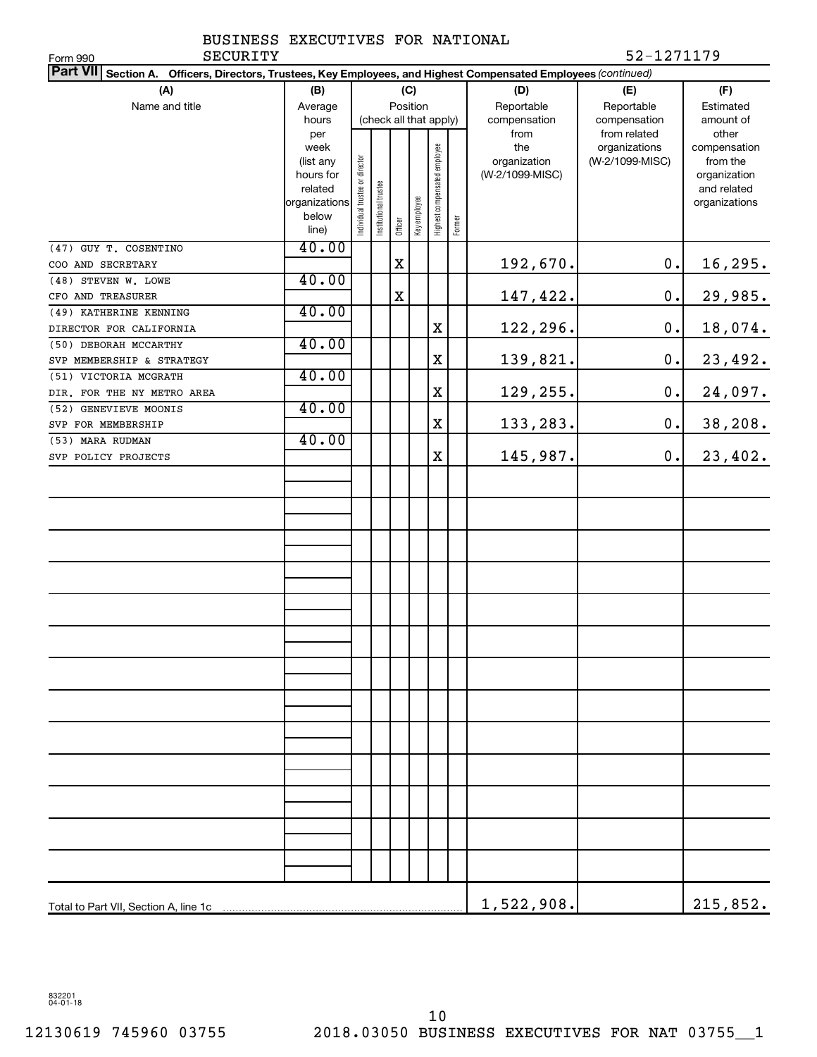|          | BUSINESS EXECUTIVES FOR NATIONAL |  |            |
|----------|----------------------------------|--|------------|
| SECURITY |                                  |  | 52-1271179 |

| SECURITY<br>Form 990                                                                                               |                      |                                |                       |             |              |                              |        |                 | 52-1271179      |                             |
|--------------------------------------------------------------------------------------------------------------------|----------------------|--------------------------------|-----------------------|-------------|--------------|------------------------------|--------|-----------------|-----------------|-----------------------------|
| Part VII Section A.<br>Officers, Directors, Trustees, Key Employees, and Highest Compensated Employees (continued) |                      |                                |                       |             |              |                              |        |                 |                 |                             |
| (A)                                                                                                                | (B)                  |                                |                       |             | (C)          |                              |        | (D)             | (E)             | (F)                         |
| Name and title                                                                                                     | Average              |                                |                       |             | Position     |                              |        | Reportable      | Reportable      | Estimated                   |
|                                                                                                                    | hours                |                                |                       |             |              | (check all that apply)       |        | compensation    | compensation    | amount of                   |
|                                                                                                                    | per                  |                                |                       |             |              |                              |        | from            | from related    | other                       |
|                                                                                                                    | week                 |                                |                       |             |              | Highest compensated employee |        | the             | organizations   | compensation                |
|                                                                                                                    | (list any            |                                |                       |             |              |                              |        | organization    | (W-2/1099-MISC) | from the                    |
|                                                                                                                    | hours for<br>related |                                |                       |             |              |                              |        | (W-2/1099-MISC) |                 | organization<br>and related |
|                                                                                                                    | organizations        | Individual trustee or director | Institutional trustee |             |              |                              |        |                 |                 | organizations               |
|                                                                                                                    | below                |                                |                       |             | Key employee |                              |        |                 |                 |                             |
|                                                                                                                    | line)                |                                |                       | Officer     |              |                              | Former |                 |                 |                             |
| (47) GUY T. COSENTINO                                                                                              | 40.00                |                                |                       |             |              |                              |        |                 |                 |                             |
| COO AND SECRETARY                                                                                                  |                      |                                |                       | $\mathbf X$ |              |                              |        | 192,670.        | 0.              | 16,295.                     |
| (48) STEVEN W. LOWE                                                                                                | 40.00                |                                |                       |             |              |                              |        |                 |                 |                             |
| CFO AND TREASURER                                                                                                  |                      |                                |                       | $\mathbf X$ |              |                              |        | 147,422.        | 0.              | 29,985.                     |
| (49) KATHERINE KENNING                                                                                             | 40.00                |                                |                       |             |              |                              |        |                 |                 |                             |
| DIRECTOR FOR CALIFORNIA                                                                                            |                      |                                |                       |             |              | X                            |        | 122,296.        | 0.              | 18,074.                     |
| (50) DEBORAH MCCARTHY                                                                                              | 40.00                |                                |                       |             |              |                              |        |                 |                 |                             |
| SVP MEMBERSHIP & STRATEGY                                                                                          |                      |                                |                       |             |              | X                            |        | 139,821.        | 0.              | 23,492.                     |
| (51) VICTORIA MCGRATH                                                                                              | 40.00                |                                |                       |             |              |                              |        |                 |                 |                             |
| DIR. FOR THE NY METRO AREA                                                                                         |                      |                                |                       |             |              | X                            |        | 129,255.        | 0.              | 24,097.                     |
| (52) GENEVIEVE MOONIS                                                                                              | 40.00                |                                |                       |             |              |                              |        |                 |                 |                             |
| SVP FOR MEMBERSHIP                                                                                                 |                      |                                |                       |             |              | X                            |        | 133,283.        | 0.              | 38,208.                     |
| (53) MARA RUDMAN                                                                                                   | 40.00                |                                |                       |             |              |                              |        |                 |                 |                             |
| SVP POLICY PROJECTS                                                                                                |                      |                                |                       |             |              | X                            |        | 145,987.        | $0$ .           | 23,402.                     |
|                                                                                                                    |                      |                                |                       |             |              |                              |        |                 |                 |                             |
|                                                                                                                    |                      |                                |                       |             |              |                              |        |                 |                 |                             |
|                                                                                                                    |                      |                                |                       |             |              |                              |        |                 |                 |                             |
|                                                                                                                    |                      |                                |                       |             |              |                              |        |                 |                 |                             |
|                                                                                                                    |                      |                                |                       |             |              |                              |        |                 |                 |                             |
|                                                                                                                    |                      |                                |                       |             |              |                              |        |                 |                 |                             |
|                                                                                                                    |                      |                                |                       |             |              |                              |        |                 |                 |                             |
|                                                                                                                    |                      |                                |                       |             |              |                              |        |                 |                 |                             |
|                                                                                                                    |                      |                                |                       |             |              |                              |        |                 |                 |                             |
|                                                                                                                    |                      |                                |                       |             |              |                              |        |                 |                 |                             |
|                                                                                                                    |                      |                                |                       |             |              |                              |        |                 |                 |                             |
|                                                                                                                    |                      |                                |                       |             |              |                              |        |                 |                 |                             |
|                                                                                                                    |                      |                                |                       |             |              |                              |        |                 |                 |                             |
|                                                                                                                    |                      |                                |                       |             |              |                              |        |                 |                 |                             |
|                                                                                                                    |                      |                                |                       |             |              |                              |        |                 |                 |                             |
|                                                                                                                    |                      |                                |                       |             |              |                              |        |                 |                 |                             |
|                                                                                                                    |                      |                                |                       |             |              |                              |        |                 |                 |                             |
|                                                                                                                    |                      |                                |                       |             |              |                              |        |                 |                 |                             |
|                                                                                                                    |                      |                                |                       |             |              |                              |        |                 |                 |                             |
|                                                                                                                    |                      |                                |                       |             |              |                              |        |                 |                 |                             |
|                                                                                                                    |                      |                                |                       |             |              |                              |        |                 |                 |                             |
|                                                                                                                    |                      |                                |                       |             |              |                              |        |                 |                 |                             |
|                                                                                                                    |                      |                                |                       |             |              |                              |        |                 |                 |                             |
|                                                                                                                    |                      |                                |                       |             |              |                              |        |                 |                 |                             |
|                                                                                                                    |                      |                                |                       |             |              |                              |        |                 |                 |                             |
|                                                                                                                    |                      |                                |                       |             |              |                              |        |                 |                 |                             |
|                                                                                                                    |                      |                                |                       |             |              |                              |        | 1,522,908.      |                 | 215,852.                    |

832201 04-01-18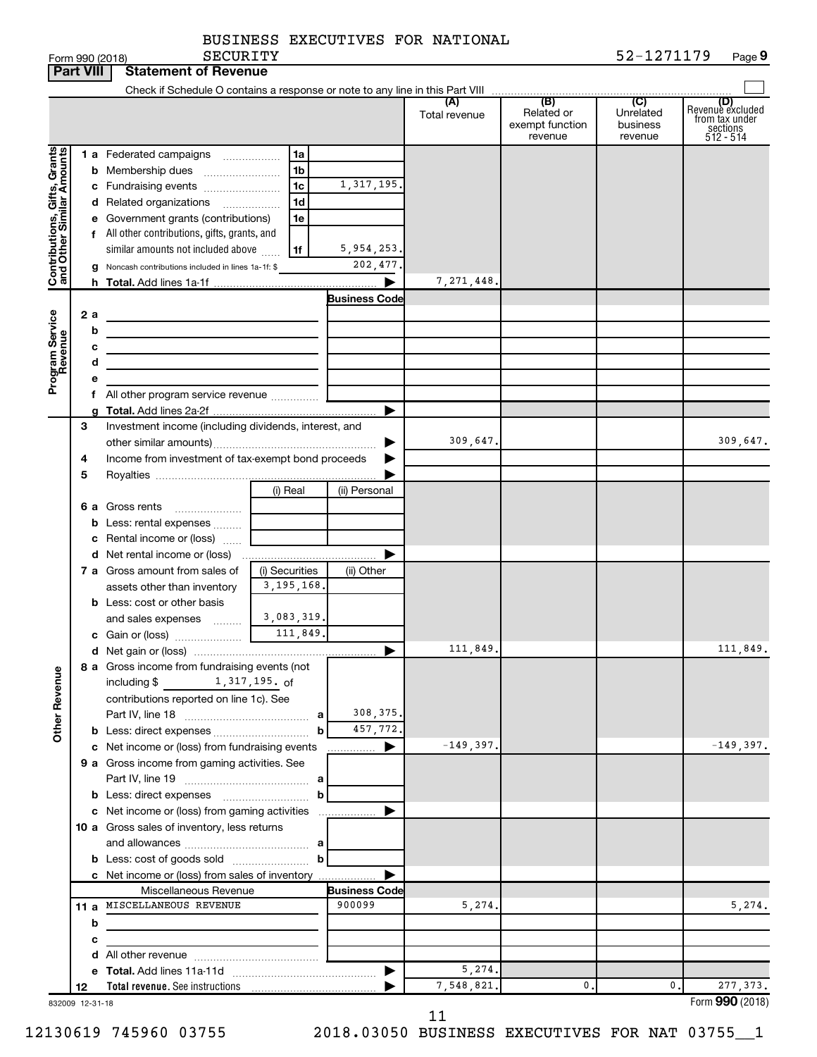| BUSINESS EXECUTIVES FOR NATIONAL |  |  |  |  |
|----------------------------------|--|--|--|--|
|----------------------------------|--|--|--|--|

|                                                           | <b>Part VIII</b> | <b>Statement of Revenue</b>                                             |                |                      |                      |                                                 |                                         |                                                                      |
|-----------------------------------------------------------|------------------|-------------------------------------------------------------------------|----------------|----------------------|----------------------|-------------------------------------------------|-----------------------------------------|----------------------------------------------------------------------|
|                                                           |                  |                                                                         |                |                      |                      |                                                 |                                         |                                                                      |
|                                                           |                  |                                                                         |                |                      | (A)<br>Total revenue | (B)<br>Related or<br>exempt function<br>revenue | (C)<br>Unrelated<br>business<br>revenue | (D)<br>Revenue excluded<br>from tax under<br>sections<br>$512 - 514$ |
|                                                           |                  | 1 a Federated campaigns                                                 | 1a             |                      |                      |                                                 |                                         |                                                                      |
|                                                           |                  | <b>b</b> Membership dues                                                | 1b             |                      |                      |                                                 |                                         |                                                                      |
|                                                           |                  | c Fundraising events                                                    | 1c             | 1, 317, 195.         |                      |                                                 |                                         |                                                                      |
|                                                           |                  | d Related organizations                                                 | 1d             |                      |                      |                                                 |                                         |                                                                      |
| Contributions, Gifts, Grants<br>and Other Similar Amounts |                  | e Government grants (contributions)                                     | 1e             |                      |                      |                                                 |                                         |                                                                      |
|                                                           |                  | f All other contributions, gifts, grants, and                           |                |                      |                      |                                                 |                                         |                                                                      |
|                                                           |                  | similar amounts not included above                                      | 1f             | 5,954,253.           |                      |                                                 |                                         |                                                                      |
|                                                           |                  | g Noncash contributions included in lines 1a-1f: \$                     |                | 202,477.             |                      |                                                 |                                         |                                                                      |
|                                                           |                  |                                                                         |                |                      | 7, 271, 448          |                                                 |                                         |                                                                      |
|                                                           |                  |                                                                         |                | <b>Business Code</b> |                      |                                                 |                                         |                                                                      |
| Program Service<br>Revenue                                | 2 a              |                                                                         |                |                      |                      |                                                 |                                         |                                                                      |
|                                                           | b                |                                                                         |                |                      |                      |                                                 |                                         |                                                                      |
|                                                           | с<br>d           |                                                                         |                |                      |                      |                                                 |                                         |                                                                      |
|                                                           |                  | <u> 1980 - Johann Barbara, martxa alemaniar a</u>                       |                |                      |                      |                                                 |                                         |                                                                      |
|                                                           |                  | f All other program service revenue  [                                  |                |                      |                      |                                                 |                                         |                                                                      |
|                                                           |                  |                                                                         |                | ▶                    |                      |                                                 |                                         |                                                                      |
|                                                           | 3                | Investment income (including dividends, interest, and                   |                |                      |                      |                                                 |                                         |                                                                      |
|                                                           |                  |                                                                         |                |                      | 309,647.             |                                                 |                                         | 309,647.                                                             |
|                                                           | 4                | Income from investment of tax-exempt bond proceeds                      |                |                      |                      |                                                 |                                         |                                                                      |
|                                                           | 5                |                                                                         |                |                      |                      |                                                 |                                         |                                                                      |
|                                                           |                  |                                                                         | (i) Real       | (ii) Personal        |                      |                                                 |                                         |                                                                      |
|                                                           |                  | 6 a Gross rents                                                         |                |                      |                      |                                                 |                                         |                                                                      |
|                                                           |                  | <b>b</b> Less: rental expenses                                          |                |                      |                      |                                                 |                                         |                                                                      |
|                                                           |                  | c Rental income or (loss)                                               |                |                      |                      |                                                 |                                         |                                                                      |
|                                                           |                  |                                                                         |                |                      |                      |                                                 |                                         |                                                                      |
|                                                           |                  | 7 a Gross amount from sales of                                          | (i) Securities | (ii) Other           |                      |                                                 |                                         |                                                                      |
|                                                           |                  | assets other than inventory                                             | 3, 195, 168.   |                      |                      |                                                 |                                         |                                                                      |
|                                                           |                  | <b>b</b> Less: cost or other basis<br>and sales expenses                | 3,083,319.     |                      |                      |                                                 |                                         |                                                                      |
|                                                           |                  |                                                                         | 111,849.       |                      |                      |                                                 |                                         |                                                                      |
|                                                           |                  |                                                                         |                |                      | 111,849.             |                                                 |                                         | 111,849.                                                             |
|                                                           |                  | 8 a Gross income from fundraising events (not                           |                |                      |                      |                                                 |                                         |                                                                      |
| <b>Other Revenue</b>                                      |                  | 1,317,195. of<br>including \$                                           |                |                      |                      |                                                 |                                         |                                                                      |
|                                                           |                  | contributions reported on line 1c). See                                 |                |                      |                      |                                                 |                                         |                                                                      |
|                                                           |                  |                                                                         |                | 308, 375.            |                      |                                                 |                                         |                                                                      |
|                                                           |                  | <b>b</b> Less: direct expenses <b>contained b</b> Less:                 | b              | 457,772.             |                      |                                                 |                                         |                                                                      |
|                                                           |                  | c Net income or (loss) from fundraising events                          |                | <u></u> ▶            | $-149,397.$          |                                                 |                                         | $-149,397.$                                                          |
|                                                           |                  | 9 a Gross income from gaming activities. See                            |                |                      |                      |                                                 |                                         |                                                                      |
|                                                           |                  |                                                                         |                |                      |                      |                                                 |                                         |                                                                      |
|                                                           |                  | <b>b</b> Less: direct expenses <b>contained b</b> Less: direct expenses | b              |                      |                      |                                                 |                                         |                                                                      |
|                                                           |                  | c Net income or (loss) from gaming activities                           |                |                      |                      |                                                 |                                         |                                                                      |
|                                                           |                  | 10 a Gross sales of inventory, less returns                             |                |                      |                      |                                                 |                                         |                                                                      |
|                                                           |                  |                                                                         |                |                      |                      |                                                 |                                         |                                                                      |
|                                                           |                  |                                                                         | b              |                      |                      |                                                 |                                         |                                                                      |
|                                                           |                  | c Net income or (loss) from sales of inventory<br>Miscellaneous Revenue |                | <b>Business Code</b> |                      |                                                 |                                         |                                                                      |
|                                                           |                  | 11 a MISCELLANEOUS REVENUE                                              |                | 900099               | 5,274.               |                                                 |                                         | 5,274.                                                               |
|                                                           | b                |                                                                         |                |                      |                      |                                                 |                                         |                                                                      |
|                                                           | с                | the control of the control of the control of the control of             |                |                      |                      |                                                 |                                         |                                                                      |
|                                                           |                  |                                                                         |                |                      |                      |                                                 |                                         |                                                                      |
|                                                           |                  |                                                                         |                | ▶                    | 5,274.               |                                                 |                                         |                                                                      |
|                                                           | 12               |                                                                         |                |                      | 7,548,821.           | 0.                                              | 0.                                      | 277, 373.                                                            |
|                                                           | 832009 12-31-18  |                                                                         |                |                      |                      |                                                 |                                         | Form 990 (2018)                                                      |

11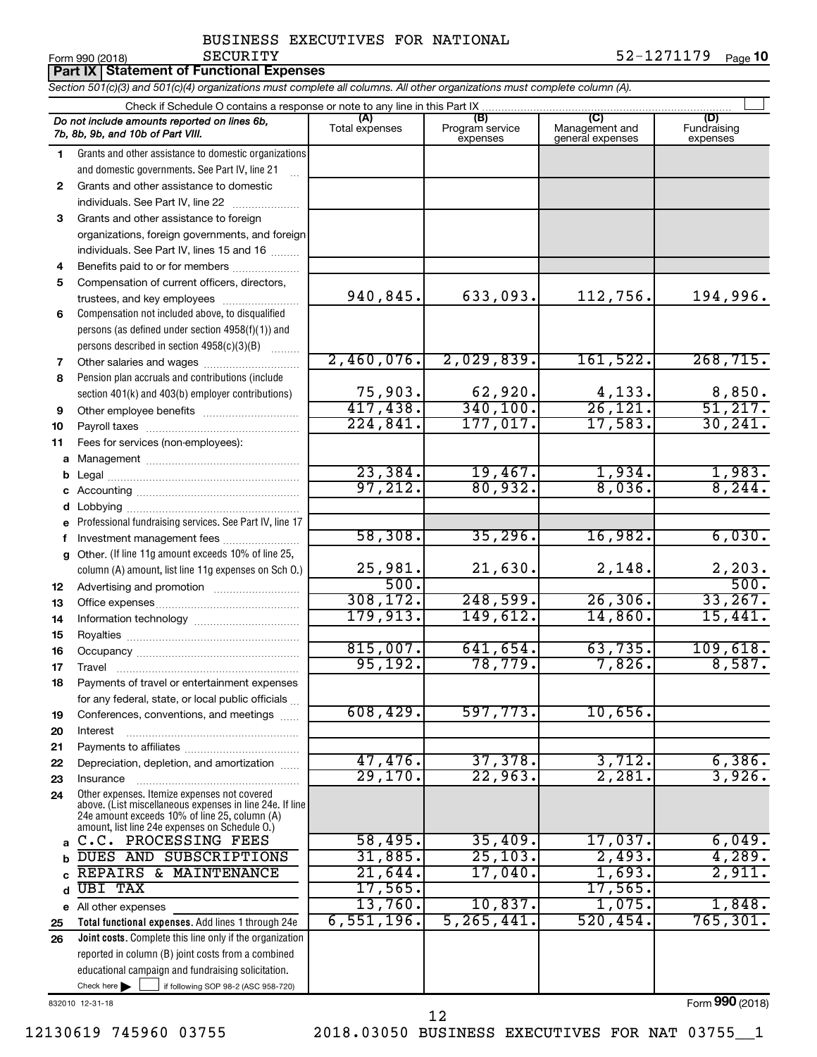# Form 990 (2018) Page **10** SECURITY 52-1271179

|    | Part IX   Statement of Functional Expenses                                                                                                                                                                  |                       |                                    |                                           |                                |
|----|-------------------------------------------------------------------------------------------------------------------------------------------------------------------------------------------------------------|-----------------------|------------------------------------|-------------------------------------------|--------------------------------|
|    | Section 501(c)(3) and 501(c)(4) organizations must complete all columns. All other organizations must complete column (A).                                                                                  |                       |                                    |                                           |                                |
|    | Check if Schedule O contains a response or note to any line in this Part IX                                                                                                                                 |                       |                                    |                                           |                                |
|    | Do not include amounts reported on lines 6b,<br>7b, 8b, 9b, and 10b of Part VIII.                                                                                                                           | (A)<br>Total expenses | (B)<br>Program service<br>expenses | (C)<br>Management and<br>general expenses | (D)<br>Fundraising<br>expenses |
| 1  | Grants and other assistance to domestic organizations                                                                                                                                                       |                       |                                    |                                           |                                |
|    | and domestic governments. See Part IV, line 21                                                                                                                                                              |                       |                                    |                                           |                                |
| 2  | Grants and other assistance to domestic                                                                                                                                                                     |                       |                                    |                                           |                                |
|    | individuals. See Part IV, line 22                                                                                                                                                                           |                       |                                    |                                           |                                |
| 3  | Grants and other assistance to foreign                                                                                                                                                                      |                       |                                    |                                           |                                |
|    | organizations, foreign governments, and foreign                                                                                                                                                             |                       |                                    |                                           |                                |
|    | individuals. See Part IV, lines 15 and 16                                                                                                                                                                   |                       |                                    |                                           |                                |
| 4  | Benefits paid to or for members                                                                                                                                                                             |                       |                                    |                                           |                                |
| 5  | Compensation of current officers, directors,                                                                                                                                                                |                       |                                    |                                           |                                |
|    | trustees, and key employees                                                                                                                                                                                 | 940,845.              | 633,093.                           | 112,756.                                  | 194,996.                       |
| 6  | Compensation not included above, to disqualified                                                                                                                                                            |                       |                                    |                                           |                                |
|    | persons (as defined under section 4958(f)(1)) and                                                                                                                                                           |                       |                                    |                                           |                                |
|    | persons described in section 4958(c)(3)(B)                                                                                                                                                                  |                       |                                    |                                           |                                |
| 7  | Other salaries and wages                                                                                                                                                                                    | 2,460,076.            | 2,029,839.                         | 161,522.                                  | 268, 715.                      |
| 8  | Pension plan accruals and contributions (include                                                                                                                                                            | 75,903.               | 62,920.                            |                                           |                                |
|    | section 401(k) and 403(b) employer contributions)                                                                                                                                                           | 417,438.              | 340,100.                           | $\frac{4,133}{26,121}$                    | $\frac{8,850}{51,217}$         |
| 9  |                                                                                                                                                                                                             | 224,841.              | 177,017.                           | 17,583.                                   | 30, 241.                       |
| 10 |                                                                                                                                                                                                             |                       |                                    |                                           |                                |
| 11 | Fees for services (non-employees):                                                                                                                                                                          |                       |                                    |                                           |                                |
| a  |                                                                                                                                                                                                             | 23,384.               | 19,467.                            | 1,934.                                    | 1,983.                         |
| b  |                                                                                                                                                                                                             | 97,212.               | 80,932.                            | 8,036.                                    | 8, 244.                        |
| d  |                                                                                                                                                                                                             |                       |                                    |                                           |                                |
|    | Professional fundraising services. See Part IV, line 17                                                                                                                                                     |                       |                                    |                                           |                                |
| f. | Investment management fees                                                                                                                                                                                  | 58,308.               | 35, 296.                           | 16,982.                                   | 6,030.                         |
| g  | Other. (If line 11g amount exceeds 10% of line 25,                                                                                                                                                          |                       |                                    |                                           |                                |
|    | column (A) amount, list line 11g expenses on Sch O.)                                                                                                                                                        | 25,981.               | 21,630.                            | 2,148.                                    |                                |
| 12 | Advertising and promotion <i>manually contained</i>                                                                                                                                                         | 500.                  |                                    |                                           | $\frac{2,203}{500}$            |
| 13 |                                                                                                                                                                                                             | 308, 172.             | 248,599.                           | 26, 306.                                  | 33,267.                        |
| 14 |                                                                                                                                                                                                             | 179,913.              | 149,612.                           | 14,860.                                   | 15,441.                        |
| 15 |                                                                                                                                                                                                             |                       |                                    |                                           |                                |
| 16 |                                                                                                                                                                                                             | 815,007.              | 641,654.                           | 63,735.                                   | 109,618.                       |
| 17 |                                                                                                                                                                                                             | 95, 192.              | 78, 779.                           | 7,826.                                    | 8,587.                         |
| 18 | Payments of travel or entertainment expenses                                                                                                                                                                |                       |                                    |                                           |                                |
|    | for any federal, state, or local public officials                                                                                                                                                           |                       |                                    |                                           |                                |
| 19 | Conferences, conventions, and meetings                                                                                                                                                                      | 608, 429.             | 597,773.                           | 10,656.                                   |                                |
| 20 | Interest                                                                                                                                                                                                    |                       |                                    |                                           |                                |
| 21 |                                                                                                                                                                                                             |                       |                                    |                                           |                                |
| 22 | Depreciation, depletion, and amortization                                                                                                                                                                   | 47,476.               | 37,378.                            | 3,712.                                    | 6,386.                         |
| 23 | Insurance                                                                                                                                                                                                   | 29,170.               | 22,963.                            | 2,281.                                    | 3,926.                         |
| 24 | Other expenses. Itemize expenses not covered<br>above. (List miscellaneous expenses in line 24e. If line<br>24e amount exceeds 10% of line 25, column (A)<br>amount, list line 24e expenses on Schedule O.) |                       |                                    |                                           |                                |
| a  | C.C. PROCESSING FEES                                                                                                                                                                                        | 58,495.               | 35,409.                            | 17,037.                                   | 6,049.                         |
|    | DUES AND SUBSCRIPTIONS                                                                                                                                                                                      | 31,885.               | 25, 103.                           | 2,493.                                    | 4,289.                         |
|    | REPAIRS & MAINTENANCE                                                                                                                                                                                       | 21,644.               | 17,040.                            | 1,693.                                    | 2,911.                         |
| d  | <b>UBI TAX</b>                                                                                                                                                                                              | 17,565.               |                                    | 17,565.                                   |                                |
| е  | All other expenses                                                                                                                                                                                          | 13,760.               | 10,837.                            | 1,075.                                    | 1,848.                         |
| 25 | Total functional expenses. Add lines 1 through 24e                                                                                                                                                          | 6,551,196.            | 5, 265, 441.                       | 520,454.                                  | 765, 301.                      |
| 26 | <b>Joint costs.</b> Complete this line only if the organization                                                                                                                                             |                       |                                    |                                           |                                |
|    | reported in column (B) joint costs from a combined                                                                                                                                                          |                       |                                    |                                           |                                |
|    | educational campaign and fundraising solicitation.                                                                                                                                                          |                       |                                    |                                           |                                |

832010 12-31-18

Check here

Form (2018) **990**

 $\Box$ 

if following SOP 98-2 (ASC 958-720)

12130619 745960 03755 2018.03050 BUSINESS EXECUTIVES FOR NAT 03755\_\_1

12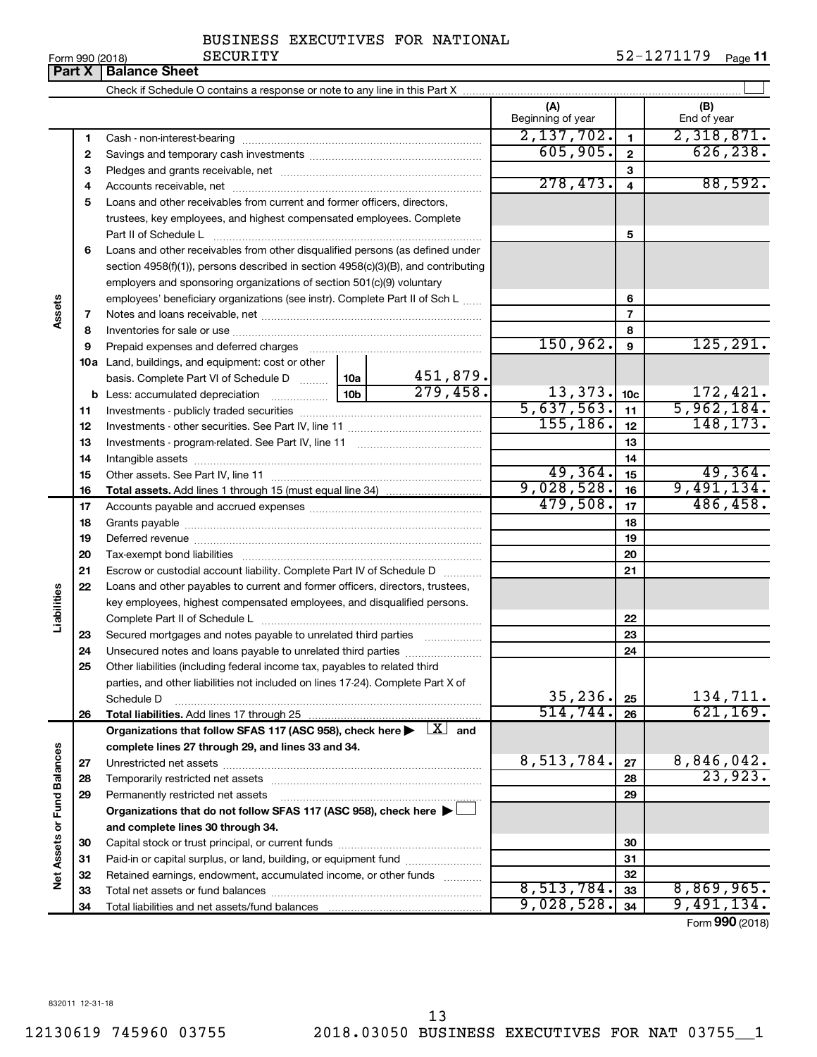832011 12-31-18

### BUSINESS EXECUTIVES FOR NATIONAL

**Part X Balance Sheet**

|                             |    |                                                                                                                         |                 |          | (A)<br>Beginning of year   |                         | (B)<br>End of year |
|-----------------------------|----|-------------------------------------------------------------------------------------------------------------------------|-----------------|----------|----------------------------|-------------------------|--------------------|
|                             | 1  |                                                                                                                         |                 |          | 2,137,702.                 | $\mathbf{1}$            | 2,318,871.         |
|                             | 2  |                                                                                                                         |                 |          | 605,905.                   | $\mathbf{2}$            | 626, 238.          |
|                             | З  |                                                                                                                         |                 |          |                            | 3                       |                    |
|                             | 4  |                                                                                                                         |                 |          | 278,473.                   | $\overline{\mathbf{4}}$ | 88,592.            |
|                             | 5  | Loans and other receivables from current and former officers, directors,                                                |                 |          |                            |                         |                    |
|                             |    | trustees, key employees, and highest compensated employees. Complete                                                    |                 |          |                            |                         |                    |
|                             |    |                                                                                                                         |                 |          |                            | 5                       |                    |
|                             | 6  | Loans and other receivables from other disqualified persons (as defined under                                           |                 |          |                            |                         |                    |
|                             |    | section 4958(f)(1)), persons described in section 4958(c)(3)(B), and contributing                                       |                 |          |                            |                         |                    |
|                             |    | employers and sponsoring organizations of section 501(c)(9) voluntary                                                   |                 |          |                            |                         |                    |
|                             |    | employees' beneficiary organizations (see instr). Complete Part II of Sch L                                             |                 |          |                            | 6                       |                    |
| Assets                      | 7  |                                                                                                                         |                 |          |                            | 7                       |                    |
|                             | 8  |                                                                                                                         |                 |          |                            | 8                       |                    |
|                             | 9  | Prepaid expenses and deferred charges                                                                                   |                 |          | 150, 962.                  | 9                       | 125, 291.          |
|                             |    | <b>10a</b> Land, buildings, and equipment: cost or other                                                                |                 |          |                            |                         |                    |
|                             |    | basis. Complete Part VI of Schedule D  10a                                                                              |                 | 451,879. |                            |                         |                    |
|                             |    |                                                                                                                         | 10 <sub>b</sub> | 279,458. | $\frac{13,373}{5,637,563}$ | 10 <sub>c</sub>         | 172,421.           |
|                             | 11 |                                                                                                                         |                 |          |                            | 11                      | 5,962,184.         |
|                             | 12 |                                                                                                                         |                 |          | 155, 186.                  | 12                      | 148, 173.          |
|                             | 13 |                                                                                                                         |                 |          |                            | 13                      |                    |
|                             | 14 |                                                                                                                         |                 |          |                            | 14                      |                    |
|                             | 15 |                                                                                                                         |                 |          | 49,364.                    | 15                      | 49,364.            |
|                             | 16 |                                                                                                                         |                 |          | 9,028,528.                 | 16                      | 9,491,134.         |
|                             | 17 |                                                                                                                         |                 |          | 479,508.                   | 17                      | 486,458.           |
|                             | 18 |                                                                                                                         |                 |          |                            | 18                      |                    |
|                             | 19 |                                                                                                                         |                 |          |                            | 19                      |                    |
|                             | 20 |                                                                                                                         |                 |          |                            | 20                      |                    |
|                             | 21 | Escrow or custodial account liability. Complete Part IV of Schedule D                                                   |                 |          |                            | 21                      |                    |
|                             | 22 | Loans and other payables to current and former officers, directors, trustees,                                           |                 |          |                            |                         |                    |
| Liabilities                 |    | key employees, highest compensated employees, and disqualified persons.                                                 |                 |          |                            |                         |                    |
|                             |    |                                                                                                                         |                 |          |                            | 22                      |                    |
|                             | 23 | Secured mortgages and notes payable to unrelated third parties                                                          |                 |          |                            | 23                      |                    |
|                             | 24 | Unsecured notes and loans payable to unrelated third parties                                                            |                 |          |                            | 24                      |                    |
|                             | 25 | Other liabilities (including federal income tax, payables to related third                                              |                 |          |                            |                         |                    |
|                             |    | parties, and other liabilities not included on lines 17-24). Complete Part X of                                         |                 |          | 35, 236.                   | 25                      | 134,711.           |
|                             |    | Schedule D<br>Total liabilities. Add lines 17 through 25                                                                |                 |          | 514,744.                   | 26                      | 621, 169.          |
|                             | 26 | Organizations that follow SFAS 117 (ASC 958), check here $\blacktriangleright \begin{array}{c} \perp X \end{array}$ and |                 |          |                            |                         |                    |
|                             |    | complete lines 27 through 29, and lines 33 and 34.                                                                      |                 |          |                            |                         |                    |
|                             | 27 |                                                                                                                         |                 |          | 8,513,784.                 | 27                      | 8,846,042.         |
|                             | 28 |                                                                                                                         |                 |          |                            | 28                      | 23,923.            |
|                             | 29 | Permanently restricted net assets                                                                                       |                 |          |                            | 29                      |                    |
|                             |    | Organizations that do not follow SFAS 117 (ASC 958), check here ▶                                                       |                 |          |                            |                         |                    |
|                             |    | and complete lines 30 through 34.                                                                                       |                 |          |                            |                         |                    |
|                             | 30 |                                                                                                                         |                 |          |                            | 30                      |                    |
| Net Assets or Fund Balances | 31 | Paid-in or capital surplus, or land, building, or equipment fund                                                        |                 |          |                            | 31                      |                    |
|                             | 32 | Retained earnings, endowment, accumulated income, or other funds                                                        |                 |          |                            | 32                      |                    |
|                             | 33 |                                                                                                                         |                 |          | 8,513,784.                 | 33                      | 8,869,965.         |
|                             | 34 |                                                                                                                         |                 |          | 9,028,528.                 | 34                      | 9,491,134.         |
|                             |    |                                                                                                                         |                 |          |                            |                         | $-$ 000 $(0.010)$  |

Form (2018) **990**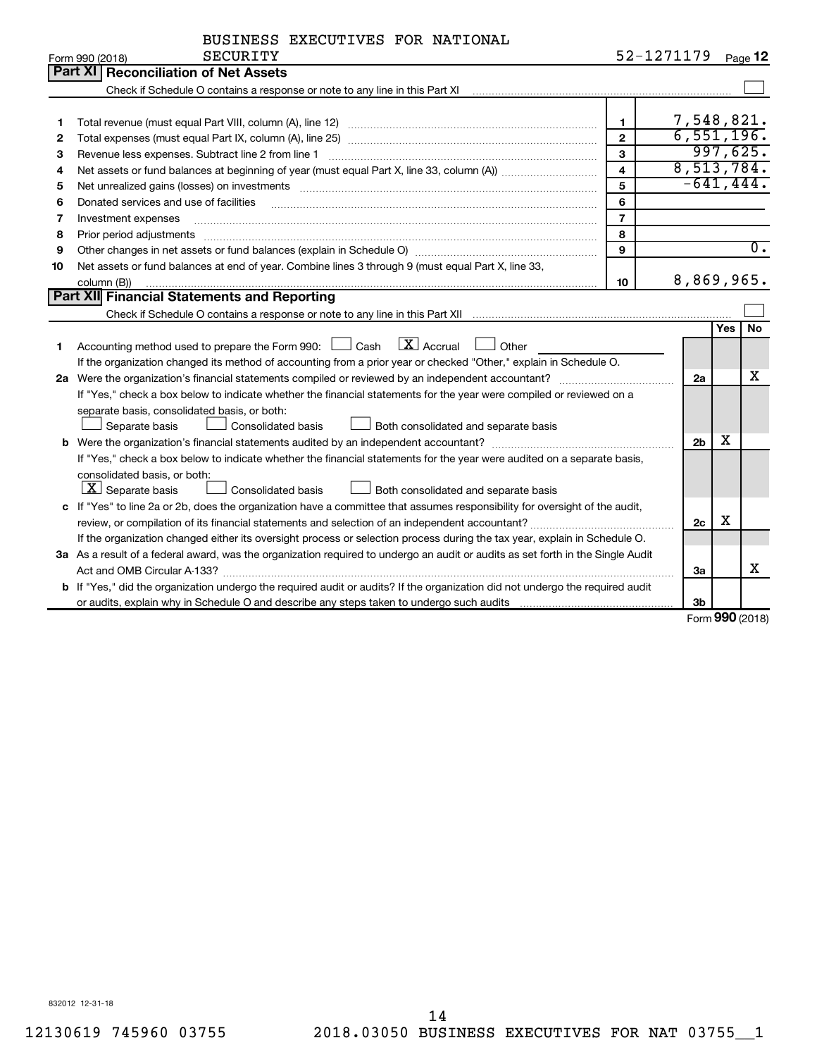| BUSINESS EXECUTIVES FOR NATIONAL |  |  |
|----------------------------------|--|--|
|----------------------------------|--|--|

|    | <b>SECURITY</b><br>Form 990 (2018)                                                                                                                                                                                             | 52-1271179     |                |            | Page 12          |  |  |  |
|----|--------------------------------------------------------------------------------------------------------------------------------------------------------------------------------------------------------------------------------|----------------|----------------|------------|------------------|--|--|--|
|    | Part XI Reconciliation of Net Assets                                                                                                                                                                                           |                |                |            |                  |  |  |  |
|    |                                                                                                                                                                                                                                |                |                |            |                  |  |  |  |
|    |                                                                                                                                                                                                                                |                |                |            |                  |  |  |  |
| 1  |                                                                                                                                                                                                                                | $\mathbf{1}$   | 7,548,821.     |            |                  |  |  |  |
| 2  |                                                                                                                                                                                                                                | $\overline{2}$ | 6,551,196.     |            |                  |  |  |  |
| 3  | Revenue less expenses. Subtract line 2 from line 1                                                                                                                                                                             | 3              | 8,513,784.     |            | 997,625.         |  |  |  |
| 4  | $\overline{\mathbf{4}}$                                                                                                                                                                                                        |                |                |            |                  |  |  |  |
| 5  | Net unrealized gains (losses) on investments [11] matter than the control of the state of the state of the state of the state of the state of the state of the state of the state of the state of the state of the state of th | 5              | $-641, 444.$   |            |                  |  |  |  |
| 6  | Donated services and use of facilities                                                                                                                                                                                         | 6              |                |            |                  |  |  |  |
| 7  | Investment expenses                                                                                                                                                                                                            | $\overline{7}$ |                |            |                  |  |  |  |
| 8  | Prior period adjustments www.communication.communication.com/news/communication.com/news/communication.com/new                                                                                                                 | 8              |                |            |                  |  |  |  |
| 9  |                                                                                                                                                                                                                                | 9              |                |            | $\overline{0}$ . |  |  |  |
| 10 | Net assets or fund balances at end of year. Combine lines 3 through 9 (must equal Part X, line 33,                                                                                                                             |                |                |            |                  |  |  |  |
|    | column (B))                                                                                                                                                                                                                    | 10             | 8,869,965.     |            |                  |  |  |  |
|    | <b>Part XII</b> Financial Statements and Reporting                                                                                                                                                                             |                |                |            |                  |  |  |  |
|    |                                                                                                                                                                                                                                |                |                |            |                  |  |  |  |
|    |                                                                                                                                                                                                                                |                |                | <b>Yes</b> | No               |  |  |  |
| 1  | Accounting method used to prepare the Form 990: $\Box$ Cash $\Box$ Accrual $\Box$ Other                                                                                                                                        |                |                |            |                  |  |  |  |
|    | If the organization changed its method of accounting from a prior year or checked "Other," explain in Schedule O.                                                                                                              |                |                |            |                  |  |  |  |
|    | 2a Were the organization's financial statements compiled or reviewed by an independent accountant?                                                                                                                             |                | 2a             |            | х                |  |  |  |
|    | If "Yes," check a box below to indicate whether the financial statements for the year were compiled or reviewed on a                                                                                                           |                |                |            |                  |  |  |  |
|    | separate basis, consolidated basis, or both:                                                                                                                                                                                   |                |                |            |                  |  |  |  |
|    | Separate basis<br>Consolidated basis<br>Both consolidated and separate basis                                                                                                                                                   |                |                |            |                  |  |  |  |
|    |                                                                                                                                                                                                                                |                | 2 <sub>b</sub> | x          |                  |  |  |  |
|    | If "Yes," check a box below to indicate whether the financial statements for the year were audited on a separate basis,                                                                                                        |                |                |            |                  |  |  |  |
|    | consolidated basis, or both:                                                                                                                                                                                                   |                |                |            |                  |  |  |  |
|    | $ \mathbf{X} $ Separate basis<br><b>Consolidated basis</b><br>Both consolidated and separate basis                                                                                                                             |                |                |            |                  |  |  |  |
|    | c If "Yes" to line 2a or 2b, does the organization have a committee that assumes responsibility for oversight of the audit,                                                                                                    |                |                |            |                  |  |  |  |
|    |                                                                                                                                                                                                                                |                | 2c             | X          |                  |  |  |  |
|    | If the organization changed either its oversight process or selection process during the tax year, explain in Schedule O.                                                                                                      |                |                |            |                  |  |  |  |
|    | 3a As a result of a federal award, was the organization required to undergo an audit or audits as set forth in the Single Audit                                                                                                |                |                |            |                  |  |  |  |
|    |                                                                                                                                                                                                                                |                | За             |            | х                |  |  |  |
|    | b If "Yes," did the organization undergo the required audit or audits? If the organization did not undergo the required audit                                                                                                  |                |                |            |                  |  |  |  |
|    |                                                                                                                                                                                                                                |                | 3 <sub>b</sub> |            |                  |  |  |  |

Form (2018) **990**

832012 12-31-18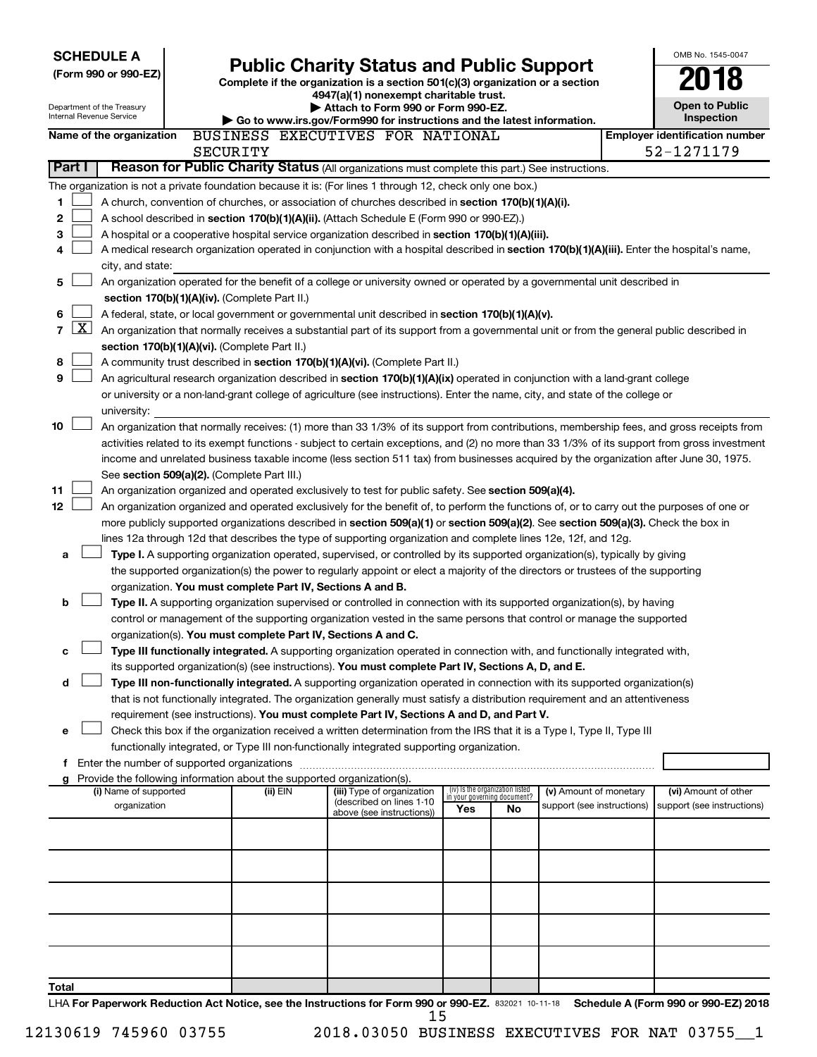| <b>SCHEDULE A</b><br>(Form 990 or 990-EZ)                                                                                                                                                                                                            | <b>Public Charity Status and Public Support</b><br>Complete if the organization is a section 501(c)(3) organization or a section<br>4947(a)(1) nonexempt charitable trust. |                                                                                                                                                                                                                      |     |                                                                |                            |  |                                       |  |  |  |
|------------------------------------------------------------------------------------------------------------------------------------------------------------------------------------------------------------------------------------------------------|----------------------------------------------------------------------------------------------------------------------------------------------------------------------------|----------------------------------------------------------------------------------------------------------------------------------------------------------------------------------------------------------------------|-----|----------------------------------------------------------------|----------------------------|--|---------------------------------------|--|--|--|
| Department of the Treasury<br>Internal Revenue Service                                                                                                                                                                                               |                                                                                                                                                                            | Attach to Form 990 or Form 990-EZ.<br>Go to www.irs.gov/Form990 for instructions and the latest information.                                                                                                         |     |                                                                |                            |  | <b>Open to Public</b><br>Inspection   |  |  |  |
| Name of the organization                                                                                                                                                                                                                             |                                                                                                                                                                            | BUSINESS EXECUTIVES FOR NATIONAL                                                                                                                                                                                     |     |                                                                |                            |  | <b>Employer identification number</b> |  |  |  |
| Part I                                                                                                                                                                                                                                               | SECURITY                                                                                                                                                                   | Reason for Public Charity Status (All organizations must complete this part.) See instructions.                                                                                                                      |     |                                                                |                            |  | 52-1271179                            |  |  |  |
|                                                                                                                                                                                                                                                      |                                                                                                                                                                            |                                                                                                                                                                                                                      |     |                                                                |                            |  |                                       |  |  |  |
| The organization is not a private foundation because it is: (For lines 1 through 12, check only one box.)<br>1<br>A church, convention of churches, or association of churches described in section 170(b)(1)(A)(i).                                 |                                                                                                                                                                            |                                                                                                                                                                                                                      |     |                                                                |                            |  |                                       |  |  |  |
| $\mathbf 2$<br>A school described in section 170(b)(1)(A)(ii). (Attach Schedule E (Form 990 or 990-EZ).)                                                                                                                                             |                                                                                                                                                                            |                                                                                                                                                                                                                      |     |                                                                |                            |  |                                       |  |  |  |
| 3<br>A hospital or a cooperative hospital service organization described in section 170(b)(1)(A)(iii).                                                                                                                                               |                                                                                                                                                                            |                                                                                                                                                                                                                      |     |                                                                |                            |  |                                       |  |  |  |
| 4                                                                                                                                                                                                                                                    | A medical research organization operated in conjunction with a hospital described in section 170(b)(1)(A)(iii). Enter the hospital's name,                                 |                                                                                                                                                                                                                      |     |                                                                |                            |  |                                       |  |  |  |
| city, and state:                                                                                                                                                                                                                                     |                                                                                                                                                                            |                                                                                                                                                                                                                      |     |                                                                |                            |  |                                       |  |  |  |
| 5                                                                                                                                                                                                                                                    | An organization operated for the benefit of a college or university owned or operated by a governmental unit described in<br>section 170(b)(1)(A)(iv). (Complete Part II.) |                                                                                                                                                                                                                      |     |                                                                |                            |  |                                       |  |  |  |
| 6<br>A federal, state, or local government or governmental unit described in section 170(b)(1)(A)(v).                                                                                                                                                |                                                                                                                                                                            |                                                                                                                                                                                                                      |     |                                                                |                            |  |                                       |  |  |  |
| $\mathbf{X}$<br>7<br>An organization that normally receives a substantial part of its support from a governmental unit or from the general public described in                                                                                       |                                                                                                                                                                            |                                                                                                                                                                                                                      |     |                                                                |                            |  |                                       |  |  |  |
| section 170(b)(1)(A)(vi). (Complete Part II.)                                                                                                                                                                                                        |                                                                                                                                                                            |                                                                                                                                                                                                                      |     |                                                                |                            |  |                                       |  |  |  |
| 8<br>A community trust described in section 170(b)(1)(A)(vi). (Complete Part II.)                                                                                                                                                                    |                                                                                                                                                                            |                                                                                                                                                                                                                      |     |                                                                |                            |  |                                       |  |  |  |
| 9<br>An agricultural research organization described in section 170(b)(1)(A)(ix) operated in conjunction with a land-grant college                                                                                                                   |                                                                                                                                                                            |                                                                                                                                                                                                                      |     |                                                                |                            |  |                                       |  |  |  |
| or university or a non-land-grant college of agriculture (see instructions). Enter the name, city, and state of the college or                                                                                                                       |                                                                                                                                                                            |                                                                                                                                                                                                                      |     |                                                                |                            |  |                                       |  |  |  |
| university:<br>10<br>An organization that normally receives: (1) more than 33 1/3% of its support from contributions, membership fees, and gross receipts from                                                                                       |                                                                                                                                                                            |                                                                                                                                                                                                                      |     |                                                                |                            |  |                                       |  |  |  |
| activities related to its exempt functions - subject to certain exceptions, and (2) no more than 33 1/3% of its support from gross investment                                                                                                        |                                                                                                                                                                            |                                                                                                                                                                                                                      |     |                                                                |                            |  |                                       |  |  |  |
| income and unrelated business taxable income (less section 511 tax) from businesses acquired by the organization after June 30, 1975.                                                                                                                |                                                                                                                                                                            |                                                                                                                                                                                                                      |     |                                                                |                            |  |                                       |  |  |  |
| See section 509(a)(2). (Complete Part III.)                                                                                                                                                                                                          |                                                                                                                                                                            |                                                                                                                                                                                                                      |     |                                                                |                            |  |                                       |  |  |  |
| 11<br>An organization organized and operated exclusively to test for public safety. See section 509(a)(4).                                                                                                                                           |                                                                                                                                                                            |                                                                                                                                                                                                                      |     |                                                                |                            |  |                                       |  |  |  |
| 12<br>An organization organized and operated exclusively for the benefit of, to perform the functions of, or to carry out the purposes of one or                                                                                                     |                                                                                                                                                                            |                                                                                                                                                                                                                      |     |                                                                |                            |  |                                       |  |  |  |
| more publicly supported organizations described in section 509(a)(1) or section 509(a)(2). See section 509(a)(3). Check the box in<br>lines 12a through 12d that describes the type of supporting organization and complete lines 12e, 12f, and 12g. |                                                                                                                                                                            |                                                                                                                                                                                                                      |     |                                                                |                            |  |                                       |  |  |  |
| a                                                                                                                                                                                                                                                    |                                                                                                                                                                            | Type I. A supporting organization operated, supervised, or controlled by its supported organization(s), typically by giving                                                                                          |     |                                                                |                            |  |                                       |  |  |  |
|                                                                                                                                                                                                                                                      |                                                                                                                                                                            | the supported organization(s) the power to regularly appoint or elect a majority of the directors or trustees of the supporting                                                                                      |     |                                                                |                            |  |                                       |  |  |  |
| organization. You must complete Part IV, Sections A and B.                                                                                                                                                                                           |                                                                                                                                                                            |                                                                                                                                                                                                                      |     |                                                                |                            |  |                                       |  |  |  |
| b                                                                                                                                                                                                                                                    |                                                                                                                                                                            | Type II. A supporting organization supervised or controlled in connection with its supported organization(s), by having                                                                                              |     |                                                                |                            |  |                                       |  |  |  |
|                                                                                                                                                                                                                                                      |                                                                                                                                                                            | control or management of the supporting organization vested in the same persons that control or manage the supported                                                                                                 |     |                                                                |                            |  |                                       |  |  |  |
| organization(s). You must complete Part IV, Sections A and C.<br>с                                                                                                                                                                                   |                                                                                                                                                                            | Type III functionally integrated. A supporting organization operated in connection with, and functionally integrated with,                                                                                           |     |                                                                |                            |  |                                       |  |  |  |
|                                                                                                                                                                                                                                                      |                                                                                                                                                                            | its supported organization(s) (see instructions). You must complete Part IV, Sections A, D, and E.                                                                                                                   |     |                                                                |                            |  |                                       |  |  |  |
| d                                                                                                                                                                                                                                                    |                                                                                                                                                                            | Type III non-functionally integrated. A supporting organization operated in connection with its supported organization(s)                                                                                            |     |                                                                |                            |  |                                       |  |  |  |
|                                                                                                                                                                                                                                                      |                                                                                                                                                                            | that is not functionally integrated. The organization generally must satisfy a distribution requirement and an attentiveness                                                                                         |     |                                                                |                            |  |                                       |  |  |  |
|                                                                                                                                                                                                                                                      |                                                                                                                                                                            | requirement (see instructions). You must complete Part IV, Sections A and D, and Part V.                                                                                                                             |     |                                                                |                            |  |                                       |  |  |  |
| е                                                                                                                                                                                                                                                    |                                                                                                                                                                            | Check this box if the organization received a written determination from the IRS that it is a Type I, Type II, Type III<br>functionally integrated, or Type III non-functionally integrated supporting organization. |     |                                                                |                            |  |                                       |  |  |  |
| f Enter the number of supported organizations                                                                                                                                                                                                        |                                                                                                                                                                            |                                                                                                                                                                                                                      |     |                                                                |                            |  |                                       |  |  |  |
| g Provide the following information about the supported organization(s).                                                                                                                                                                             |                                                                                                                                                                            |                                                                                                                                                                                                                      |     |                                                                |                            |  |                                       |  |  |  |
| (i) Name of supported                                                                                                                                                                                                                                | (ii) EIN                                                                                                                                                                   | (iii) Type of organization<br>(described on lines 1-10                                                                                                                                                               |     | (iv) Is the organization listed<br>in your governing document? | (v) Amount of monetary     |  | (vi) Amount of other                  |  |  |  |
| organization                                                                                                                                                                                                                                         |                                                                                                                                                                            | above (see instructions))                                                                                                                                                                                            | Yes | No                                                             | support (see instructions) |  | support (see instructions)            |  |  |  |
|                                                                                                                                                                                                                                                      |                                                                                                                                                                            |                                                                                                                                                                                                                      |     |                                                                |                            |  |                                       |  |  |  |
|                                                                                                                                                                                                                                                      |                                                                                                                                                                            |                                                                                                                                                                                                                      |     |                                                                |                            |  |                                       |  |  |  |
|                                                                                                                                                                                                                                                      |                                                                                                                                                                            |                                                                                                                                                                                                                      |     |                                                                |                            |  |                                       |  |  |  |
|                                                                                                                                                                                                                                                      |                                                                                                                                                                            |                                                                                                                                                                                                                      |     |                                                                |                            |  |                                       |  |  |  |
|                                                                                                                                                                                                                                                      |                                                                                                                                                                            |                                                                                                                                                                                                                      |     |                                                                |                            |  |                                       |  |  |  |
|                                                                                                                                                                                                                                                      |                                                                                                                                                                            |                                                                                                                                                                                                                      |     |                                                                |                            |  |                                       |  |  |  |
|                                                                                                                                                                                                                                                      |                                                                                                                                                                            |                                                                                                                                                                                                                      |     |                                                                |                            |  |                                       |  |  |  |
|                                                                                                                                                                                                                                                      |                                                                                                                                                                            |                                                                                                                                                                                                                      |     |                                                                |                            |  |                                       |  |  |  |
| Total                                                                                                                                                                                                                                                |                                                                                                                                                                            |                                                                                                                                                                                                                      |     |                                                                |                            |  |                                       |  |  |  |
| I HA For Paperwork Reduction Act Notice, see the Instructions for Form 990 or 990-EZ, 832021 10-11-18 Schedule A (Form 990 or 990-EZ) 2018                                                                                                           |                                                                                                                                                                            |                                                                                                                                                                                                                      |     |                                                                |                            |  |                                       |  |  |  |

2021 10-11-18 **Schedule A (F**o **For Paperwork Reduction Act Notice, see the Instructions for Form 990 or 990-EZ. Schedule A (Form 990 or 990-EZ) 2018 \For Pape** 15

12130619 745960 03755 2018.03050 BUSINESS EXECUTIVES FOR NAT 03755\_\_1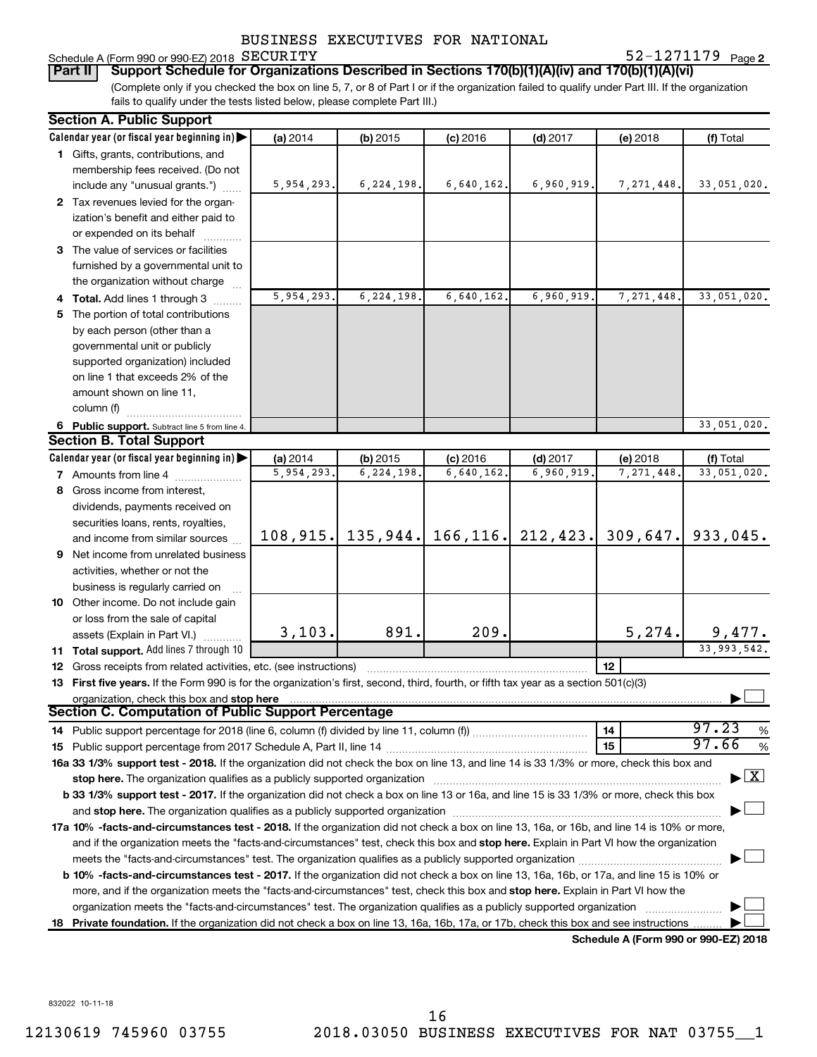#### Schedule A (Form 990 or 990-EZ) 2018 SECURITY

**2** SECURITY 52-1271179

(Complete only if you checked the box on line 5, 7, or 8 of Part I or if the organization failed to qualify under Part III. If the organization fails to qualify under the tests listed below, please complete Part III.) **Part II Support Schedule for Organizations Described in Sections 170(b)(1)(A)(iv) and 170(b)(1)(A)(vi)**

| <b>Section A. Public Support</b>                                                                                                           |            |                     |            |                       |             |                                      |
|--------------------------------------------------------------------------------------------------------------------------------------------|------------|---------------------|------------|-----------------------|-------------|--------------------------------------|
| Calendar year (or fiscal year beginning in)                                                                                                | (a) 2014   | (b) 2015            | $(c)$ 2016 | $(d)$ 2017            | (e) 2018    | (f) Total                            |
| 1 Gifts, grants, contributions, and                                                                                                        |            |                     |            |                       |             |                                      |
| membership fees received. (Do not                                                                                                          |            |                     |            |                       |             |                                      |
| include any "unusual grants.")                                                                                                             | 5,954,293. | 6, 224, 198.        | 6,640,162. | 6,960,919.            | 7,271,448.  | 33,051,020.                          |
| 2 Tax revenues levied for the organ-                                                                                                       |            |                     |            |                       |             |                                      |
| ization's benefit and either paid to                                                                                                       |            |                     |            |                       |             |                                      |
| or expended on its behalf                                                                                                                  |            |                     |            |                       |             |                                      |
| 3 The value of services or facilities                                                                                                      |            |                     |            |                       |             |                                      |
| furnished by a governmental unit to                                                                                                        |            |                     |            |                       |             |                                      |
| the organization without charge                                                                                                            |            |                     |            |                       |             |                                      |
| 4 Total. Add lines 1 through 3                                                                                                             | 5,954,293. | 6, 224, 198.        | 6,640,162. | 6,960,919.            | 7, 271, 448 | 33,051,020.                          |
| 5 The portion of total contributions                                                                                                       |            |                     |            |                       |             |                                      |
| by each person (other than a                                                                                                               |            |                     |            |                       |             |                                      |
| governmental unit or publicly                                                                                                              |            |                     |            |                       |             |                                      |
| supported organization) included                                                                                                           |            |                     |            |                       |             |                                      |
| on line 1 that exceeds 2% of the                                                                                                           |            |                     |            |                       |             |                                      |
| amount shown on line 11,                                                                                                                   |            |                     |            |                       |             |                                      |
| column (f)                                                                                                                                 |            |                     |            |                       |             |                                      |
| 6 Public support. Subtract line 5 from line 4.                                                                                             |            |                     |            |                       |             | 33,051,020.                          |
| <b>Section B. Total Support</b>                                                                                                            |            |                     |            |                       |             |                                      |
| Calendar year (or fiscal year beginning in)                                                                                                | (a) 2014   | (b) 2015            | $(c)$ 2016 | $(d)$ 2017            | (e) 2018    | (f) Total                            |
| <b>7</b> Amounts from line 4                                                                                                               | 5,954,293. | 6,224,198           | 6,640,162  | 6,960,919             | 7,271,448   | 33,051,020.                          |
| 8 Gross income from interest,                                                                                                              |            |                     |            |                       |             |                                      |
| dividends, payments received on                                                                                                            |            |                     |            |                       |             |                                      |
| securities loans, rents, royalties,                                                                                                        |            |                     |            |                       |             |                                      |
| and income from similar sources                                                                                                            |            | 108, 915. 135, 944. |            | 166, 116.   212, 423. | 309,647.    | 933,045.                             |
| 9 Net income from unrelated business                                                                                                       |            |                     |            |                       |             |                                      |
| activities, whether or not the                                                                                                             |            |                     |            |                       |             |                                      |
| business is regularly carried on                                                                                                           |            |                     |            |                       |             |                                      |
| 10 Other income. Do not include gain                                                                                                       |            |                     |            |                       |             |                                      |
| or loss from the sale of capital                                                                                                           |            |                     |            |                       |             |                                      |
| assets (Explain in Part VI.)                                                                                                               | 3,103.     | 891.                | 209.       |                       | 5,274.      | 9,477.                               |
| 11 Total support. Add lines 7 through 10                                                                                                   |            |                     |            |                       |             | 33, 993, 542.                        |
| <b>12</b> Gross receipts from related activities, etc. (see instructions)                                                                  |            |                     |            |                       | 12          |                                      |
| 13 First five years. If the Form 990 is for the organization's first, second, third, fourth, or fifth tax year as a section 501(c)(3)      |            |                     |            |                       |             |                                      |
| organization, check this box and stop here                                                                                                 |            |                     |            |                       |             |                                      |
| Section C. Computation of Public Support Percentage                                                                                        |            |                     |            |                       |             |                                      |
|                                                                                                                                            |            |                     |            |                       | 14          | 97.23<br>%                           |
|                                                                                                                                            |            |                     |            |                       | 15          | 97.66<br>$\%$                        |
| 16a 33 1/3% support test - 2018. If the organization did not check the box on line 13, and line 14 is 33 1/3% or more, check this box and  |            |                     |            |                       |             |                                      |
| stop here. The organization qualifies as a publicly supported organization                                                                 |            |                     |            |                       |             | $\blacktriangleright$ $\mathbf{X}$   |
| b 33 1/3% support test - 2017. If the organization did not check a box on line 13 or 16a, and line 15 is 33 1/3% or more, check this box   |            |                     |            |                       |             |                                      |
|                                                                                                                                            |            |                     |            |                       |             |                                      |
| 17a 10% -facts-and-circumstances test - 2018. If the organization did not check a box on line 13, 16a, or 16b, and line 14 is 10% or more, |            |                     |            |                       |             |                                      |
| and if the organization meets the "facts-and-circumstances" test, check this box and stop here. Explain in Part VI how the organization    |            |                     |            |                       |             |                                      |
|                                                                                                                                            |            |                     |            |                       |             |                                      |
| b 10% -facts-and-circumstances test - 2017. If the organization did not check a box on line 13, 16a, 16b, or 17a, and line 15 is 10% or    |            |                     |            |                       |             |                                      |
| more, and if the organization meets the "facts-and-circumstances" test, check this box and stop here. Explain in Part VI how the           |            |                     |            |                       |             |                                      |
| organization meets the "facts-and-circumstances" test. The organization qualifies as a publicly supported organization                     |            |                     |            |                       |             |                                      |
| 18 Private foundation. If the organization did not check a box on line 13, 16a, 16b, 17a, or 17b, check this box and see instructions      |            |                     |            |                       |             |                                      |
|                                                                                                                                            |            |                     |            |                       |             | Schedule A (Form 990 or 990-F7) 2018 |

**Schedule A (Form 990 or 990-EZ) 2018**

832022 10-11-18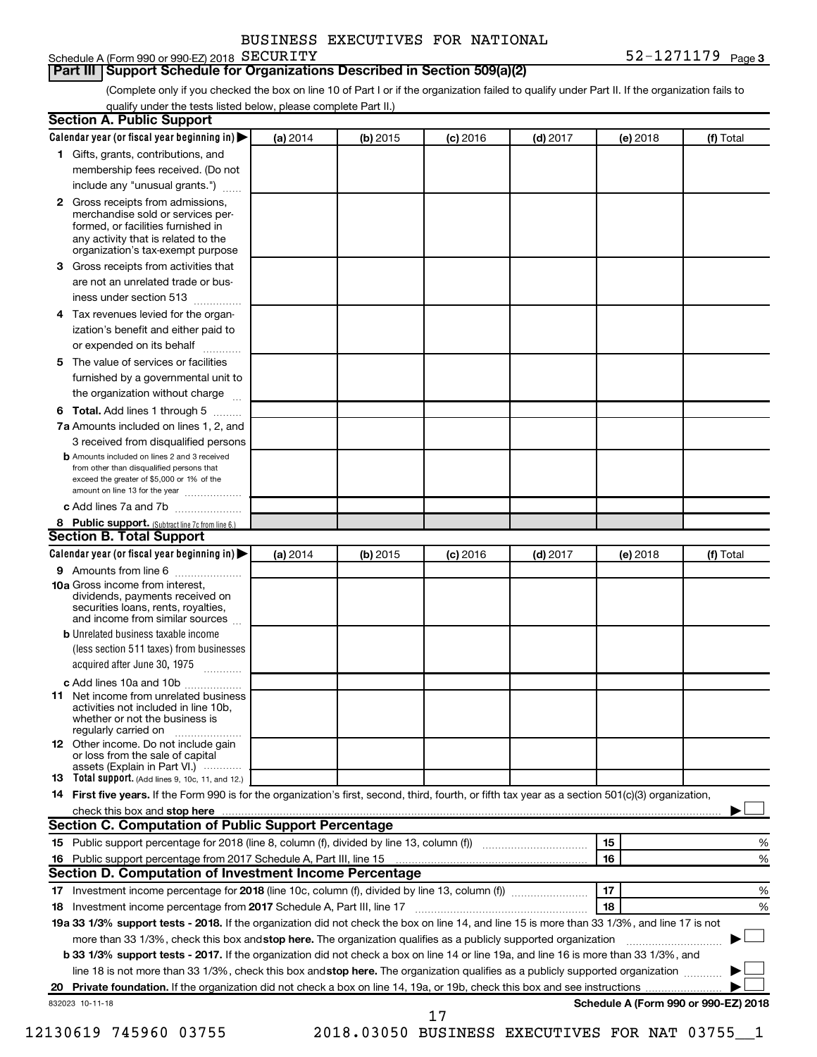| BUSINESS EXECUTIVES FOR NATIONAL |  |
|----------------------------------|--|
|                                  |  |

#### Schedule A (Form 990 or 990-EZ) 2018 SECURITY

#### **Part III Support Schedule for Organizations Described in Section 509(a)(2)**

(Complete only if you checked the box on line 10 of Part I or if the organization failed to qualify under Part II. If the organization fails to qualify under the tests listed below, please complete Part II.)

|    | <b>Section A. Public Support</b>                                                                                                                                                                |          |          |            |            |          |                                      |
|----|-------------------------------------------------------------------------------------------------------------------------------------------------------------------------------------------------|----------|----------|------------|------------|----------|--------------------------------------|
|    | Calendar year (or fiscal year beginning in)                                                                                                                                                     | (a) 2014 | (b) 2015 | $(c)$ 2016 | $(d)$ 2017 | (e) 2018 | (f) Total                            |
|    | 1 Gifts, grants, contributions, and                                                                                                                                                             |          |          |            |            |          |                                      |
|    | membership fees received. (Do not                                                                                                                                                               |          |          |            |            |          |                                      |
|    | include any "unusual grants.")                                                                                                                                                                  |          |          |            |            |          |                                      |
|    | <b>2</b> Gross receipts from admissions,<br>merchandise sold or services per-<br>formed, or facilities furnished in<br>any activity that is related to the<br>organization's tax-exempt purpose |          |          |            |            |          |                                      |
|    | 3 Gross receipts from activities that                                                                                                                                                           |          |          |            |            |          |                                      |
|    | are not an unrelated trade or bus-                                                                                                                                                              |          |          |            |            |          |                                      |
|    | iness under section 513                                                                                                                                                                         |          |          |            |            |          |                                      |
|    | 4 Tax revenues levied for the organ-                                                                                                                                                            |          |          |            |            |          |                                      |
|    | ization's benefit and either paid to                                                                                                                                                            |          |          |            |            |          |                                      |
|    | or expended on its behalf                                                                                                                                                                       |          |          |            |            |          |                                      |
|    | 5 The value of services or facilities                                                                                                                                                           |          |          |            |            |          |                                      |
|    | furnished by a governmental unit to                                                                                                                                                             |          |          |            |            |          |                                      |
|    | the organization without charge                                                                                                                                                                 |          |          |            |            |          |                                      |
|    | <b>6 Total.</b> Add lines 1 through 5                                                                                                                                                           |          |          |            |            |          |                                      |
|    | 7a Amounts included on lines 1, 2, and                                                                                                                                                          |          |          |            |            |          |                                      |
|    | 3 received from disqualified persons                                                                                                                                                            |          |          |            |            |          |                                      |
|    | <b>b</b> Amounts included on lines 2 and 3 received<br>from other than disqualified persons that<br>exceed the greater of \$5,000 or 1% of the<br>amount on line 13 for the year                |          |          |            |            |          |                                      |
|    | c Add lines 7a and 7b                                                                                                                                                                           |          |          |            |            |          |                                      |
|    | 8 Public support. (Subtract line 7c from line 6.)                                                                                                                                               |          |          |            |            |          |                                      |
|    | <b>Section B. Total Support</b>                                                                                                                                                                 |          |          |            |            |          |                                      |
|    | Calendar year (or fiscal year beginning in)                                                                                                                                                     | (a) 2014 | (b) 2015 | $(c)$ 2016 | $(d)$ 2017 | (e) 2018 | (f) Total                            |
|    | 9 Amounts from line 6                                                                                                                                                                           |          |          |            |            |          |                                      |
|    | <b>10a</b> Gross income from interest,<br>dividends, payments received on<br>securities loans, rents, royalties,<br>and income from similar sources                                             |          |          |            |            |          |                                      |
|    | <b>b</b> Unrelated business taxable income                                                                                                                                                      |          |          |            |            |          |                                      |
|    | (less section 511 taxes) from businesses                                                                                                                                                        |          |          |            |            |          |                                      |
|    | acquired after June 30, 1975                                                                                                                                                                    |          |          |            |            |          |                                      |
|    | c Add lines 10a and 10b                                                                                                                                                                         |          |          |            |            |          |                                      |
|    | <b>11</b> Net income from unrelated business<br>activities not included in line 10b.<br>whether or not the business is<br>regularly carried on                                                  |          |          |            |            |          |                                      |
|    | <b>12</b> Other income. Do not include gain<br>or loss from the sale of capital                                                                                                                 |          |          |            |            |          |                                      |
|    | assets (Explain in Part VI.)<br><b>13</b> Total support. (Add lines 9, 10c, 11, and 12.)                                                                                                        |          |          |            |            |          |                                      |
|    | 14 First five years. If the Form 990 is for the organization's first, second, third, fourth, or fifth tax year as a section 501(c)(3) organization,                                             |          |          |            |            |          |                                      |
|    |                                                                                                                                                                                                 |          |          |            |            |          |                                      |
|    | Section C. Computation of Public Support Percentage                                                                                                                                             |          |          |            |            |          |                                      |
|    | 15 Public support percentage for 2018 (line 8, column (f), divided by line 13, column (f) <i></i>                                                                                               |          |          |            |            | 15       | %                                    |
|    |                                                                                                                                                                                                 |          |          |            |            | 16       | %                                    |
|    | Section D. Computation of Investment Income Percentage                                                                                                                                          |          |          |            |            |          |                                      |
|    | 17 Investment income percentage for 2018 (line 10c, column (f), divided by line 13, column (f))                                                                                                 |          |          |            |            | 17       | %                                    |
|    | 18 Investment income percentage from 2017 Schedule A, Part III, line 17                                                                                                                         |          |          |            |            | 18       | %                                    |
|    | 19a 33 1/3% support tests - 2018. If the organization did not check the box on line 14, and line 15 is more than 33 1/3%, and line 17 is not                                                    |          |          |            |            |          |                                      |
|    | more than 33 1/3%, check this box and stop here. The organization qualifies as a publicly supported organization                                                                                |          |          |            |            |          |                                      |
|    | b 33 1/3% support tests - 2017. If the organization did not check a box on line 14 or line 19a, and line 16 is more than 33 1/3%, and                                                           |          |          |            |            |          |                                      |
|    | line 18 is not more than 33 1/3%, check this box and stop here. The organization qualifies as a publicly supported organization                                                                 |          |          |            |            |          |                                      |
| 20 |                                                                                                                                                                                                 |          |          |            |            |          |                                      |
|    | 832023 10-11-18                                                                                                                                                                                 |          |          |            |            |          | Schedule A (Form 990 or 990-EZ) 2018 |
|    |                                                                                                                                                                                                 |          |          | 17         |            |          |                                      |

12130619 745960 03755 2018.03050 BUSINESS EXECUTIVES FOR NAT 03755\_\_1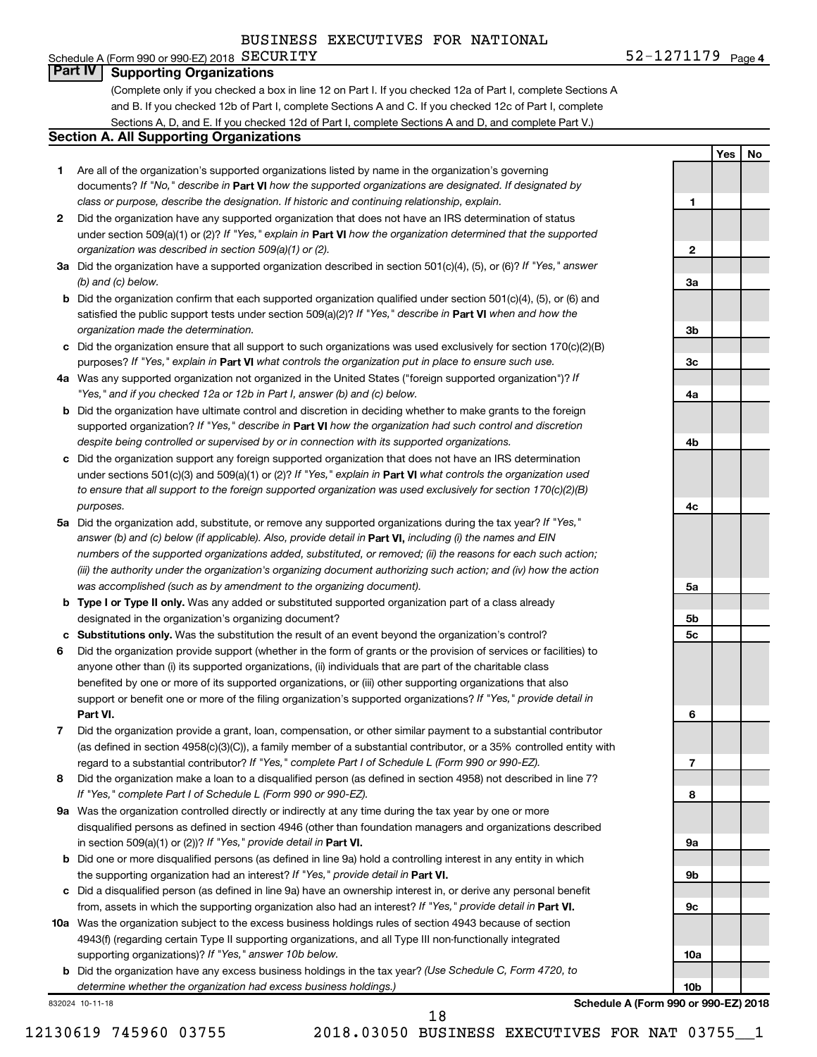#### Schedule A (Form 990 or 990-EZ) 2018  $SECURITY$ **Part IV Supporting Organizations**

(Complete only if you checked a box in line 12 on Part I. If you checked 12a of Part I, complete Sections A and B. If you checked 12b of Part I, complete Sections A and C. If you checked 12c of Part I, complete Sections A, D, and E. If you checked 12d of Part I, complete Sections A and D, and complete Part V.)

#### **Section A. All Supporting Organizations**

- **1** Are all of the organization's supported organizations listed by name in the organization's governing documents? If "No," describe in Part VI how the supported organizations are designated. If designated by *class or purpose, describe the designation. If historic and continuing relationship, explain.*
- **2** Did the organization have any supported organization that does not have an IRS determination of status under section 509(a)(1) or (2)? If "Yes," explain in Part **VI** how the organization determined that the supported *organization was described in section 509(a)(1) or (2).*
- **3a** Did the organization have a supported organization described in section 501(c)(4), (5), or (6)? If "Yes," answer *(b) and (c) below.*
- **b** Did the organization confirm that each supported organization qualified under section 501(c)(4), (5), or (6) and satisfied the public support tests under section 509(a)(2)? If "Yes," describe in Part VI when and how the *organization made the determination.*
- **c** Did the organization ensure that all support to such organizations was used exclusively for section 170(c)(2)(B) purposes? If "Yes," explain in Part VI what controls the organization put in place to ensure such use.
- **4 a** *If* Was any supported organization not organized in the United States ("foreign supported organization")? *"Yes," and if you checked 12a or 12b in Part I, answer (b) and (c) below.*
- **b** Did the organization have ultimate control and discretion in deciding whether to make grants to the foreign supported organization? If "Yes," describe in Part VI how the organization had such control and discretion *despite being controlled or supervised by or in connection with its supported organizations.*
- **c** Did the organization support any foreign supported organization that does not have an IRS determination under sections 501(c)(3) and 509(a)(1) or (2)? If "Yes," explain in Part VI what controls the organization used *to ensure that all support to the foreign supported organization was used exclusively for section 170(c)(2)(B) purposes.*
- **5a** Did the organization add, substitute, or remove any supported organizations during the tax year? If "Yes," answer (b) and (c) below (if applicable). Also, provide detail in **Part VI,** including (i) the names and EIN *numbers of the supported organizations added, substituted, or removed; (ii) the reasons for each such action; (iii) the authority under the organization's organizing document authorizing such action; and (iv) how the action was accomplished (such as by amendment to the organizing document).*
- **b Type I or Type II only.** Was any added or substituted supported organization part of a class already designated in the organization's organizing document?
- **c Substitutions only.**  Was the substitution the result of an event beyond the organization's control?
- **6** Did the organization provide support (whether in the form of grants or the provision of services or facilities) to **Part VI.** support or benefit one or more of the filing organization's supported organizations? If "Yes," provide detail in anyone other than (i) its supported organizations, (ii) individuals that are part of the charitable class benefited by one or more of its supported organizations, or (iii) other supporting organizations that also
- **7** Did the organization provide a grant, loan, compensation, or other similar payment to a substantial contributor regard to a substantial contributor? If "Yes," complete Part I of Schedule L (Form 990 or 990-EZ). (as defined in section 4958(c)(3)(C)), a family member of a substantial contributor, or a 35% controlled entity with
- **8** Did the organization make a loan to a disqualified person (as defined in section 4958) not described in line 7? *If "Yes," complete Part I of Schedule L (Form 990 or 990-EZ).*
- **9 a** Was the organization controlled directly or indirectly at any time during the tax year by one or more in section 509(a)(1) or (2))? If "Yes," provide detail in **Part VI.** disqualified persons as defined in section 4946 (other than foundation managers and organizations described
- **b** Did one or more disqualified persons (as defined in line 9a) hold a controlling interest in any entity in which the supporting organization had an interest? If "Yes," provide detail in Part VI.
- **c** Did a disqualified person (as defined in line 9a) have an ownership interest in, or derive any personal benefit from, assets in which the supporting organization also had an interest? If "Yes," provide detail in Part VI.
- **10 a** Was the organization subject to the excess business holdings rules of section 4943 because of section supporting organizations)? If "Yes," answer 10b below. 4943(f) (regarding certain Type II supporting organizations, and all Type III non-functionally integrated
	- **b** Did the organization have any excess business holdings in the tax year? (Use Schedule C, Form 4720, to *determine whether the organization had excess business holdings.)*

832024 10-11-18

**Schedule A (Form 990 or 990-EZ) 2018**

**10a**

**10b**

18

12130619 745960 03755 2018.03050 BUSINESS EXECUTIVES FOR NAT 03755\_\_1

**Yes No**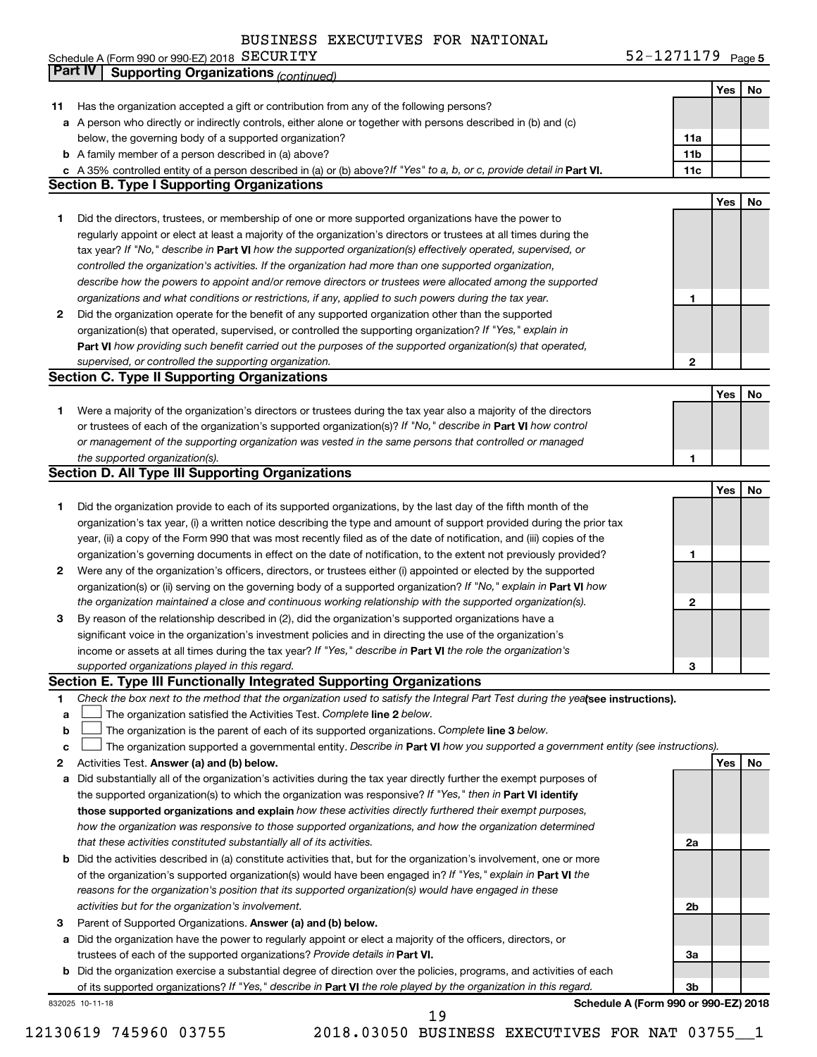|    | BUSINESS EXECUTIVES FOR NATIONAL                                                                                                |                   |     |    |
|----|---------------------------------------------------------------------------------------------------------------------------------|-------------------|-----|----|
|    | Schedule A (Form 990 or 990-EZ) 2018 SECURITY                                                                                   | 52-1271179 Page 5 |     |    |
|    | <b>Part IV</b><br><b>Supporting Organizations (continued)</b>                                                                   |                   |     |    |
|    |                                                                                                                                 |                   | Yes | No |
| 11 | Has the organization accepted a gift or contribution from any of the following persons?                                         |                   |     |    |
|    | a A person who directly or indirectly controls, either alone or together with persons described in (b) and (c)                  |                   |     |    |
|    | below, the governing body of a supported organization?                                                                          | 11a               |     |    |
|    | <b>b</b> A family member of a person described in (a) above?                                                                    | 11b               |     |    |
|    | c A 35% controlled entity of a person described in (a) or (b) above? If "Yes" to a, b, or c, provide detail in Part VI.         | 11c               |     |    |
|    | <b>Section B. Type I Supporting Organizations</b>                                                                               |                   |     |    |
|    |                                                                                                                                 |                   | Yes | No |
| 1  | Did the directors, trustees, or membership of one or more supported organizations have the power to                             |                   |     |    |
|    | regularly appoint or elect at least a majority of the organization's directors or trustees at all times during the              |                   |     |    |
|    | tax year? If "No," describe in Part VI how the supported organization(s) effectively operated, supervised, or                   |                   |     |    |
|    | controlled the organization's activities. If the organization had more than one supported organization,                         |                   |     |    |
|    | describe how the powers to appoint and/or remove directors or trustees were allocated among the supported                       |                   |     |    |
|    | organizations and what conditions or restrictions, if any, applied to such powers during the tax year.                          | 1                 |     |    |
|    | Did the organization operate for the benefit of any supported organization other than the supported                             |                   |     |    |
| 2  |                                                                                                                                 |                   |     |    |
|    | organization(s) that operated, supervised, or controlled the supporting organization? If "Yes," explain in                      |                   |     |    |
|    | Part VI how providing such benefit carried out the purposes of the supported organization(s) that operated,                     |                   |     |    |
|    | supervised, or controlled the supporting organization.                                                                          | 2                 |     |    |
|    | <b>Section C. Type II Supporting Organizations</b>                                                                              |                   |     |    |
|    |                                                                                                                                 |                   | Yes | No |
| 1  | Were a majority of the organization's directors or trustees during the tax year also a majority of the directors                |                   |     |    |
|    | or trustees of each of the organization's supported organization(s)? If "No," describe in Part VI how control                   |                   |     |    |
|    | or management of the supporting organization was vested in the same persons that controlled or managed                          |                   |     |    |
|    | the supported organization(s).                                                                                                  | 1                 |     |    |
|    | <b>Section D. All Type III Supporting Organizations</b>                                                                         |                   |     |    |
|    |                                                                                                                                 |                   | Yes | No |
| 1  | Did the organization provide to each of its supported organizations, by the last day of the fifth month of the                  |                   |     |    |
|    | organization's tax year, (i) a written notice describing the type and amount of support provided during the prior tax           |                   |     |    |
|    | year, (ii) a copy of the Form 990 that was most recently filed as of the date of notification, and (iii) copies of the          |                   |     |    |
|    | organization's governing documents in effect on the date of notification, to the extent not previously provided?                | 1                 |     |    |
| 2  | Were any of the organization's officers, directors, or trustees either (i) appointed or elected by the supported                |                   |     |    |
|    | organization(s) or (ii) serving on the governing body of a supported organization? If "No," explain in Part VI how              |                   |     |    |
|    | the organization maintained a close and continuous working relationship with the supported organization(s).                     | 2                 |     |    |
| 3  | By reason of the relationship described in (2), did the organization's supported organizations have a                           |                   |     |    |
|    | significant voice in the organization's investment policies and in directing the use of the organization's                      |                   |     |    |
|    | income or assets at all times during the tax year? If "Yes," describe in Part VI the role the organization's                    |                   |     |    |
|    | supported organizations played in this regard.                                                                                  | 3                 |     |    |
|    | Section E. Type III Functionally Integrated Supporting Organizations                                                            |                   |     |    |
|    |                                                                                                                                 |                   |     |    |
| 1  | Check the box next to the method that the organization used to satisfy the Integral Part Test during the yealsee instructions). |                   |     |    |
| a  | The organization satisfied the Activities Test. Complete line 2 below.                                                          |                   |     |    |
| b  | The organization is the parent of each of its supported organizations. Complete line 3 below.                                   |                   |     |    |
| с  | The organization supported a governmental entity. Describe in Part VI how you supported a government entity (see instructions). |                   |     |    |
| 2  | Activities Test. Answer (a) and (b) below.                                                                                      |                   | Yes | No |
| а  | Did substantially all of the organization's activities during the tax year directly further the exempt purposes of              |                   |     |    |
|    | the supported organization(s) to which the organization was responsive? If "Yes," then in Part VI identify                      |                   |     |    |
|    | those supported organizations and explain how these activities directly furthered their exempt purposes,                        |                   |     |    |
|    | how the organization was responsive to those supported organizations, and how the organization determined                       |                   |     |    |
|    | that these activities constituted substantially all of its activities.                                                          | 2a                |     |    |
|    | b Did the activities described in (a) constitute activities that, but for the organization's involvement, one or more           |                   |     |    |
|    | of the organization's supported organization(s) would have been engaged in? If "Yes," explain in Part VI the                    |                   |     |    |
|    | reasons for the organization's position that its supported organization(s) would have engaged in these                          |                   |     |    |
|    | activities but for the organization's involvement.                                                                              | 2b                |     |    |
| з  | Parent of Supported Organizations. Answer (a) and (b) below.                                                                    |                   |     |    |
| а  | Did the organization have the power to regularly appoint or elect a majority of the officers, directors, or                     |                   |     |    |
|    | trustees of each of the supported organizations? Provide details in Part VI.                                                    | За                |     |    |
|    | b Did the organization exercise a substantial degree of direction over the policies, programs, and activities of each           |                   |     |    |
|    | of its supported organizations? If "Yes," describe in Part VI the role played by the organization in this regard.               | 3b                |     |    |
|    | Schedule A (Form 990 or 990-EZ) 2018                                                                                            |                   |     |    |
|    | 832025 10-11-18                                                                                                                 |                   |     |    |

**Schedule A (Form 990 or 990-EZ) 2018**

19

12130619 745960 03755 2018.03050 BUSINESS EXECUTIVES FOR NAT 03755\_\_1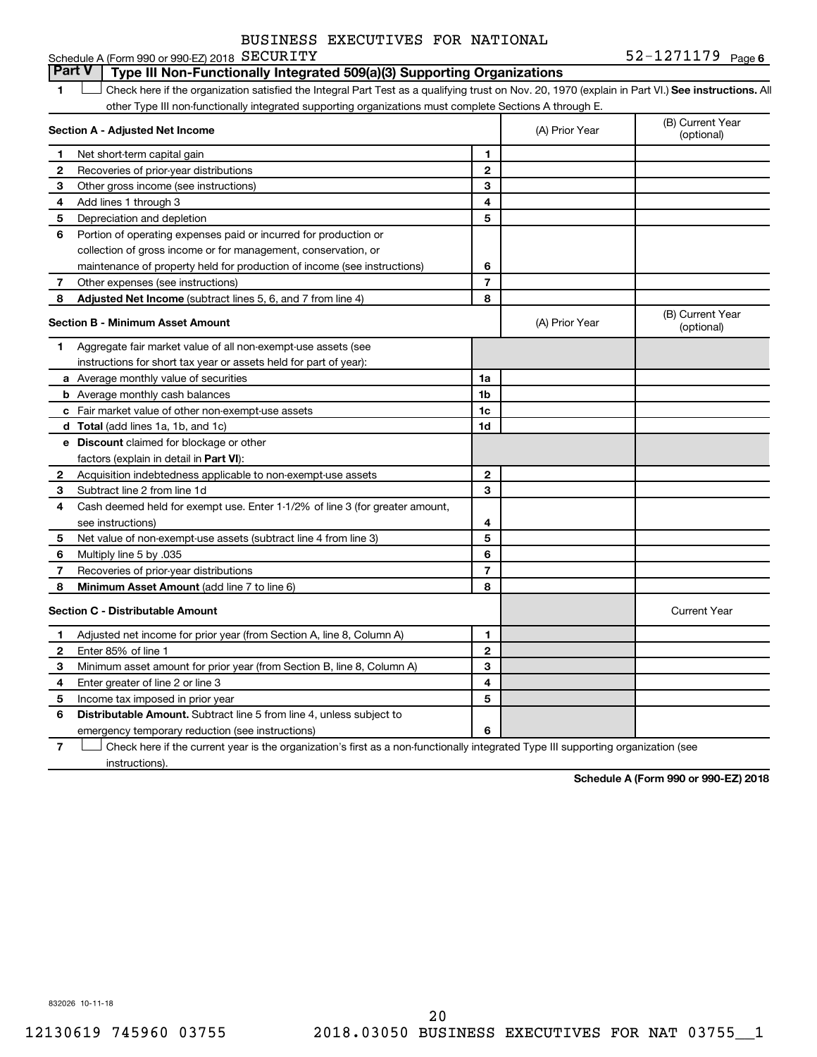**6** SECURITY **6**  $52-1271179$  Page 6 **1 Letter or if the organization satisfied the Integral Part Test as a qualifying trust on Nov. 20, 1970 (explain in Part VI.) See instructions. All Section A - Adjusted Net Income 1 2 3 4 5 6 7 8 1 2 3 4 5 6 7 Adjusted Net Income** (subtract lines 5, 6, and 7 from line 4) **8 8 Section B - Minimum Asset Amount 1 2 3 4 5 6 7 8 a** Average monthly value of securities **b** Average monthly cash balances **c** Fair market value of other non-exempt-use assets **d Total**  (add lines 1a, 1b, and 1c) **e Discount** claimed for blockage or other **1a 1b 1c 1d 2 3 4 5 6 7 8** factors (explain in detail in Part VI): **Minimum Asset Amount**  (add line 7 to line 6) **Section C - Distributable Amount 1 2 3 4 5 1 2 3 4 5** Schedule A (Form 990 or 990-EZ) 2018 SECURITY other Type III non-functionally integrated supporting organizations must complete Sections A through E. (B) Current Year (A) Prior Year Net short-term capital gain Recoveries of prior-year distributions Other gross income (see instructions) Add lines 1 through 3 Depreciation and depletion Portion of operating expenses paid or incurred for production or collection of gross income or for management, conservation, or maintenance of property held for production of income (see instructions) Other expenses (see instructions) (B) Current Year  $(A)$  Prior Year  $\left\{\n\begin{array}{ccc}\n\end{array}\n\right\}$  (optional) Aggregate fair market value of all non-exempt-use assets (see instructions for short tax year or assets held for part of year): Acquisition indebtedness applicable to non-exempt-use assets Subtract line 2 from line 1d Cash deemed held for exempt use. Enter 1-1/2% of line 3 (for greater amount, see instructions) Net value of non-exempt-use assets (subtract line 4 from line 3) Multiply line 5 by .035 Recoveries of prior-year distributions Current Year Adjusted net income for prior year (from Section A, line 8, Column A) Enter 85% of line 1 Minimum asset amount for prior year (from Section B, line 8, Column A) Enter greater of line 2 or line 3 Income tax imposed in prior year **Part V Type III Non-Functionally Integrated 509(a)(3) Supporting Organizations**   $\Box$ BUSINESS EXECUTIVES FOR NATIONAL

**7 6** emergency temporary reduction (see instructions) Check here if the current year is the organization's first as a non-functionally integrated Type III supporting organization (see † instructions).

Distributable Amount. Subtract line 5 from line 4, unless subject to

**Schedule A (Form 990 or 990-EZ) 2018**

832026 10-11-18

**6**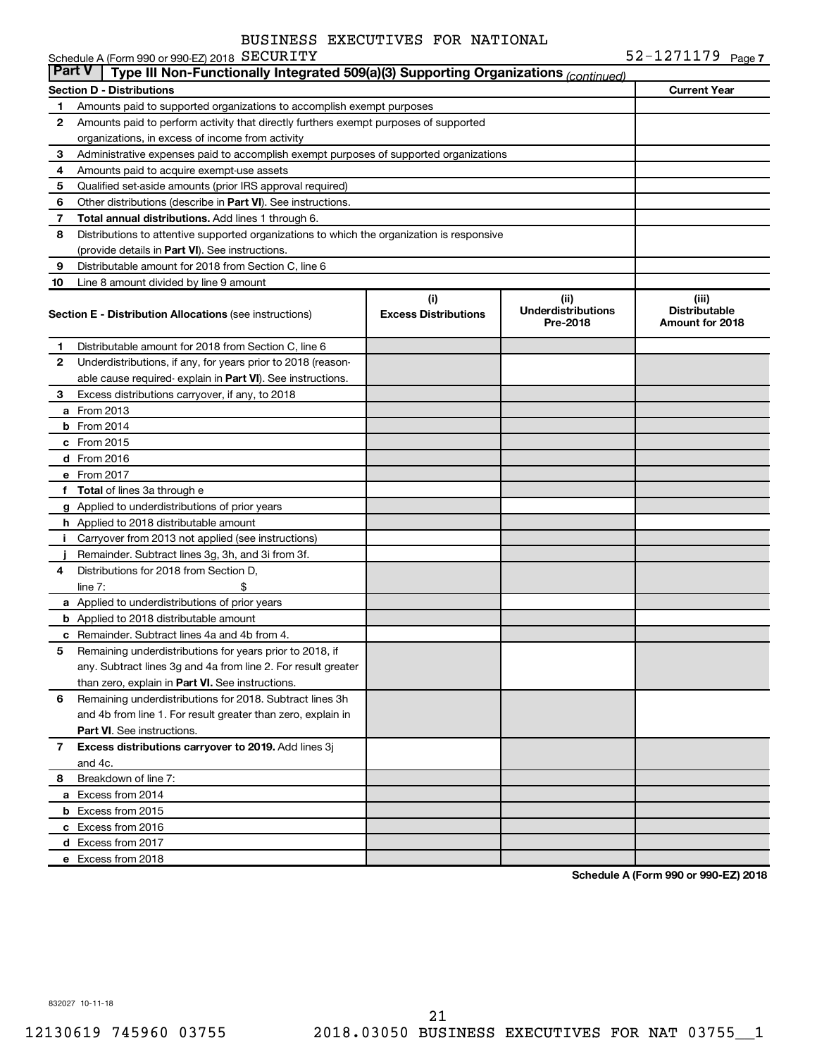|               | Schedule A (Form 990 or 990-EZ) 2018 SECURITY                                              |                                    |                                               | 52-1271179 Page 7                                |
|---------------|--------------------------------------------------------------------------------------------|------------------------------------|-----------------------------------------------|--------------------------------------------------|
| <b>Part V</b> | Type III Non-Functionally Integrated 509(a)(3) Supporting Organizations (continued)        |                                    |                                               |                                                  |
|               | <b>Section D - Distributions</b>                                                           |                                    |                                               | <b>Current Year</b>                              |
| 1.            | Amounts paid to supported organizations to accomplish exempt purposes                      |                                    |                                               |                                                  |
| $\mathbf{2}$  | Amounts paid to perform activity that directly furthers exempt purposes of supported       |                                    |                                               |                                                  |
|               | organizations, in excess of income from activity                                           |                                    |                                               |                                                  |
| 3             | Administrative expenses paid to accomplish exempt purposes of supported organizations      |                                    |                                               |                                                  |
| 4             | Amounts paid to acquire exempt-use assets                                                  |                                    |                                               |                                                  |
| 5             | Qualified set-aside amounts (prior IRS approval required)                                  |                                    |                                               |                                                  |
| 6             | Other distributions (describe in Part VI). See instructions.                               |                                    |                                               |                                                  |
| 7             | Total annual distributions. Add lines 1 through 6.                                         |                                    |                                               |                                                  |
| 8             | Distributions to attentive supported organizations to which the organization is responsive |                                    |                                               |                                                  |
|               | (provide details in Part VI). See instructions.                                            |                                    |                                               |                                                  |
| 9             | Distributable amount for 2018 from Section C, line 6                                       |                                    |                                               |                                                  |
| 10            | Line 8 amount divided by line 9 amount                                                     |                                    |                                               |                                                  |
|               | <b>Section E - Distribution Allocations (see instructions)</b>                             | (i)<br><b>Excess Distributions</b> | (ii)<br><b>Underdistributions</b><br>Pre-2018 | (iii)<br><b>Distributable</b><br>Amount for 2018 |
| 1             | Distributable amount for 2018 from Section C, line 6                                       |                                    |                                               |                                                  |
| $\mathbf{2}$  | Underdistributions, if any, for years prior to 2018 (reason-                               |                                    |                                               |                                                  |
|               | able cause required-explain in Part VI). See instructions.                                 |                                    |                                               |                                                  |
| 3             | Excess distributions carryover, if any, to 2018                                            |                                    |                                               |                                                  |
|               | <b>a</b> From 2013                                                                         |                                    |                                               |                                                  |
|               | $b$ From 2014                                                                              |                                    |                                               |                                                  |
|               | c From 2015                                                                                |                                    |                                               |                                                  |
|               | d From 2016                                                                                |                                    |                                               |                                                  |
|               | e From 2017                                                                                |                                    |                                               |                                                  |
|               | f Total of lines 3a through e                                                              |                                    |                                               |                                                  |
|               | g Applied to underdistributions of prior years                                             |                                    |                                               |                                                  |
|               | h Applied to 2018 distributable amount                                                     |                                    |                                               |                                                  |
| i.            | Carryover from 2013 not applied (see instructions)                                         |                                    |                                               |                                                  |
|               | Remainder. Subtract lines 3g, 3h, and 3i from 3f.                                          |                                    |                                               |                                                  |
| 4             | Distributions for 2018 from Section D,                                                     |                                    |                                               |                                                  |
|               | \$<br>line $7:$                                                                            |                                    |                                               |                                                  |
|               | a Applied to underdistributions of prior years                                             |                                    |                                               |                                                  |
|               | <b>b</b> Applied to 2018 distributable amount                                              |                                    |                                               |                                                  |
|               | <b>c</b> Remainder. Subtract lines 4a and 4b from 4.                                       |                                    |                                               |                                                  |
| 5             | Remaining underdistributions for years prior to 2018, if                                   |                                    |                                               |                                                  |
|               | any. Subtract lines 3g and 4a from line 2. For result greater                              |                                    |                                               |                                                  |
|               | than zero, explain in Part VI. See instructions.                                           |                                    |                                               |                                                  |
| 6             | Remaining underdistributions for 2018. Subtract lines 3h                                   |                                    |                                               |                                                  |
|               | and 4b from line 1. For result greater than zero, explain in                               |                                    |                                               |                                                  |
|               | <b>Part VI.</b> See instructions.                                                          |                                    |                                               |                                                  |
| 7             | Excess distributions carryover to 2019. Add lines 3j                                       |                                    |                                               |                                                  |
|               | and 4c.                                                                                    |                                    |                                               |                                                  |
| 8             | Breakdown of line 7:                                                                       |                                    |                                               |                                                  |
|               | a Excess from 2014                                                                         |                                    |                                               |                                                  |
|               | <b>b</b> Excess from 2015                                                                  |                                    |                                               |                                                  |
|               | c Excess from 2016                                                                         |                                    |                                               |                                                  |
|               | d Excess from 2017                                                                         |                                    |                                               |                                                  |
|               | e Excess from 2018                                                                         |                                    |                                               |                                                  |

**Schedule A (Form 990 or 990-EZ) 2018**

832027 10-11-18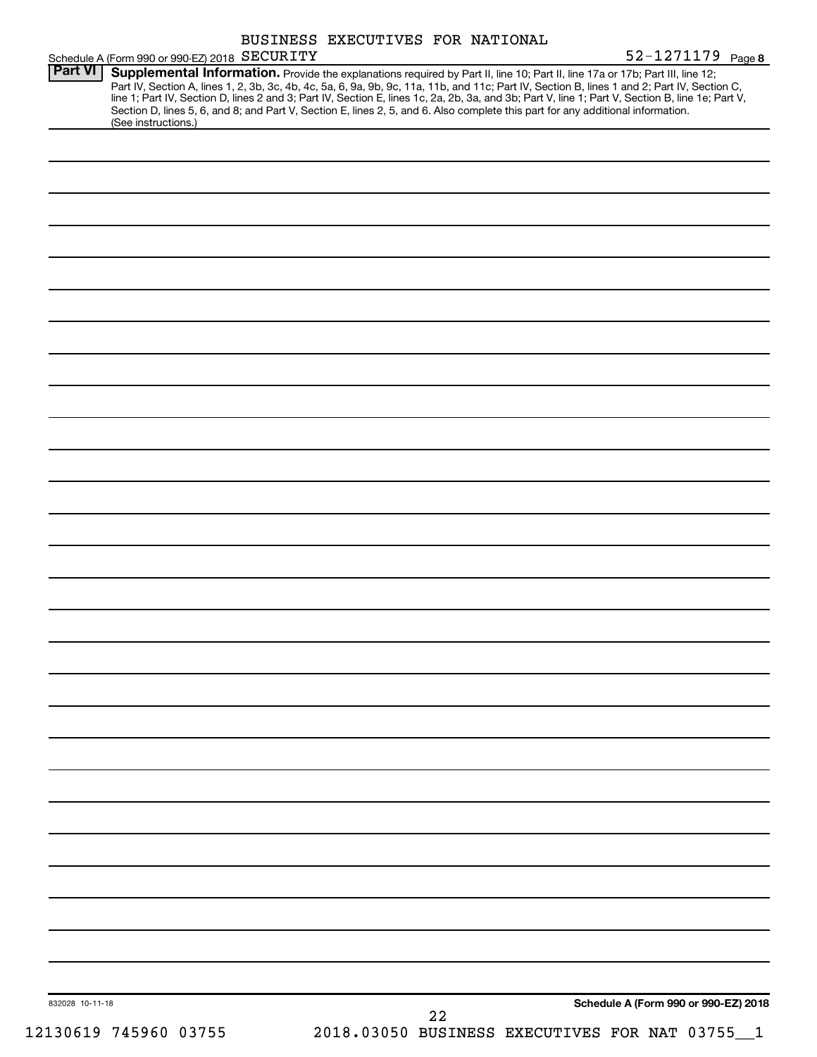| Schedule A (Form 990 or 990-EZ) 2018 SECURITY                                                                                                                                                                                                                                                                                                                                                                                                                                                                                                                                                          | BUSINESS EXECUTIVES FOR NATIONAL |    | 52-1271179 Page 8                    |
|--------------------------------------------------------------------------------------------------------------------------------------------------------------------------------------------------------------------------------------------------------------------------------------------------------------------------------------------------------------------------------------------------------------------------------------------------------------------------------------------------------------------------------------------------------------------------------------------------------|----------------------------------|----|--------------------------------------|
| Part VI<br>Supplemental Information. Provide the explanations required by Part II, line 10; Part II, line 17a or 17b; Part III, line 12;<br>Part IV, Section A, lines 1, 2, 3b, 3c, 4b, 4c, 5a, 6, 9a, 9b, 9c, 11a, 11b, and 11c; Part IV, Section B, lines 1 and 2; Part IV, Section C,<br>line 1; Part IV, Section D, lines 2 and 3; Part IV, Section E, lines 1c, 2a, 2b, 3a, and 3b; Part V, line 1; Part V, Section B, line 1e; Part V,<br>Section D, lines 5, 6, and 8; and Part V, Section E, lines 2, 5, and 6. Also complete this part for any additional information.<br>(See instructions.) |                                  |    |                                      |
|                                                                                                                                                                                                                                                                                                                                                                                                                                                                                                                                                                                                        |                                  |    |                                      |
|                                                                                                                                                                                                                                                                                                                                                                                                                                                                                                                                                                                                        |                                  |    |                                      |
|                                                                                                                                                                                                                                                                                                                                                                                                                                                                                                                                                                                                        |                                  |    |                                      |
|                                                                                                                                                                                                                                                                                                                                                                                                                                                                                                                                                                                                        |                                  |    |                                      |
|                                                                                                                                                                                                                                                                                                                                                                                                                                                                                                                                                                                                        |                                  |    |                                      |
|                                                                                                                                                                                                                                                                                                                                                                                                                                                                                                                                                                                                        |                                  |    |                                      |
|                                                                                                                                                                                                                                                                                                                                                                                                                                                                                                                                                                                                        |                                  |    |                                      |
|                                                                                                                                                                                                                                                                                                                                                                                                                                                                                                                                                                                                        |                                  |    |                                      |
|                                                                                                                                                                                                                                                                                                                                                                                                                                                                                                                                                                                                        |                                  |    |                                      |
|                                                                                                                                                                                                                                                                                                                                                                                                                                                                                                                                                                                                        |                                  |    |                                      |
|                                                                                                                                                                                                                                                                                                                                                                                                                                                                                                                                                                                                        |                                  |    |                                      |
|                                                                                                                                                                                                                                                                                                                                                                                                                                                                                                                                                                                                        |                                  |    |                                      |
|                                                                                                                                                                                                                                                                                                                                                                                                                                                                                                                                                                                                        |                                  |    |                                      |
|                                                                                                                                                                                                                                                                                                                                                                                                                                                                                                                                                                                                        |                                  |    |                                      |
|                                                                                                                                                                                                                                                                                                                                                                                                                                                                                                                                                                                                        |                                  |    |                                      |
|                                                                                                                                                                                                                                                                                                                                                                                                                                                                                                                                                                                                        |                                  |    |                                      |
|                                                                                                                                                                                                                                                                                                                                                                                                                                                                                                                                                                                                        |                                  |    |                                      |
|                                                                                                                                                                                                                                                                                                                                                                                                                                                                                                                                                                                                        |                                  |    |                                      |
|                                                                                                                                                                                                                                                                                                                                                                                                                                                                                                                                                                                                        |                                  |    |                                      |
|                                                                                                                                                                                                                                                                                                                                                                                                                                                                                                                                                                                                        |                                  |    |                                      |
|                                                                                                                                                                                                                                                                                                                                                                                                                                                                                                                                                                                                        |                                  |    |                                      |
|                                                                                                                                                                                                                                                                                                                                                                                                                                                                                                                                                                                                        |                                  |    |                                      |
|                                                                                                                                                                                                                                                                                                                                                                                                                                                                                                                                                                                                        |                                  |    |                                      |
|                                                                                                                                                                                                                                                                                                                                                                                                                                                                                                                                                                                                        |                                  |    |                                      |
|                                                                                                                                                                                                                                                                                                                                                                                                                                                                                                                                                                                                        |                                  |    |                                      |
|                                                                                                                                                                                                                                                                                                                                                                                                                                                                                                                                                                                                        |                                  |    |                                      |
|                                                                                                                                                                                                                                                                                                                                                                                                                                                                                                                                                                                                        |                                  |    |                                      |
|                                                                                                                                                                                                                                                                                                                                                                                                                                                                                                                                                                                                        |                                  |    |                                      |
|                                                                                                                                                                                                                                                                                                                                                                                                                                                                                                                                                                                                        |                                  |    |                                      |
|                                                                                                                                                                                                                                                                                                                                                                                                                                                                                                                                                                                                        |                                  |    |                                      |
|                                                                                                                                                                                                                                                                                                                                                                                                                                                                                                                                                                                                        |                                  |    |                                      |
|                                                                                                                                                                                                                                                                                                                                                                                                                                                                                                                                                                                                        |                                  |    | Schedule A (Form 990 or 990-EZ) 2018 |
| 832028 10-11-18                                                                                                                                                                                                                                                                                                                                                                                                                                                                                                                                                                                        |                                  | 22 |                                      |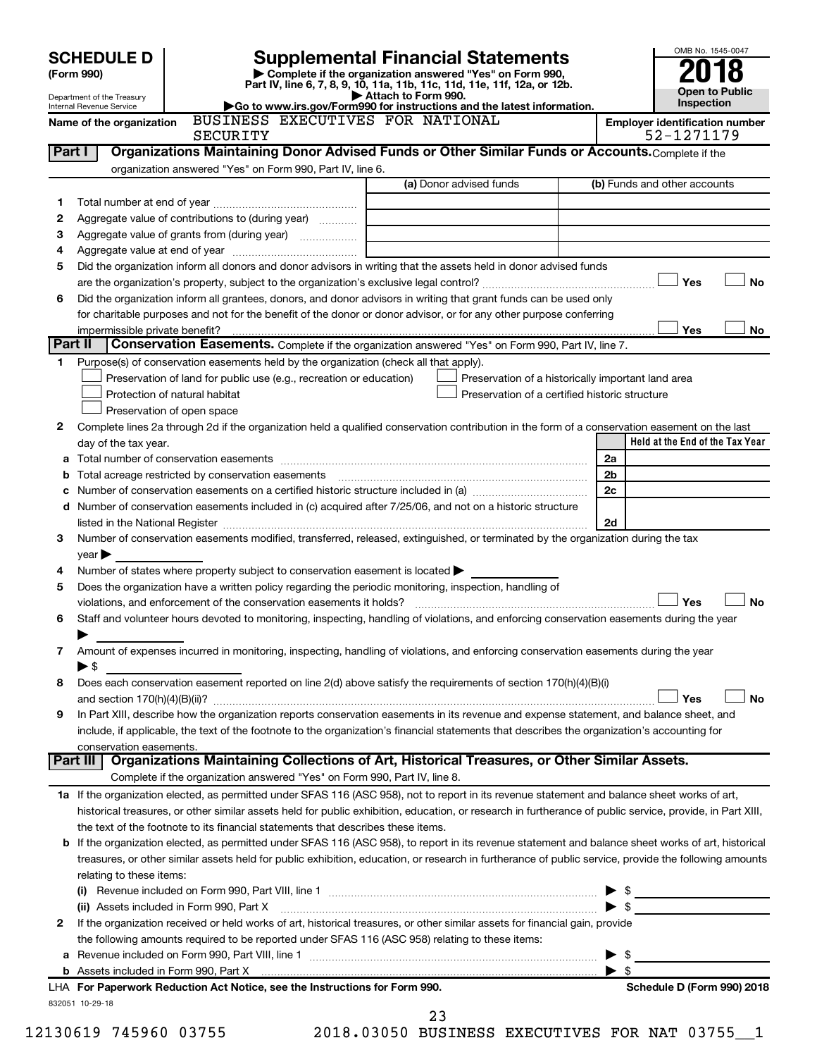|         |                                                                                                                                                                                                                               |                 |                                                                                                                                      |                                                                            |                                                    |                | OMB No. 1545-0047                     |                       |
|---------|-------------------------------------------------------------------------------------------------------------------------------------------------------------------------------------------------------------------------------|-----------------|--------------------------------------------------------------------------------------------------------------------------------------|----------------------------------------------------------------------------|----------------------------------------------------|----------------|---------------------------------------|-----------------------|
|         | <b>SCHEDULE D</b>                                                                                                                                                                                                             |                 | <b>Supplemental Financial Statements</b>                                                                                             |                                                                            |                                                    |                |                                       |                       |
|         | (Form 990)                                                                                                                                                                                                                    |                 | Complete if the organization answered "Yes" on Form 990,<br>Part IV, line 6, 7, 8, 9, 10, 11a, 11b, 11c, 11d, 11e, 11f, 12a, or 12b. |                                                                            |                                                    |                |                                       |                       |
|         | Department of the Treasury<br><b>Internal Revenue Service</b>                                                                                                                                                                 |                 | Go to www.irs.gov/Form990 for instructions and the latest information.                                                               | Attach to Form 990.                                                        |                                                    |                | Inspection                            | <b>Open to Public</b> |
|         | Name of the organization                                                                                                                                                                                                      |                 | BUSINESS EXECUTIVES FOR NATIONAL                                                                                                     |                                                                            |                                                    |                | <b>Employer identification number</b> |                       |
|         |                                                                                                                                                                                                                               | <b>SECURITY</b> |                                                                                                                                      |                                                                            |                                                    |                | 52-1271179                            |                       |
|         | Part I                                                                                                                                                                                                                        |                 | Organizations Maintaining Donor Advised Funds or Other Similar Funds or Accounts. Complete if the                                    |                                                                            |                                                    |                |                                       |                       |
|         |                                                                                                                                                                                                                               |                 | organization answered "Yes" on Form 990, Part IV, line 6.                                                                            | (a) Donor advised funds                                                    |                                                    |                | (b) Funds and other accounts          |                       |
|         |                                                                                                                                                                                                                               |                 |                                                                                                                                      |                                                                            |                                                    |                |                                       |                       |
| 1<br>2  | Aggregate value of contributions to (during year)                                                                                                                                                                             |                 |                                                                                                                                      |                                                                            |                                                    |                |                                       |                       |
| З       |                                                                                                                                                                                                                               |                 |                                                                                                                                      |                                                                            |                                                    |                |                                       |                       |
| 4       |                                                                                                                                                                                                                               |                 |                                                                                                                                      | the control of the control of the control of the control of the control of |                                                    |                |                                       |                       |
| 5       | Did the organization inform all donors and donor advisors in writing that the assets held in donor advised funds                                                                                                              |                 |                                                                                                                                      |                                                                            |                                                    |                |                                       |                       |
|         |                                                                                                                                                                                                                               |                 |                                                                                                                                      |                                                                            |                                                    |                | <b>Yes</b>                            | No                    |
| 6       | Did the organization inform all grantees, donors, and donor advisors in writing that grant funds can be used only                                                                                                             |                 |                                                                                                                                      |                                                                            |                                                    |                |                                       |                       |
|         | for charitable purposes and not for the benefit of the donor or donor advisor, or for any other purpose conferring                                                                                                            |                 |                                                                                                                                      |                                                                            |                                                    |                |                                       |                       |
|         | impermissible private benefit?                                                                                                                                                                                                |                 |                                                                                                                                      |                                                                            |                                                    |                | <b>Yes</b>                            | No                    |
| Part II |                                                                                                                                                                                                                               |                 | Conservation Easements. Complete if the organization answered "Yes" on Form 990, Part IV, line 7.                                    |                                                                            |                                                    |                |                                       |                       |
| 1.      | Purpose(s) of conservation easements held by the organization (check all that apply).                                                                                                                                         |                 |                                                                                                                                      |                                                                            |                                                    |                |                                       |                       |
|         |                                                                                                                                                                                                                               |                 | Preservation of land for public use (e.g., recreation or education)                                                                  |                                                                            | Preservation of a historically important land area |                |                                       |                       |
|         | Protection of natural habitat                                                                                                                                                                                                 |                 |                                                                                                                                      |                                                                            | Preservation of a certified historic structure     |                |                                       |                       |
|         | Preservation of open space                                                                                                                                                                                                    |                 |                                                                                                                                      |                                                                            |                                                    |                |                                       |                       |
| 2       | Complete lines 2a through 2d if the organization held a qualified conservation contribution in the form of a conservation easement on the last                                                                                |                 |                                                                                                                                      |                                                                            |                                                    |                | Held at the End of the Tax Year       |                       |
|         | day of the tax year.                                                                                                                                                                                                          |                 |                                                                                                                                      |                                                                            |                                                    | 2a             |                                       |                       |
|         |                                                                                                                                                                                                                               |                 |                                                                                                                                      |                                                                            |                                                    | 2 <sub>b</sub> |                                       |                       |
| c       | Number of conservation easements on a certified historic structure included in (a) manufacture included in (a)                                                                                                                |                 |                                                                                                                                      |                                                                            |                                                    | 2c             |                                       |                       |
|         | d Number of conservation easements included in (c) acquired after 7/25/06, and not on a historic structure                                                                                                                    |                 |                                                                                                                                      |                                                                            |                                                    |                |                                       |                       |
|         | listed in the National Register [111] Marshall Register [11] Marshall Register [11] Marshall Register [11] Marshall Register [11] Marshall Register [11] Marshall Register [11] Marshall Register [11] Marshall Register [11] |                 |                                                                                                                                      |                                                                            |                                                    | 2d             |                                       |                       |
| 3       | Number of conservation easements modified, transferred, released, extinguished, or terminated by the organization during the tax                                                                                              |                 |                                                                                                                                      |                                                                            |                                                    |                |                                       |                       |
|         | $year \blacktriangleright$                                                                                                                                                                                                    |                 |                                                                                                                                      |                                                                            |                                                    |                |                                       |                       |
| 4       | Number of states where property subject to conservation easement is located >                                                                                                                                                 |                 |                                                                                                                                      |                                                                            |                                                    |                |                                       |                       |
| 5       | Does the organization have a written policy regarding the periodic monitoring, inspection, handling of                                                                                                                        |                 |                                                                                                                                      |                                                                            |                                                    |                |                                       |                       |
|         | violations, and enforcement of the conservation easements it holds?                                                                                                                                                           |                 |                                                                                                                                      |                                                                            |                                                    |                | Yes                                   | <b>No</b>             |
| 6       | Staff and volunteer hours devoted to monitoring, inspecting, handling of violations, and enforcing conservation easements during the year                                                                                     |                 |                                                                                                                                      |                                                                            |                                                    |                |                                       |                       |
|         |                                                                                                                                                                                                                               |                 |                                                                                                                                      |                                                                            |                                                    |                |                                       |                       |
| 7       | Amount of expenses incurred in monitoring, inspecting, handling of violations, and enforcing conservation easements during the year                                                                                           |                 |                                                                                                                                      |                                                                            |                                                    |                |                                       |                       |
|         | $\blacktriangleright$ \$                                                                                                                                                                                                      |                 |                                                                                                                                      |                                                                            |                                                    |                |                                       |                       |
| 8       | Does each conservation easement reported on line 2(d) above satisfy the requirements of section 170(h)(4)(B)(i)                                                                                                               |                 |                                                                                                                                      |                                                                            |                                                    |                | Yes                                   | <b>No</b>             |
| 9       | In Part XIII, describe how the organization reports conservation easements in its revenue and expense statement, and balance sheet, and                                                                                       |                 |                                                                                                                                      |                                                                            |                                                    |                |                                       |                       |
|         | include, if applicable, the text of the footnote to the organization's financial statements that describes the organization's accounting for                                                                                  |                 |                                                                                                                                      |                                                                            |                                                    |                |                                       |                       |
|         | conservation easements.                                                                                                                                                                                                       |                 |                                                                                                                                      |                                                                            |                                                    |                |                                       |                       |
|         | Part III                                                                                                                                                                                                                      |                 | Organizations Maintaining Collections of Art, Historical Treasures, or Other Similar Assets.                                         |                                                                            |                                                    |                |                                       |                       |
|         |                                                                                                                                                                                                                               |                 | Complete if the organization answered "Yes" on Form 990, Part IV, line 8.                                                            |                                                                            |                                                    |                |                                       |                       |
|         | 1a If the organization elected, as permitted under SFAS 116 (ASC 958), not to report in its revenue statement and balance sheet works of art,                                                                                 |                 |                                                                                                                                      |                                                                            |                                                    |                |                                       |                       |
|         | historical treasures, or other similar assets held for public exhibition, education, or research in furtherance of public service, provide, in Part XIII,                                                                     |                 |                                                                                                                                      |                                                                            |                                                    |                |                                       |                       |
|         | the text of the footnote to its financial statements that describes these items.                                                                                                                                              |                 |                                                                                                                                      |                                                                            |                                                    |                |                                       |                       |
|         | <b>b</b> If the organization elected, as permitted under SFAS 116 (ASC 958), to report in its revenue statement and balance sheet works of art, historical                                                                    |                 |                                                                                                                                      |                                                                            |                                                    |                |                                       |                       |
|         | treasures, or other similar assets held for public exhibition, education, or research in furtherance of public service, provide the following amounts                                                                         |                 |                                                                                                                                      |                                                                            |                                                    |                |                                       |                       |
|         | relating to these items:                                                                                                                                                                                                      |                 |                                                                                                                                      |                                                                            |                                                    |                |                                       |                       |
|         |                                                                                                                                                                                                                               |                 |                                                                                                                                      |                                                                            |                                                    |                | $\triangleright$ \$                   |                       |
|         | (ii) Assets included in Form 990, Part X                                                                                                                                                                                      |                 |                                                                                                                                      |                                                                            |                                                    |                |                                       |                       |
| 2       | If the organization received or held works of art, historical treasures, or other similar assets for financial gain, provide                                                                                                  |                 |                                                                                                                                      |                                                                            |                                                    |                |                                       |                       |
| а       | the following amounts required to be reported under SFAS 116 (ASC 958) relating to these items:                                                                                                                               |                 |                                                                                                                                      |                                                                            |                                                    |                |                                       |                       |
|         |                                                                                                                                                                                                                               |                 |                                                                                                                                      |                                                                            |                                                    |                |                                       |                       |
|         |                                                                                                                                                                                                                               |                 |                                                                                                                                      |                                                                            |                                                    |                |                                       |                       |

832051 10-29-18 **For Paperwork Reduction Act Notice, see the Instructions for Form 990. Schedule D (Form 990) 2018** LHA

12130619 745960 03755 2018.03050 BUSINESS EXECUTIVES FOR NAT 03755\_\_1 23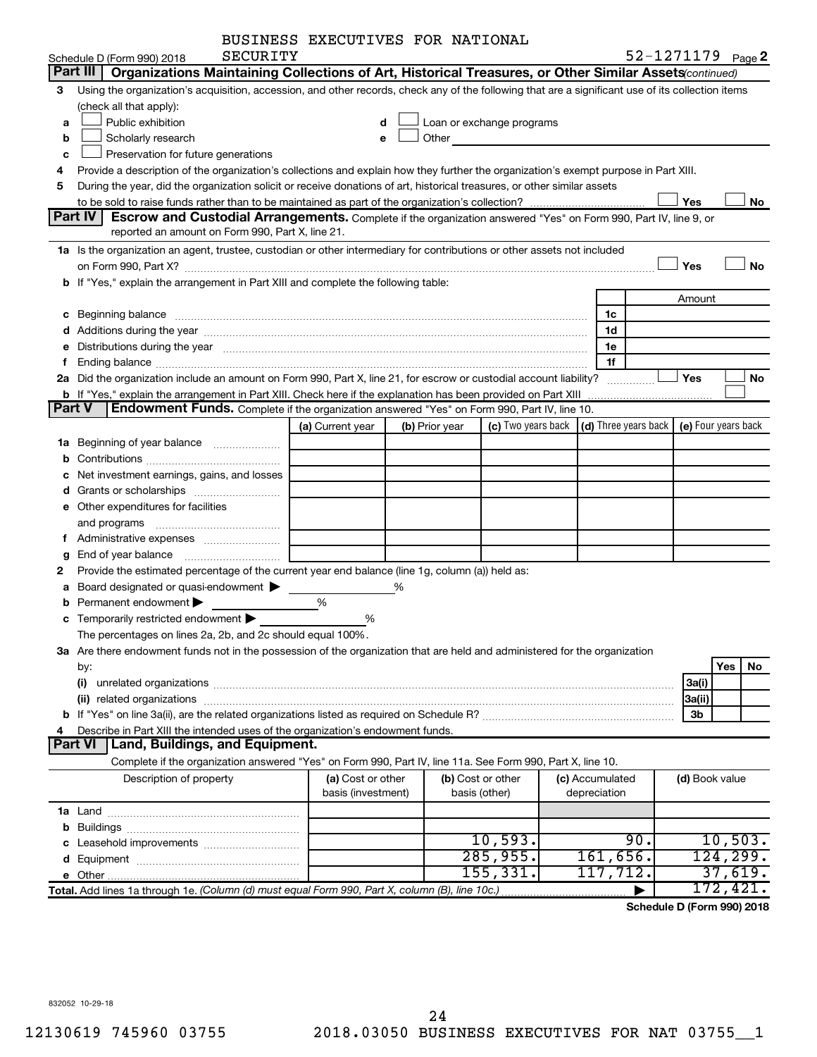| BUSINESS EXECUTIVES FOR NATIONAL |  |
|----------------------------------|--|
|                                  |  |

|   | SECURITY<br>Schedule D (Form 990) 2018                                                                                                                                                                                                |                    |                |                           |                      | 52-1271179 Page 2   |
|---|---------------------------------------------------------------------------------------------------------------------------------------------------------------------------------------------------------------------------------------|--------------------|----------------|---------------------------|----------------------|---------------------|
|   | Part III  <br>Organizations Maintaining Collections of Art, Historical Treasures, or Other Similar Assets (continued)                                                                                                                 |                    |                |                           |                      |                     |
| З | Using the organization's acquisition, accession, and other records, check any of the following that are a significant use of its collection items                                                                                     |                    |                |                           |                      |                     |
|   | (check all that apply):                                                                                                                                                                                                               |                    |                |                           |                      |                     |
| a | Public exhibition                                                                                                                                                                                                                     | d                  |                | Loan or exchange programs |                      |                     |
| b | Scholarly research                                                                                                                                                                                                                    | e                  | Other          |                           |                      |                     |
| c | Preservation for future generations                                                                                                                                                                                                   |                    |                |                           |                      |                     |
| 4 | Provide a description of the organization's collections and explain how they further the organization's exempt purpose in Part XIII.                                                                                                  |                    |                |                           |                      |                     |
| 5 | During the year, did the organization solicit or receive donations of art, historical treasures, or other similar assets                                                                                                              |                    |                |                           |                      |                     |
|   |                                                                                                                                                                                                                                       |                    |                |                           |                      | Yes<br>No           |
|   | Part IV<br>Escrow and Custodial Arrangements. Complete if the organization answered "Yes" on Form 990, Part IV, line 9, or                                                                                                            |                    |                |                           |                      |                     |
|   | reported an amount on Form 990, Part X, line 21.                                                                                                                                                                                      |                    |                |                           |                      |                     |
|   | 1a Is the organization an agent, trustee, custodian or other intermediary for contributions or other assets not included                                                                                                              |                    |                |                           |                      |                     |
|   |                                                                                                                                                                                                                                       |                    |                |                           |                      | Yes<br>No           |
|   | b If "Yes," explain the arrangement in Part XIII and complete the following table:                                                                                                                                                    |                    |                |                           |                      |                     |
|   |                                                                                                                                                                                                                                       |                    |                |                           |                      | Amount              |
|   |                                                                                                                                                                                                                                       |                    |                |                           | 1c                   |                     |
|   |                                                                                                                                                                                                                                       |                    |                |                           | 1d                   |                     |
|   | e Distributions during the year manufactured and contain an account of the year manufactured and the year manufactured and the year manufactured and the year manufactured and the year manufactured and the year manufactured        |                    |                |                           | 1e                   |                     |
| f |                                                                                                                                                                                                                                       |                    |                |                           | 1f                   |                     |
|   | 2a Did the organization include an amount on Form 990, Part X, line 21, for escrow or custodial account liability?                                                                                                                    |                    |                |                           |                      | Yes<br>No.          |
|   | <b>b</b> If "Yes," explain the arrangement in Part XIII. Check here if the explanation has been provided on Part XIII<br><b>Part V</b><br>Endowment Funds. Complete if the organization answered "Yes" on Form 990, Part IV, line 10. |                    |                |                           |                      |                     |
|   |                                                                                                                                                                                                                                       | (a) Current year   |                | (c) Two years back        | (d) Three years back | (e) Four years back |
|   | 1a Beginning of year balance                                                                                                                                                                                                          |                    | (b) Prior year |                           |                      |                     |
|   |                                                                                                                                                                                                                                       |                    |                |                           |                      |                     |
|   | c Net investment earnings, gains, and losses                                                                                                                                                                                          |                    |                |                           |                      |                     |
|   |                                                                                                                                                                                                                                       |                    |                |                           |                      |                     |
|   | <b>e</b> Other expenditures for facilities                                                                                                                                                                                            |                    |                |                           |                      |                     |
|   | and programs                                                                                                                                                                                                                          |                    |                |                           |                      |                     |
|   | f Administrative expenses                                                                                                                                                                                                             |                    |                |                           |                      |                     |
| g |                                                                                                                                                                                                                                       |                    |                |                           |                      |                     |
| 2 | Provide the estimated percentage of the current year end balance (line 1g, column (a)) held as:                                                                                                                                       |                    |                |                           |                      |                     |
|   | a Board designated or quasi-endowment >                                                                                                                                                                                               |                    | ℅              |                           |                      |                     |
| b | Permanent endowment                                                                                                                                                                                                                   | %                  |                |                           |                      |                     |
| c | Temporarily restricted endowment                                                                                                                                                                                                      | %                  |                |                           |                      |                     |
|   | The percentages on lines 2a, 2b, and 2c should equal 100%.                                                                                                                                                                            |                    |                |                           |                      |                     |
|   | 3a Are there endowment funds not in the possession of the organization that are held and administered for the organization                                                                                                            |                    |                |                           |                      |                     |
|   | by:                                                                                                                                                                                                                                   |                    |                |                           |                      | Yes<br>No.          |
|   | (i)                                                                                                                                                                                                                                   |                    |                |                           |                      | 3a(i)               |
|   |                                                                                                                                                                                                                                       |                    |                |                           |                      | 3a(ii)              |
|   |                                                                                                                                                                                                                                       |                    |                |                           |                      | 3b                  |
| 4 | Describe in Part XIII the intended uses of the organization's endowment funds.                                                                                                                                                        |                    |                |                           |                      |                     |
|   | Part VI   Land, Buildings, and Equipment.                                                                                                                                                                                             |                    |                |                           |                      |                     |
|   | Complete if the organization answered "Yes" on Form 990, Part IV, line 11a. See Form 990, Part X, line 10.                                                                                                                            |                    |                |                           |                      |                     |
|   | Description of property                                                                                                                                                                                                               | (a) Cost or other  |                | (b) Cost or other         | (c) Accumulated      | (d) Book value      |
|   |                                                                                                                                                                                                                                       | basis (investment) |                | basis (other)             | depreciation         |                     |
|   |                                                                                                                                                                                                                                       |                    |                |                           |                      |                     |
|   |                                                                                                                                                                                                                                       |                    |                |                           |                      |                     |
|   |                                                                                                                                                                                                                                       |                    |                | 10,593.                   | 90.                  | 10,503.             |
|   |                                                                                                                                                                                                                                       |                    |                | 285,955.                  | 161,656.             | 124, 299.           |
|   |                                                                                                                                                                                                                                       |                    |                | 155, 331.                 | 117,712.             | 37,619.             |
|   | Total. Add lines 1a through 1e. (Column (d) must equal Form 990, Part X, column (B), line 10c.)                                                                                                                                       |                    |                |                           |                      | 172,421.            |

**Schedule D (Form 990) 2018**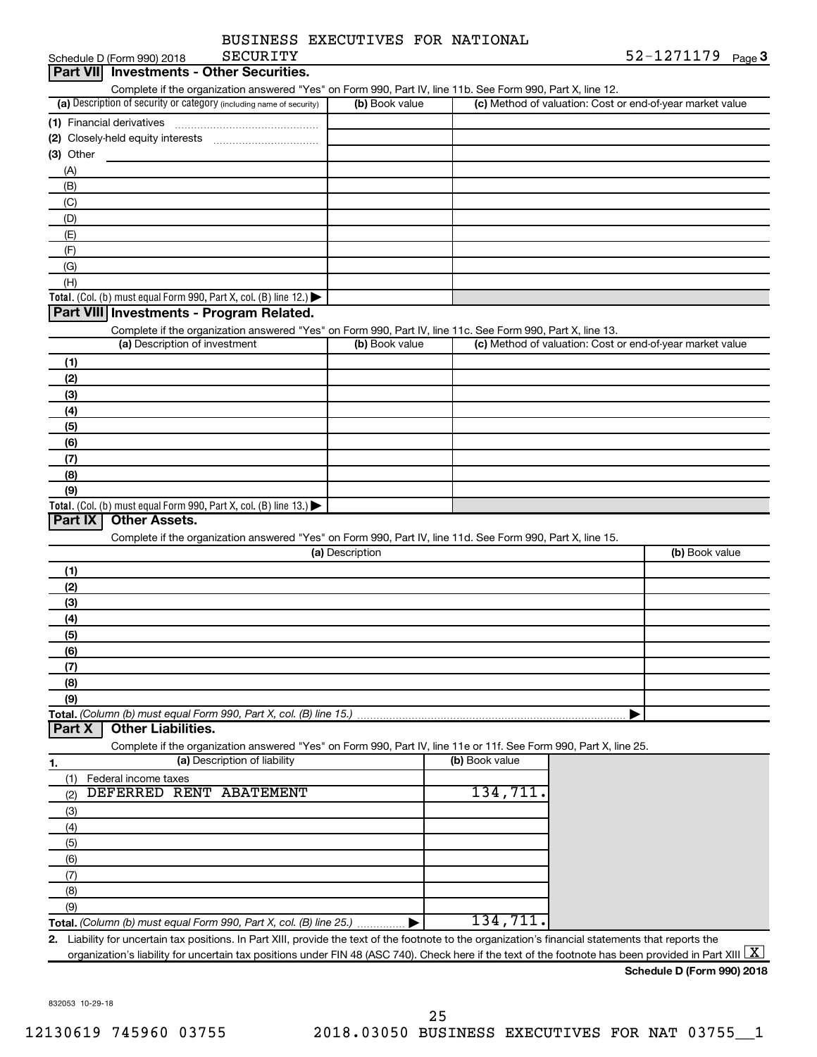|                 | BUSINESS EXECUTIVES FOR NATIONAL |  |              |  |
|-----------------|----------------------------------|--|--------------|--|
| <b>SECURITY</b> |                                  |  | ه 52-1271179 |  |

|                                                                                                                   |                 | Complete if the organization answered "Yes" on Form 990, Part IV, line 11b. See Form 990, Part X, line 12. |                                                           |
|-------------------------------------------------------------------------------------------------------------------|-----------------|------------------------------------------------------------------------------------------------------------|-----------------------------------------------------------|
| (a) Description of security or category (including name of security)                                              | (b) Book value  |                                                                                                            | (c) Method of valuation: Cost or end-of-year market value |
|                                                                                                                   |                 |                                                                                                            |                                                           |
| (2) Closely-held equity interests                                                                                 |                 |                                                                                                            |                                                           |
| $(3)$ Other                                                                                                       |                 |                                                                                                            |                                                           |
| (A)                                                                                                               |                 |                                                                                                            |                                                           |
| (B)                                                                                                               |                 |                                                                                                            |                                                           |
| (C)                                                                                                               |                 |                                                                                                            |                                                           |
| (D)                                                                                                               |                 |                                                                                                            |                                                           |
| (E)                                                                                                               |                 |                                                                                                            |                                                           |
| (F)                                                                                                               |                 |                                                                                                            |                                                           |
| (G)                                                                                                               |                 |                                                                                                            |                                                           |
| (H)                                                                                                               |                 |                                                                                                            |                                                           |
| Total. (Col. (b) must equal Form 990, Part X, col. (B) line 12.) $\blacktriangleright$                            |                 |                                                                                                            |                                                           |
| Part VIII Investments - Program Related.                                                                          |                 |                                                                                                            |                                                           |
| Complete if the organization answered "Yes" on Form 990, Part IV, line 11c. See Form 990, Part X, line 13.        |                 |                                                                                                            |                                                           |
| (a) Description of investment                                                                                     | (b) Book value  |                                                                                                            | (c) Method of valuation: Cost or end-of-year market value |
| (1)                                                                                                               |                 |                                                                                                            |                                                           |
| (2)                                                                                                               |                 |                                                                                                            |                                                           |
| (3)                                                                                                               |                 |                                                                                                            |                                                           |
| (4)                                                                                                               |                 |                                                                                                            |                                                           |
| (5)                                                                                                               |                 |                                                                                                            |                                                           |
| (6)                                                                                                               |                 |                                                                                                            |                                                           |
| (7)                                                                                                               |                 |                                                                                                            |                                                           |
| (8)                                                                                                               |                 |                                                                                                            |                                                           |
| (9)                                                                                                               |                 |                                                                                                            |                                                           |
| Total. (Col. (b) must equal Form 990, Part X, col. (B) line 13.)                                                  |                 |                                                                                                            |                                                           |
| <b>Other Assets.</b><br>Part IX                                                                                   |                 |                                                                                                            |                                                           |
| Complete if the organization answered "Yes" on Form 990, Part IV, line 11d. See Form 990, Part X, line 15.        |                 |                                                                                                            |                                                           |
|                                                                                                                   | (a) Description |                                                                                                            | (b) Book value                                            |
| (1)                                                                                                               |                 |                                                                                                            |                                                           |
| (2)                                                                                                               |                 |                                                                                                            |                                                           |
| (3)                                                                                                               |                 |                                                                                                            |                                                           |
|                                                                                                                   |                 |                                                                                                            |                                                           |
| (4)                                                                                                               |                 |                                                                                                            |                                                           |
| (5)                                                                                                               |                 |                                                                                                            |                                                           |
| (6)                                                                                                               |                 |                                                                                                            |                                                           |
| (7)                                                                                                               |                 |                                                                                                            |                                                           |
| (8)                                                                                                               |                 |                                                                                                            |                                                           |
| (9)                                                                                                               |                 |                                                                                                            |                                                           |
|                                                                                                                   |                 |                                                                                                            |                                                           |
| <b>Other Liabilities.</b>                                                                                         |                 |                                                                                                            |                                                           |
| Complete if the organization answered "Yes" on Form 990, Part IV, line 11e or 11f. See Form 990, Part X, line 25. |                 |                                                                                                            |                                                           |
| (a) Description of liability                                                                                      |                 | (b) Book value                                                                                             |                                                           |
| Federal income taxes<br>(1)                                                                                       |                 |                                                                                                            |                                                           |
| DEFERRED RENT ABATEMENT<br>(2)                                                                                    |                 | 134,711.                                                                                                   |                                                           |
|                                                                                                                   |                 |                                                                                                            |                                                           |
| (3)                                                                                                               |                 |                                                                                                            |                                                           |
| (4)                                                                                                               |                 |                                                                                                            |                                                           |
| (5)                                                                                                               |                 |                                                                                                            |                                                           |
| (6)                                                                                                               |                 |                                                                                                            |                                                           |
| (7)                                                                                                               |                 |                                                                                                            |                                                           |
| Total. (Column (b) must equal Form 990, Part X, col. (B) line 15.)<br>Part X<br>1.<br>(8)<br>(9)                  |                 |                                                                                                            |                                                           |

organization's liability for uncertain tax positions under FIN 48 (ASC 740). Check here if the text of the footnote has been provided in Part XIII  $\boxed{\text{X}}$ 

**Schedule D (Form 990) 2018**

832053 10-29-18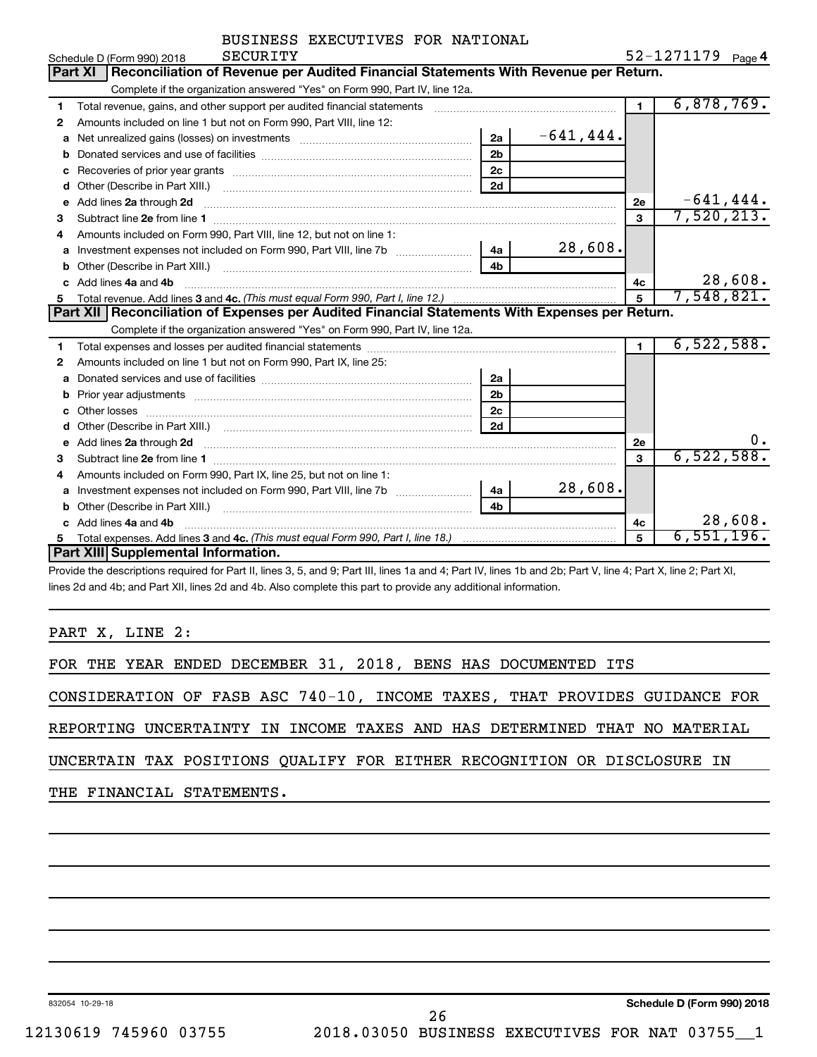| BUSINESS EXECUTIVES FOR NATIONAL |  |
|----------------------------------|--|
|                                  |  |

|    | SECURITY<br>Schedule D (Form 990) 2018                                                                                                                                                                                                  |                |              |                | $52 - 1271179$ Page 4 |
|----|-----------------------------------------------------------------------------------------------------------------------------------------------------------------------------------------------------------------------------------------|----------------|--------------|----------------|-----------------------|
|    | Reconciliation of Revenue per Audited Financial Statements With Revenue per Return.<br><b>Part XI</b>                                                                                                                                   |                |              |                |                       |
|    | Complete if the organization answered "Yes" on Form 990, Part IV, line 12a.                                                                                                                                                             |                |              |                |                       |
| 1. | Total revenue, gains, and other support per audited financial statements                                                                                                                                                                |                |              | $\blacksquare$ | 6,878,769.            |
| 2  | Amounts included on line 1 but not on Form 990, Part VIII, line 12:                                                                                                                                                                     |                |              |                |                       |
| a  |                                                                                                                                                                                                                                         | 2a             | $-641, 444.$ |                |                       |
| b  |                                                                                                                                                                                                                                         | 2 <sub>b</sub> |              |                |                       |
| C  |                                                                                                                                                                                                                                         | 2 <sub>c</sub> |              |                |                       |
| d  |                                                                                                                                                                                                                                         | 2d             |              |                |                       |
| e  | Add lines 2a through 2d <b>[10]</b> [20] <b>All and Primes 22</b> through 2d <b>[10] All and Primes 24</b> through 2d <b>[10] All and Primes 24</b> through 2d <b>[10] All and Primes 24</b> through 2d <b>[10] All and Primes 2d i</b> |                |              | 2e             | $-641, 444.$          |
| 3  |                                                                                                                                                                                                                                         |                |              | 3              | 7,520,213.            |
| 4  | Amounts included on Form 990. Part VIII. line 12, but not on line 1:                                                                                                                                                                    |                |              |                |                       |
| a  | Investment expenses not included on Form 990, Part VIII, line 7b [11, 111, 111, 111]                                                                                                                                                    | 4a             | 28,608.      |                |                       |
| b  |                                                                                                                                                                                                                                         | 4 <sub>h</sub> |              |                |                       |
| C. | Add lines 4a and 4b                                                                                                                                                                                                                     |                |              | 4c             | 28,608.               |
| 5  |                                                                                                                                                                                                                                         |                |              | 5              | 7,548,821.            |
|    | <b>Part XII Reconciliation of Expenses per Audited Financial Statements With Expenses per Return.</b>                                                                                                                                   |                |              |                |                       |
|    |                                                                                                                                                                                                                                         |                |              |                |                       |
|    | Complete if the organization answered "Yes" on Form 990, Part IV, line 12a.                                                                                                                                                             |                |              |                |                       |
| 1  |                                                                                                                                                                                                                                         |                |              | $\mathbf{1}$   | 6,522,588.            |
| 2  | Amounts included on line 1 but not on Form 990, Part IX, line 25:                                                                                                                                                                       |                |              |                |                       |
| a  |                                                                                                                                                                                                                                         | 2a             |              |                |                       |
| b  | Prior year adjustments www.communication.com/www.communication.com/www.com/                                                                                                                                                             | 2 <sub>b</sub> |              |                |                       |
| c  |                                                                                                                                                                                                                                         | 2 <sub>c</sub> |              |                |                       |
|    |                                                                                                                                                                                                                                         | 2d             |              |                |                       |
| e  |                                                                                                                                                                                                                                         |                |              | 2е             | 0.                    |
| 3  | Add lines 2a through 2d <b>[10]</b> Communication and the state of the state of the state of the state of the state of the state of the state of the state of the state of the state of the state of the state of the state of the      |                |              | 3              | 6,522,588.            |
| 4  | Amounts included on Form 990, Part IX, line 25, but not on line 1:                                                                                                                                                                      |                |              |                |                       |
| a  |                                                                                                                                                                                                                                         | 4a             | 28,608.      |                |                       |
|    |                                                                                                                                                                                                                                         | 4h             |              |                |                       |
|    | Add lines 4a and 4b                                                                                                                                                                                                                     |                |              | 4c             | 28,608.               |
| 5  | <b>Part XIII</b> Supplemental Information.                                                                                                                                                                                              |                |              | 5              | 6,551,196.            |

Provide the descriptions required for Part II, lines 3, 5, and 9; Part III, lines 1a and 4; Part IV, lines 1b and 2b; Part V, line 4; Part X, line 2; Part XI, lines 2d and 4b; and Part XII, lines 2d and 4b. Also complete this part to provide any additional information.

PART X, LINE 2:

FOR THE YEAR ENDED DECEMBER 31, 2018, BENS HAS DOCUMENTED ITS

CONSIDERATION OF FASB ASC 740-10, INCOME TAXES, THAT PROVIDES GUIDANCE FOR

REPORTING UNCERTAINTY IN INCOME TAXES AND HAS DETERMINED THAT NO MATERIAL

UNCERTAIN TAX POSITIONS QUALIFY FOR EITHER RECOGNITION OR DISCLOSURE IN

THE FINANCIAL STATEMENTS.

832054 10-29-18

**Schedule D (Form 990) 2018**

12130619 745960 03755 2018.03050 BUSINESS EXECUTIVES FOR NAT 03755\_\_1 26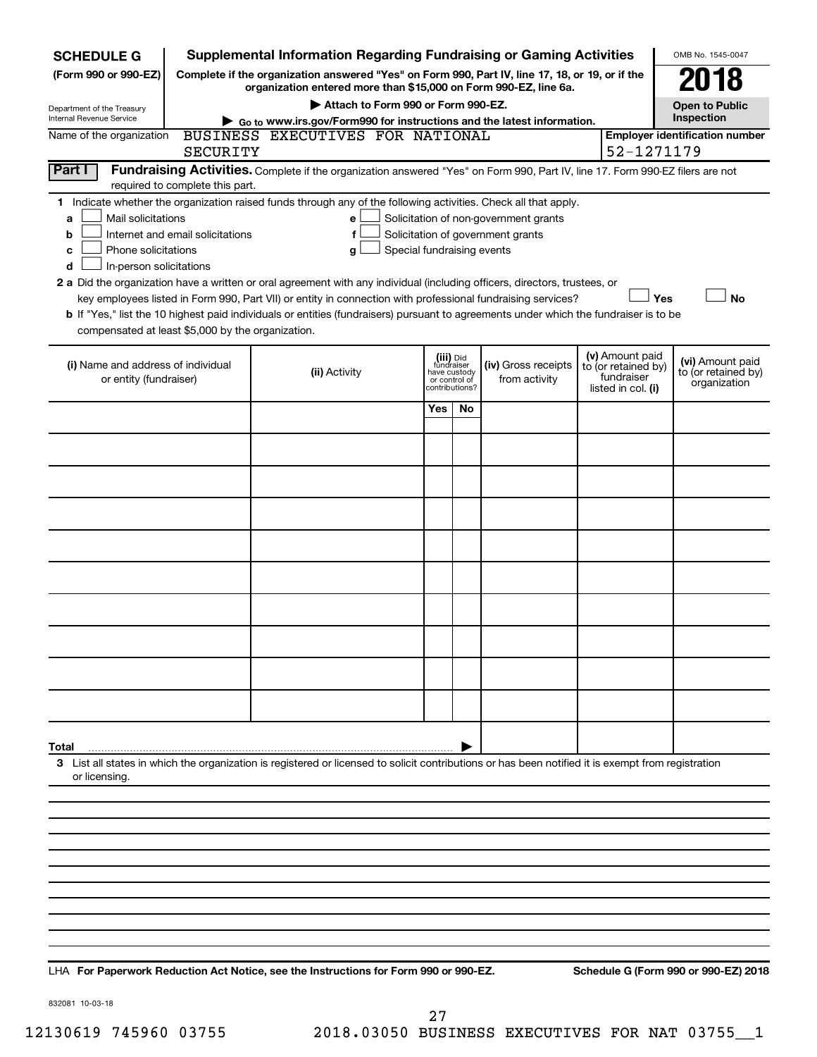| <b>SCHEDULE G</b>                                                                                                                       |                                                                                                     | <b>Supplemental Information Regarding Fundraising or Gaming Activities</b>                                                                                          |                               |                |                                       |                                   | OMB No. 1545-0047   |  |  |  |
|-----------------------------------------------------------------------------------------------------------------------------------------|-----------------------------------------------------------------------------------------------------|---------------------------------------------------------------------------------------------------------------------------------------------------------------------|-------------------------------|----------------|---------------------------------------|-----------------------------------|---------------------|--|--|--|
| (Form 990 or 990-EZ)                                                                                                                    |                                                                                                     | Complete if the organization answered "Yes" on Form 990, Part IV, line 17, 18, or 19, or if the<br>organization entered more than \$15,000 on Form 990-EZ, line 6a. |                               |                |                                       |                                   | 018                 |  |  |  |
|                                                                                                                                         | Attach to Form 990 or Form 990-EZ.<br><b>Open to Public</b><br>Department of the Treasury           |                                                                                                                                                                     |                               |                |                                       |                                   |                     |  |  |  |
| Internal Revenue Service                                                                                                                | Inspection<br>Go to www.irs.gov/Form990 for instructions and the latest information.                |                                                                                                                                                                     |                               |                |                                       |                                   |                     |  |  |  |
| Name of the organization                                                                                                                | BUSINESS EXECUTIVES FOR NATIONAL<br><b>Employer identification number</b><br>52-1271179<br>SECURITY |                                                                                                                                                                     |                               |                |                                       |                                   |                     |  |  |  |
| Part I<br>Fundraising Activities. Complete if the organization answered "Yes" on Form 990, Part IV, line 17. Form 990-EZ filers are not |                                                                                                     |                                                                                                                                                                     |                               |                |                                       |                                   |                     |  |  |  |
|                                                                                                                                         | required to complete this part.                                                                     |                                                                                                                                                                     |                               |                |                                       |                                   |                     |  |  |  |
| Mail solicitations<br>a                                                                                                                 |                                                                                                     | 1 Indicate whether the organization raised funds through any of the following activities. Check all that apply.<br>e                                                |                               |                | Solicitation of non-government grants |                                   |                     |  |  |  |
| b                                                                                                                                       | Internet and email solicitations                                                                    | f                                                                                                                                                                   |                               |                | Solicitation of government grants     |                                   |                     |  |  |  |
| Phone solicitations<br>с                                                                                                                |                                                                                                     | Special fundraising events<br>g                                                                                                                                     |                               |                |                                       |                                   |                     |  |  |  |
| In-person solicitations<br>d                                                                                                            |                                                                                                     |                                                                                                                                                                     |                               |                |                                       |                                   |                     |  |  |  |
|                                                                                                                                         |                                                                                                     | 2 a Did the organization have a written or oral agreement with any individual (including officers, directors, trustees, or                                          |                               |                |                                       |                                   |                     |  |  |  |
|                                                                                                                                         |                                                                                                     | key employees listed in Form 990, Part VII) or entity in connection with professional fundraising services?                                                         |                               |                |                                       |                                   | Yes<br><b>No</b>    |  |  |  |
| compensated at least \$5,000 by the organization.                                                                                       |                                                                                                     | b If "Yes," list the 10 highest paid individuals or entities (fundraisers) pursuant to agreements under which the fundraiser is to be                               |                               |                |                                       |                                   |                     |  |  |  |
|                                                                                                                                         |                                                                                                     |                                                                                                                                                                     |                               | (iii) Did      |                                       | (v) Amount paid                   | (vi) Amount paid    |  |  |  |
| (i) Name and address of individual<br>or entity (fundraiser)                                                                            |                                                                                                     | (ii) Activity                                                                                                                                                       | have custody<br>or control of | fundraiser     | (iv) Gross receipts<br>from activity  | to (or retained by)<br>fundraiser | to (or retained by) |  |  |  |
|                                                                                                                                         |                                                                                                     |                                                                                                                                                                     |                               | contributions? |                                       | listed in col. (i)                | organization        |  |  |  |
|                                                                                                                                         |                                                                                                     |                                                                                                                                                                     | Yes                           | No             |                                       |                                   |                     |  |  |  |
|                                                                                                                                         |                                                                                                     |                                                                                                                                                                     |                               |                |                                       |                                   |                     |  |  |  |
|                                                                                                                                         |                                                                                                     |                                                                                                                                                                     |                               |                |                                       |                                   |                     |  |  |  |
|                                                                                                                                         |                                                                                                     |                                                                                                                                                                     |                               |                |                                       |                                   |                     |  |  |  |
|                                                                                                                                         |                                                                                                     |                                                                                                                                                                     |                               |                |                                       |                                   |                     |  |  |  |
|                                                                                                                                         |                                                                                                     |                                                                                                                                                                     |                               |                |                                       |                                   |                     |  |  |  |
|                                                                                                                                         |                                                                                                     |                                                                                                                                                                     |                               |                |                                       |                                   |                     |  |  |  |
|                                                                                                                                         |                                                                                                     |                                                                                                                                                                     |                               |                |                                       |                                   |                     |  |  |  |
|                                                                                                                                         |                                                                                                     |                                                                                                                                                                     |                               |                |                                       |                                   |                     |  |  |  |
|                                                                                                                                         |                                                                                                     |                                                                                                                                                                     |                               |                |                                       |                                   |                     |  |  |  |
|                                                                                                                                         |                                                                                                     |                                                                                                                                                                     |                               |                |                                       |                                   |                     |  |  |  |
| Total                                                                                                                                   |                                                                                                     |                                                                                                                                                                     |                               |                |                                       |                                   |                     |  |  |  |
| or licensing.                                                                                                                           |                                                                                                     | 3 List all states in which the organization is registered or licensed to solicit contributions or has been notified it is exempt from registration                  |                               |                |                                       |                                   |                     |  |  |  |
|                                                                                                                                         |                                                                                                     |                                                                                                                                                                     |                               |                |                                       |                                   |                     |  |  |  |
|                                                                                                                                         |                                                                                                     |                                                                                                                                                                     |                               |                |                                       |                                   |                     |  |  |  |
|                                                                                                                                         |                                                                                                     |                                                                                                                                                                     |                               |                |                                       |                                   |                     |  |  |  |
|                                                                                                                                         |                                                                                                     |                                                                                                                                                                     |                               |                |                                       |                                   |                     |  |  |  |
|                                                                                                                                         |                                                                                                     |                                                                                                                                                                     |                               |                |                                       |                                   |                     |  |  |  |
|                                                                                                                                         |                                                                                                     |                                                                                                                                                                     |                               |                |                                       |                                   |                     |  |  |  |
|                                                                                                                                         |                                                                                                     |                                                                                                                                                                     |                               |                |                                       |                                   |                     |  |  |  |
|                                                                                                                                         |                                                                                                     |                                                                                                                                                                     |                               |                |                                       |                                   |                     |  |  |  |

**For Paperwork Reduction Act Notice, see the Instructions for Form 990 or 990-EZ. Schedule G (Form 990 or 990-EZ) 2018** LHA

832081 10-03-18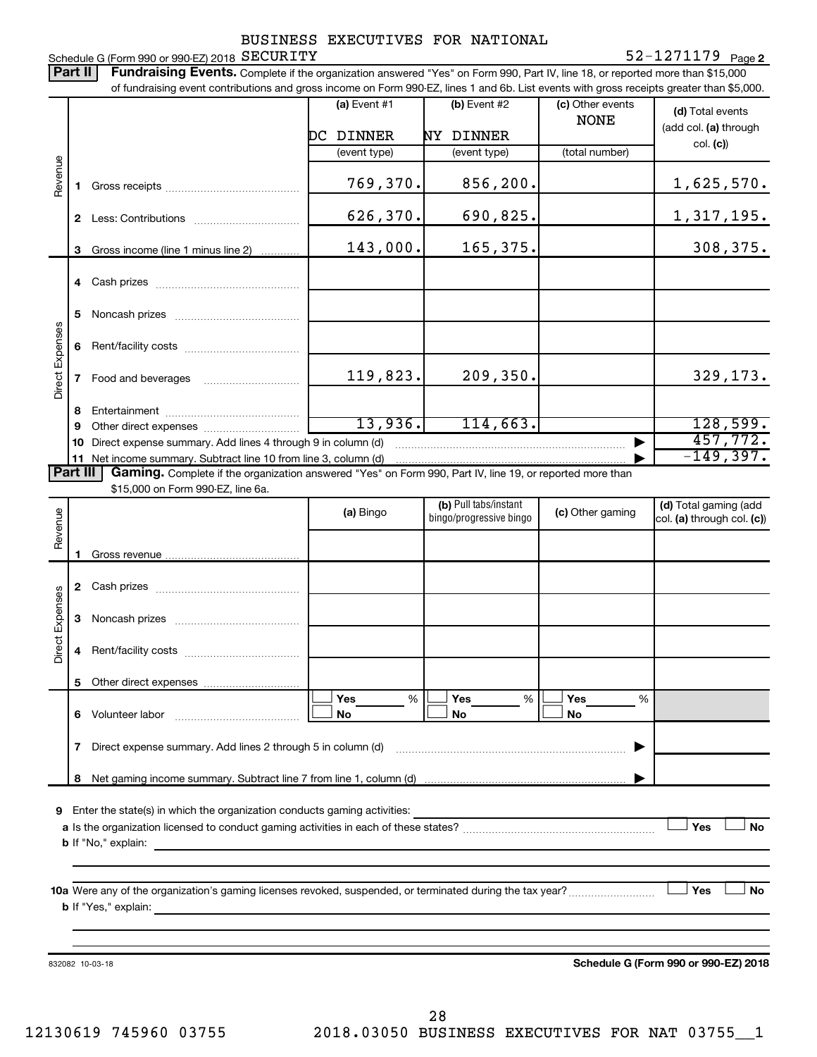#### Schedule G (Form 990 or 990-EZ) 2018  $\rm SECURITY$ BUSINESS EXECUTIVES FOR NATIONAL

#### **2** SECURITY 52-1271179

Part II | Fundraising Events. Complete if the organization answered "Yes" on Form 990, Part IV, line 18, or reported more than \$15,000 of fundraising event contributions and gross income on Form 990-EZ, lines 1 and 6b. List events with gross receipts greater than \$5,000. **(a)** Event  $#1$  **(b)** Event  $#2$ (c) Other events **(d)**  Total events NONE (add col. (a) through DC DINNER NY DINNER col. **(c)**) (event type) (event type) (total number) Revenue 769,370. 856,200. 1,625,570. **1** Gross receipts ~~~~~~~~~~~~~~ 626,370. 690,825. 1,317,195. **2** Less: Contributions ~~~~~~~~~~~ 143,000. 165,375. **3** Gross income (line 1 minus line 2) . . . . . . . . . . . . **4** Cash prizes ~~~~~~~~~~~~~~~ **5** Noncash prizes ~~~~~~~~~~~~~ Direct Expenses Direct Expenses **6** Rent/facility costs ~~~~~~~~~~~~  $119,823.$  209,350. 329,173. **7** Food and beverages **with the State Proof 8** Entertainment ~~~~~~~~~~~~~~ 13,936. 114,663. 128,599. **9** Other direct expenses  $\ldots$  **............................** 457,772. **10** Direct expense summary. Add lines 4 through 9 in column (d) ~~~~~~~~~~~~~~~~~~~~~~~~ | -149,397. **11** Net income summary. Subtract line 10 from line 3, column (d) | Part III Gaming. Complete if the organization answered "Yes" on Form 990, Part IV, line 19, or reported more than \$15,000 on Form 990-EZ, line 6a. (b) Pull tabs/instant (d) Total gaming (add Revenue **(a)** Bingo **a b**ingo/progressive bingo **(c)** Other gaming bingo/progressive bingo col. (a) through col. (c)) Gross revenue **1 2** Cash prizes ~~~~~~~~~~~~~~~ Direct Expenses Direct Expenses **3** Noncash prizes ~~~~~~~~~~~~~ **4** Rent/facility costs ~~~~~~~~~~~~ **5** Other direct expenses  $|\Box$  Yes  $\qquad \%$   $|\Box$  Yes  $\qquad \%$   $|\Box$ **Yes Yes Yes** % % %  $|\Box$  No  $|\Box$  No  $|\Box$ **6** Volunteer labor ~~~~~~~~~~~~~ **No No No 7** Direct expense summary. Add lines 2 through 5 in column (d) ~~~~~~~~~~~~~~~~~~~~~~~~ | **8** Net gaming income summary. Subtract line 7 from line 1, column (d) | **9** Enter the state(s) in which the organization conducts gaming activities:  $|$  Yes **Yes No a** Is the organization licensed to conduct gaming activities in each of these states? ~~~~~~~~~~~~~~~~~~~~ **b** If "No," explain: **10 a** Were any of the organization's gaming licenses revoked, suspended, or terminated during the tax year? ~~~~~~~~~ † † **Yes No b** If "Yes," explain: **Schedule G (Form 990 or 990-EZ) 2018** 832082 10-03-18

12130619 745960 03755 2018.03050 BUSINESS EXECUTIVES FOR NAT 03755\_\_1 28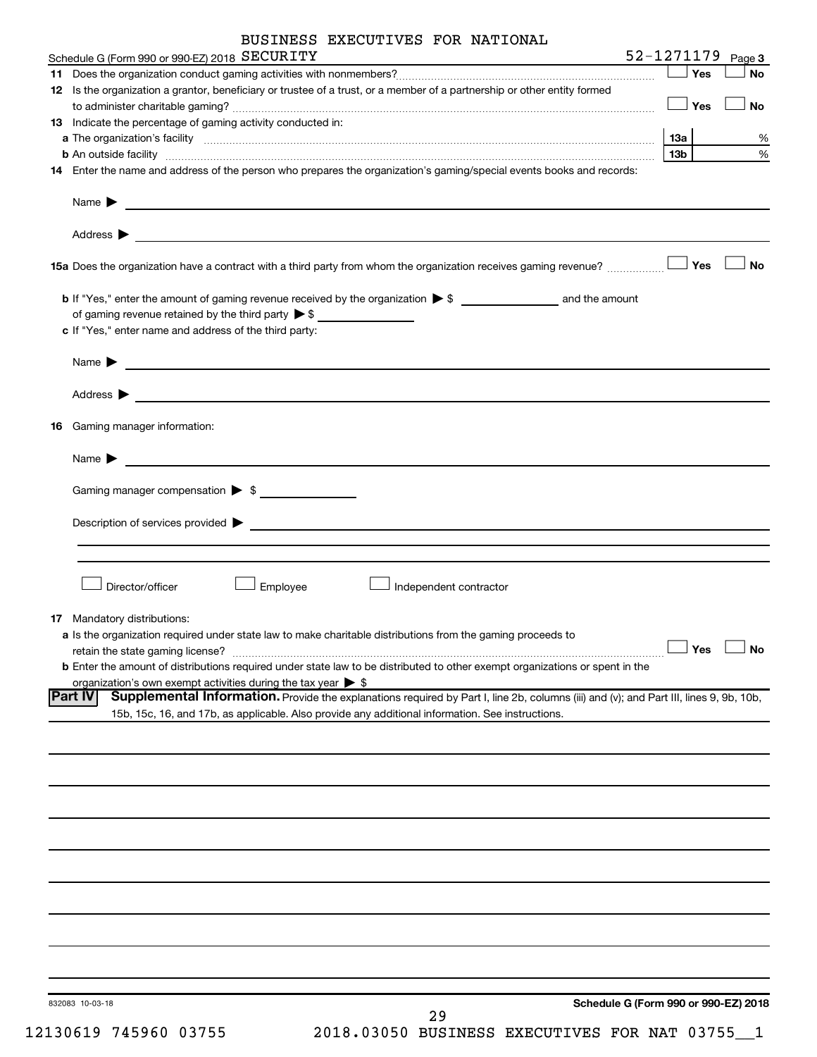|    | BUSINESS EXECUTIVES FOR NATIONAL                                                                                                                                                                                                                                                   |
|----|------------------------------------------------------------------------------------------------------------------------------------------------------------------------------------------------------------------------------------------------------------------------------------|
|    | 52-1271179 Page 3<br>Schedule G (Form 990 or 990-EZ) 2018 SECURITY                                                                                                                                                                                                                 |
|    | Yes<br>No                                                                                                                                                                                                                                                                          |
|    | 12 Is the organization a grantor, beneficiary or trustee of a trust, or a member of a partnership or other entity formed                                                                                                                                                           |
|    | $\Box$ Yes<br>No<br>13 Indicate the percentage of gaming activity conducted in:                                                                                                                                                                                                    |
|    | 1За<br>%                                                                                                                                                                                                                                                                           |
|    | $\%$<br>13b l<br><b>b</b> An outside facility <b>contained and the contract of the contract of the contract of the contract of the contract of the contract of the contract of the contract of the contract of the contract of the contract of the con</b>                         |
|    | 14 Enter the name and address of the person who prepares the organization's gaming/special events books and records:                                                                                                                                                               |
|    | Name $\blacktriangleright$<br><u> 1989 - Johann John Stone, Amerikaansk politiker († 1908)</u>                                                                                                                                                                                     |
|    | Address $\blacktriangleright$<br><u>some started and the started and the started and the started and the started and the started and the started and the started and the started and the started and the started and the started and the started and the started </u><br><b>No</b> |
|    | <b>15a</b> Does the organization have a contract with a third party from whom the organization receives gaming revenue? $\ldots$                                                                                                                                                   |
|    | of gaming revenue retained by the third party $\triangleright$ \$                                                                                                                                                                                                                  |
|    | c If "Yes," enter name and address of the third party:                                                                                                                                                                                                                             |
|    | Name $\blacktriangleright$<br><u> Alexandria de la contrada de la contrada de la contrada de la contrada de la contrada de la contrada de la c</u>                                                                                                                                 |
|    | Address $\blacktriangleright$<br><u> 2008 - Andrea Andrew Maria (h. 1878).</u>                                                                                                                                                                                                     |
| 16 | Gaming manager information:                                                                                                                                                                                                                                                        |
|    | Name $\blacktriangleright$                                                                                                                                                                                                                                                         |
|    | Gaming manager compensation > \$                                                                                                                                                                                                                                                   |
|    | Description of services provided states and the contract of the contract of the contract of the contract of the contract of the contract of the contract of the contract of the contract of the contract of the contract of th                                                     |
|    |                                                                                                                                                                                                                                                                                    |
|    |                                                                                                                                                                                                                                                                                    |
|    | Director/officer<br>Employee<br>Independent contractor                                                                                                                                                                                                                             |
|    | 17 Mandatory distributions:                                                                                                                                                                                                                                                        |
|    | a Is the organization required under state law to make charitable distributions from the gaming proceeds to                                                                                                                                                                        |
|    | Yes<br>No<br>retain the state gaming license?                                                                                                                                                                                                                                      |
|    | b Enter the amount of distributions required under state law to be distributed to other exempt organizations or spent in the                                                                                                                                                       |
|    | organization's own exempt activities during the tax year $\triangleright$ \$<br> Part IV<br>Supplemental Information. Provide the explanations required by Part I, line 2b, columns (iii) and (v); and Part III, lines 9, 9b, 10b,                                                 |
|    | 15b, 15c, 16, and 17b, as applicable. Also provide any additional information. See instructions.                                                                                                                                                                                   |
|    |                                                                                                                                                                                                                                                                                    |
|    |                                                                                                                                                                                                                                                                                    |
|    |                                                                                                                                                                                                                                                                                    |
|    |                                                                                                                                                                                                                                                                                    |
|    |                                                                                                                                                                                                                                                                                    |
|    |                                                                                                                                                                                                                                                                                    |
|    |                                                                                                                                                                                                                                                                                    |
|    |                                                                                                                                                                                                                                                                                    |
|    |                                                                                                                                                                                                                                                                                    |
|    |                                                                                                                                                                                                                                                                                    |
|    |                                                                                                                                                                                                                                                                                    |
|    |                                                                                                                                                                                                                                                                                    |
|    |                                                                                                                                                                                                                                                                                    |
|    |                                                                                                                                                                                                                                                                                    |
|    |                                                                                                                                                                                                                                                                                    |
|    | Schedule G (Form 990 or 990-EZ) 2018<br>832083 10-03-18                                                                                                                                                                                                                            |

| 12130619 745960 0375 |  |  |
|----------------------|--|--|
|----------------------|--|--|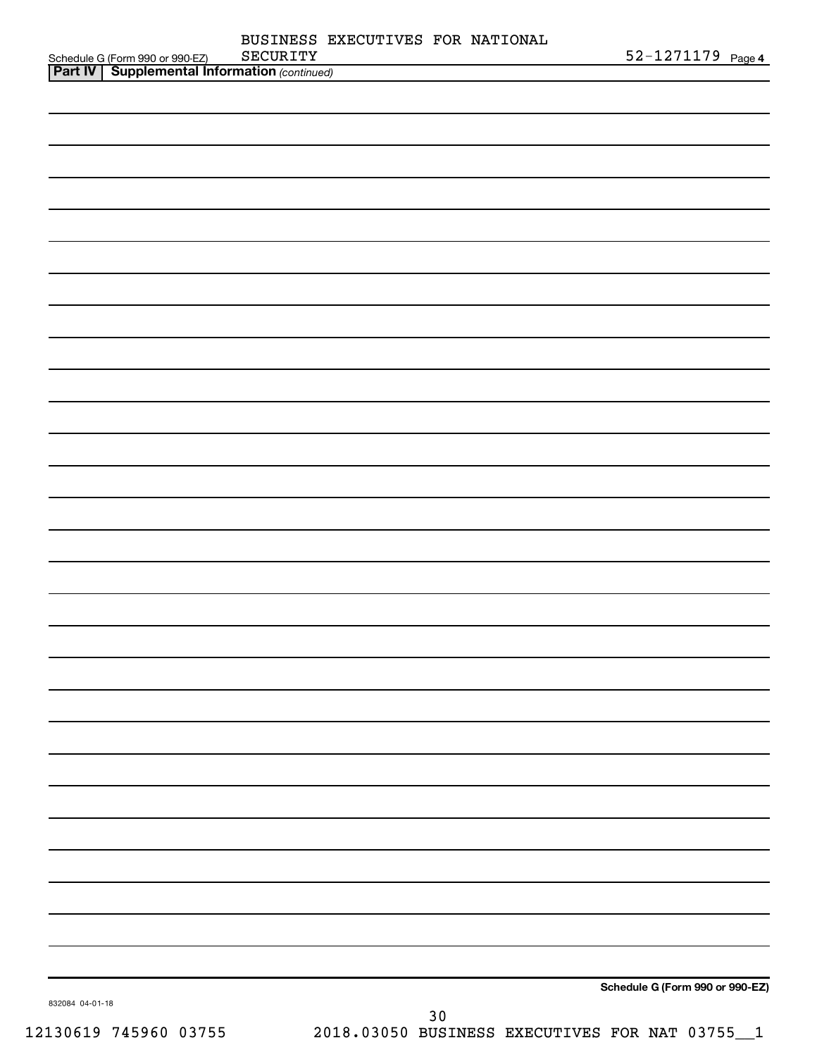|                                                                                                 | SECURITY | BUSINESS EXECUTIVES FOR NATIONAL | 52-1271179 Page 4               |  |
|-------------------------------------------------------------------------------------------------|----------|----------------------------------|---------------------------------|--|
| Schedule G (Form 990 or 990-EZ) SECURITY<br><b>Part IV</b> Supplemental Information (continued) |          |                                  |                                 |  |
|                                                                                                 |          |                                  |                                 |  |
|                                                                                                 |          |                                  |                                 |  |
|                                                                                                 |          |                                  |                                 |  |
|                                                                                                 |          |                                  |                                 |  |
|                                                                                                 |          |                                  |                                 |  |
|                                                                                                 |          |                                  |                                 |  |
|                                                                                                 |          |                                  |                                 |  |
|                                                                                                 |          |                                  |                                 |  |
|                                                                                                 |          |                                  |                                 |  |
|                                                                                                 |          |                                  |                                 |  |
|                                                                                                 |          |                                  |                                 |  |
|                                                                                                 |          |                                  |                                 |  |
|                                                                                                 |          |                                  |                                 |  |
|                                                                                                 |          |                                  |                                 |  |
|                                                                                                 |          |                                  |                                 |  |
|                                                                                                 |          |                                  |                                 |  |
|                                                                                                 |          |                                  |                                 |  |
|                                                                                                 |          |                                  |                                 |  |
|                                                                                                 |          |                                  |                                 |  |
|                                                                                                 |          |                                  |                                 |  |
|                                                                                                 |          |                                  |                                 |  |
|                                                                                                 |          |                                  |                                 |  |
|                                                                                                 |          |                                  |                                 |  |
|                                                                                                 |          |                                  |                                 |  |
|                                                                                                 |          |                                  |                                 |  |
|                                                                                                 |          |                                  |                                 |  |
|                                                                                                 |          |                                  |                                 |  |
|                                                                                                 |          |                                  |                                 |  |
|                                                                                                 |          |                                  |                                 |  |
|                                                                                                 |          |                                  |                                 |  |
|                                                                                                 |          |                                  |                                 |  |
|                                                                                                 |          |                                  |                                 |  |
|                                                                                                 |          |                                  |                                 |  |
|                                                                                                 |          |                                  |                                 |  |
|                                                                                                 |          |                                  |                                 |  |
|                                                                                                 |          |                                  |                                 |  |
|                                                                                                 |          |                                  |                                 |  |
|                                                                                                 |          |                                  |                                 |  |
|                                                                                                 |          |                                  |                                 |  |
|                                                                                                 |          |                                  |                                 |  |
|                                                                                                 |          |                                  |                                 |  |
|                                                                                                 |          |                                  |                                 |  |
|                                                                                                 |          |                                  |                                 |  |
|                                                                                                 |          |                                  |                                 |  |
|                                                                                                 |          |                                  |                                 |  |
|                                                                                                 |          |                                  |                                 |  |
|                                                                                                 |          |                                  |                                 |  |
|                                                                                                 |          |                                  |                                 |  |
|                                                                                                 |          |                                  |                                 |  |
|                                                                                                 |          |                                  | Schedule G (Form 990 or 990-EZ) |  |
| 832084 04-01-18                                                                                 |          | $30$                             |                                 |  |
|                                                                                                 |          |                                  |                                 |  |

12130619 745960 03755 2018.03050 BUSINESS EXECUTIVES FOR NAT 03755\_\_1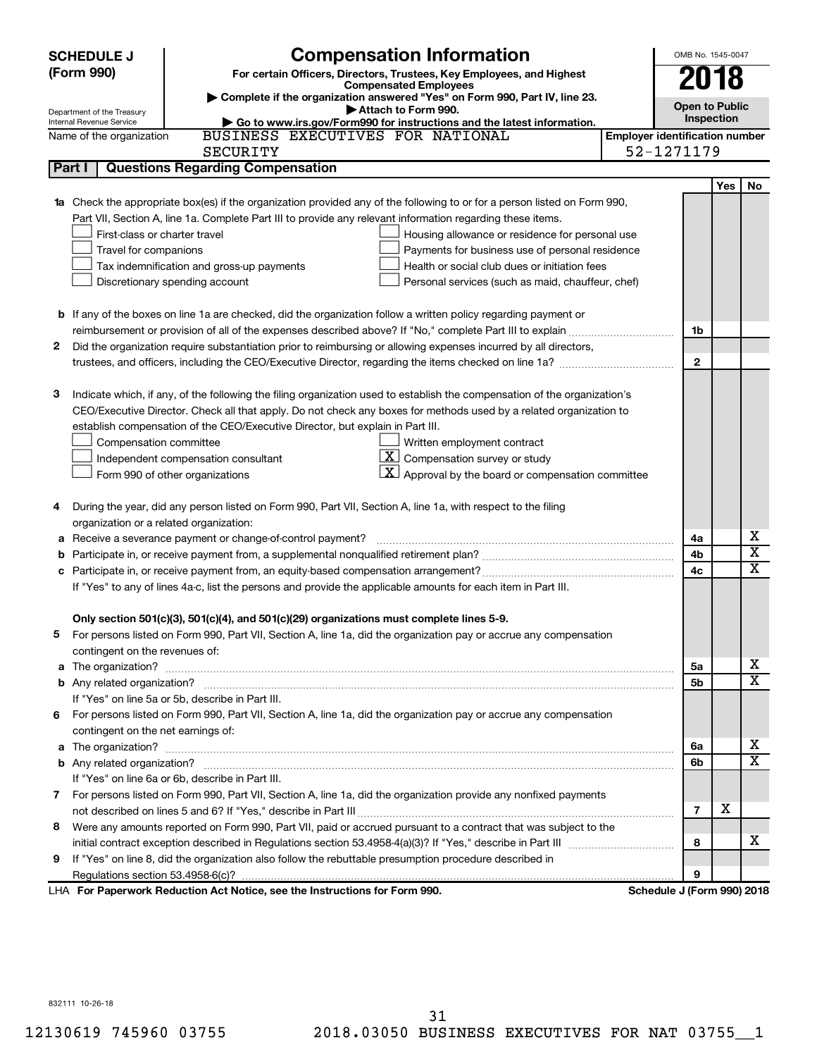|    | <b>SCHEDULE J</b>                                                                   | <b>Compensation Information</b>                                                                                                  |                                       | OMB No. 1545-0047          |     |                         |
|----|-------------------------------------------------------------------------------------|----------------------------------------------------------------------------------------------------------------------------------|---------------------------------------|----------------------------|-----|-------------------------|
|    | (Form 990)<br>For certain Officers, Directors, Trustees, Key Employees, and Highest |                                                                                                                                  |                                       |                            |     |                         |
|    |                                                                                     | <b>Compensated Employees</b>                                                                                                     |                                       | 2018                       |     |                         |
|    | Department of the Treasury                                                          | Complete if the organization answered "Yes" on Form 990, Part IV, line 23.<br>Attach to Form 990.                                |                                       | <b>Open to Public</b>      |     |                         |
|    | Internal Revenue Service                                                            | Go to www.irs.gov/Form990 for instructions and the latest information.                                                           |                                       | Inspection                 |     |                         |
|    | Name of the organization                                                            | BUSINESS EXECUTIVES FOR NATIONAL                                                                                                 | <b>Employer identification number</b> |                            |     |                         |
|    |                                                                                     | <b>SECURITY</b>                                                                                                                  |                                       | 52-1271179                 |     |                         |
|    | Part I                                                                              | <b>Questions Regarding Compensation</b>                                                                                          |                                       |                            |     |                         |
|    |                                                                                     |                                                                                                                                  |                                       |                            | Yes | No                      |
|    |                                                                                     | <b>1a</b> Check the appropriate box(es) if the organization provided any of the following to or for a person listed on Form 990, |                                       |                            |     |                         |
|    |                                                                                     | Part VII, Section A, line 1a. Complete Part III to provide any relevant information regarding these items.                       |                                       |                            |     |                         |
|    | First-class or charter travel                                                       | Housing allowance or residence for personal use                                                                                  |                                       |                            |     |                         |
|    | Travel for companions                                                               | Payments for business use of personal residence                                                                                  |                                       |                            |     |                         |
|    |                                                                                     | Health or social club dues or initiation fees<br>Tax indemnification and gross-up payments                                       |                                       |                            |     |                         |
|    |                                                                                     | Discretionary spending account<br>Personal services (such as maid, chauffeur, chef)                                              |                                       |                            |     |                         |
|    |                                                                                     |                                                                                                                                  |                                       |                            |     |                         |
|    |                                                                                     | <b>b</b> If any of the boxes on line 1a are checked, did the organization follow a written policy regarding payment or           |                                       |                            |     |                         |
|    |                                                                                     |                                                                                                                                  |                                       | 1b                         |     |                         |
| 2  |                                                                                     | Did the organization require substantiation prior to reimbursing or allowing expenses incurred by all directors,                 |                                       |                            |     |                         |
|    |                                                                                     | trustees, and officers, including the CEO/Executive Director, regarding the items checked on line 1a?                            |                                       | $\mathbf{2}$               |     |                         |
|    |                                                                                     |                                                                                                                                  |                                       |                            |     |                         |
| 3  |                                                                                     | Indicate which, if any, of the following the filing organization used to establish the compensation of the organization's        |                                       |                            |     |                         |
|    |                                                                                     | CEO/Executive Director. Check all that apply. Do not check any boxes for methods used by a related organization to               |                                       |                            |     |                         |
|    |                                                                                     | establish compensation of the CEO/Executive Director, but explain in Part III.                                                   |                                       |                            |     |                         |
|    | Compensation committee                                                              | Written employment contract                                                                                                      |                                       |                            |     |                         |
|    |                                                                                     | $\mathbf{X}$ Compensation survey or study<br>Independent compensation consultant                                                 |                                       |                            |     |                         |
|    |                                                                                     | $\vert X \vert$ Approval by the board or compensation committee<br>Form 990 of other organizations                               |                                       |                            |     |                         |
|    |                                                                                     |                                                                                                                                  |                                       |                            |     |                         |
| 4  |                                                                                     | During the year, did any person listed on Form 990, Part VII, Section A, line 1a, with respect to the filing                     |                                       |                            |     |                         |
|    | organization or a related organization:                                             |                                                                                                                                  |                                       |                            |     | х                       |
| а  |                                                                                     | Receive a severance payment or change-of-control payment?                                                                        |                                       | 4a<br>4b                   |     | х                       |
| b  |                                                                                     |                                                                                                                                  |                                       | 4c                         |     | $\overline{\textbf{x}}$ |
| c  |                                                                                     |                                                                                                                                  |                                       |                            |     |                         |
|    |                                                                                     | If "Yes" to any of lines 4a-c, list the persons and provide the applicable amounts for each item in Part III.                    |                                       |                            |     |                         |
|    |                                                                                     | Only section 501(c)(3), 501(c)(4), and 501(c)(29) organizations must complete lines 5-9.                                         |                                       |                            |     |                         |
|    |                                                                                     | For persons listed on Form 990, Part VII, Section A, line 1a, did the organization pay or accrue any compensation                |                                       |                            |     |                         |
|    | contingent on the revenues of:                                                      |                                                                                                                                  |                                       |                            |     |                         |
|    |                                                                                     |                                                                                                                                  |                                       | 5a                         |     | x                       |
|    |                                                                                     |                                                                                                                                  |                                       | 5b                         |     | х                       |
|    |                                                                                     | If "Yes" on line 5a or 5b, describe in Part III.                                                                                 |                                       |                            |     |                         |
|    |                                                                                     | 6 For persons listed on Form 990, Part VII, Section A, line 1a, did the organization pay or accrue any compensation              |                                       |                            |     |                         |
|    | contingent on the net earnings of:                                                  |                                                                                                                                  |                                       |                            |     |                         |
|    |                                                                                     |                                                                                                                                  |                                       | 6a                         |     | x                       |
|    |                                                                                     |                                                                                                                                  |                                       | 6b                         |     | х                       |
|    |                                                                                     | If "Yes" on line 6a or 6b, describe in Part III.                                                                                 |                                       |                            |     |                         |
|    |                                                                                     | 7 For persons listed on Form 990, Part VII, Section A, line 1a, did the organization provide any nonfixed payments               |                                       |                            |     |                         |
|    |                                                                                     |                                                                                                                                  |                                       | $\overline{7}$             | х   |                         |
|    |                                                                                     | 8 Were any amounts reported on Form 990, Part VII, paid or accrued pursuant to a contract that was subject to the                |                                       |                            |     |                         |
|    |                                                                                     |                                                                                                                                  |                                       | 8                          |     | х                       |
| 9. |                                                                                     | If "Yes" on line 8, did the organization also follow the rebuttable presumption procedure described in                           |                                       |                            |     |                         |
|    |                                                                                     |                                                                                                                                  |                                       | 9                          |     |                         |
|    |                                                                                     | LHA For Paperwork Reduction Act Notice, see the Instructions for Form 990.                                                       |                                       | Schedule J (Form 990) 2018 |     |                         |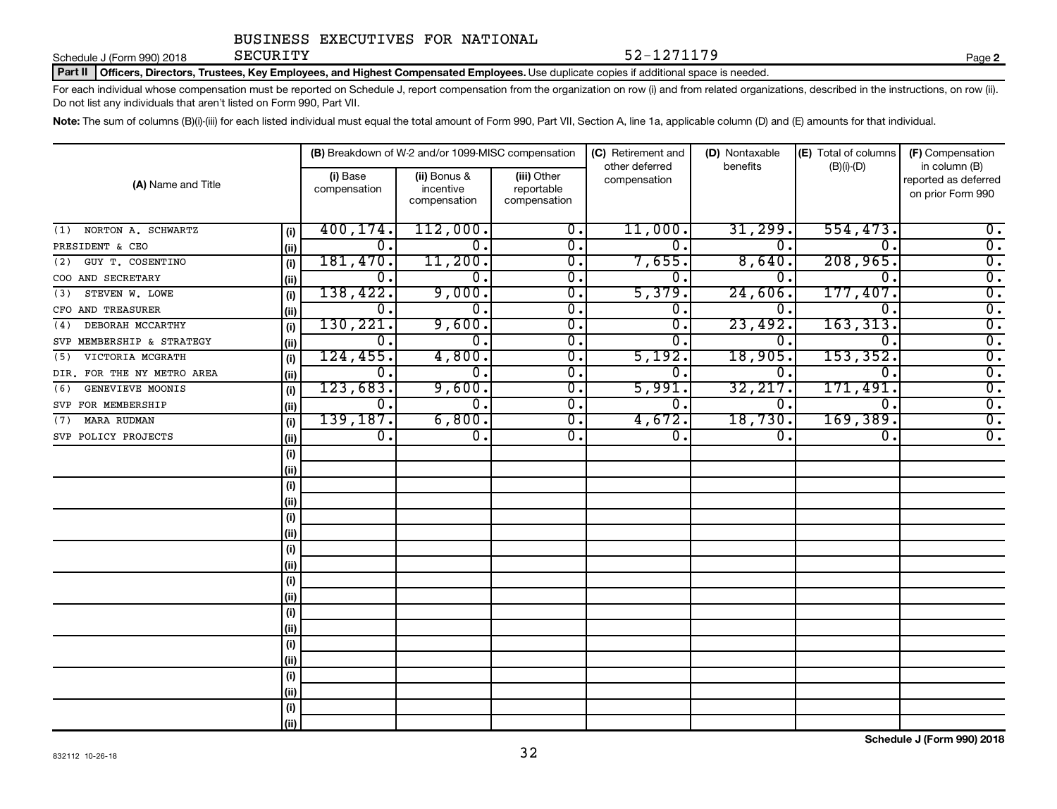Schedule J (Form 990) 2018 **SECURITY** 

Part II | Officers, Directors, Trustees, Key Employees, and Highest Compensated Employees. Use duplicate copies if additional space is needed.

For each individual whose compensation must be reported on Schedule J, report compensation from the organization on row (i) and from related organizations, described in the instructions, on row (ii). Do not list any individuals that aren't listed on Form 990, Part VII.

SECURITY 52-1271179

Note: The sum of columns (B)(i)-(iii) for each listed individual must equal the total amount of Form 990, Part VII, Section A, line 1a, applicable column (D) and (E) amounts for that individual.

| (A) Name and Title         |       | (B) Breakdown of W-2 and/or 1099-MISC compensation |                                           |                                           | (C) Retirement and<br>other deferred | (D) Nontaxable   | (E) Total of columns | (F) Compensation                                           |
|----------------------------|-------|----------------------------------------------------|-------------------------------------------|-------------------------------------------|--------------------------------------|------------------|----------------------|------------------------------------------------------------|
|                            |       | (i) Base<br>compensation                           | (ii) Bonus &<br>incentive<br>compensation | (iii) Other<br>reportable<br>compensation | compensation                         | benefits         | $(B)(i)-(D)$         | in column (B)<br>reported as deferred<br>on prior Form 990 |
| NORTON A. SCHWARTZ<br>(1)  | (i)   | 400, 174.                                          | 112,000.                                  | 0.                                        | 11,000.                              | 31,299.          | 554, 473.            | $0$ .                                                      |
| PRESIDENT & CEO            | (ii)  | 0.                                                 | 0.                                        | 0.                                        | $\Omega$ .                           | $\mathbf 0$ .    | $\Omega$ .           | $\overline{0}$ .                                           |
| GUY T. COSENTINO<br>(2)    | (i)   | 181,470.                                           | 11,200.                                   | 0.                                        | 7,655.                               | 8,640.           | 208,965.             | $\overline{0}$ .                                           |
| COO AND SECRETARY          | (ii)  | 0.                                                 | 0.                                        | $\overline{0}$ .                          | $\Omega$ .                           | 0                | $\Omega$ .           | $\overline{0}$ .                                           |
| STEVEN W. LOWE<br>(3)      | (i)   | 138,422.                                           | 9,000.                                    | $\overline{0}$ .                          | 5,379.                               | 24,606           | 177,407.             | $\overline{0}$ .                                           |
| CFO AND TREASURER          | (ii)  | Ο.                                                 | 0.                                        | $\overline{0}$ .                          | $\mathbf 0$                          | 0.               | $\Omega$             | $\overline{0}$ .                                           |
| DEBORAH MCCARTHY<br>(4)    | (i)   | 130, 221.                                          | 9,600.                                    | $\overline{0}$ .                          | $0 \, .$                             | 23,492.          | 163, 313.            | $\overline{0}$ .                                           |
| SVP MEMBERSHIP & STRATEGY  | (ii)  | 0.                                                 | 0.                                        | $0$ .                                     | $\Omega$ .                           | 0.               | $\Omega$ .           | $\overline{0}$ .                                           |
| VICTORIA MCGRATH<br>(5)    | (i)   | 124,455.                                           | 4,800.                                    | $\overline{0}$ .                          | 5,192.                               | 18,905.          | 153, 352.            | $\overline{0}$ .                                           |
| DIR. FOR THE NY METRO AREA | (ii)  | 0.                                                 | 0.                                        | $\overline{0}$ .                          | $\overline{0}$ .                     | 0.               | $\overline{0}$ .     | $\overline{0}$ .                                           |
| GENEVIEVE MOONIS<br>(6)    | (i)   | 123,683.                                           | 9,600.                                    | $\overline{0}$ .                          | 5,991.                               | 32, 217.         | 171,491.             | $\overline{0}$ .                                           |
| SVP FOR MEMBERSHIP         | (ii)  | $\overline{0}$ .                                   | $\overline{0}$ .                          | $\overline{0}$ .                          | $\overline{0}$ .                     | О.               | $\overline{0}$ .     | $\overline{0}$ .                                           |
| <b>MARA RUDMAN</b><br>(7)  | (i)   | 139, 187.                                          | 6,800.                                    | $\overline{0}$ .                          | 4,672.                               | 18,730.          | 169,389.             | $\overline{0}$ .                                           |
| SVP POLICY PROJECTS        | (ii)  | $\overline{0}$ .                                   | $\overline{\mathbf{0}}$ .                 | $\overline{0}$ .                          | $\overline{0}$ .                     | $\overline{0}$ . | 0.                   | $\overline{0}$ .                                           |
|                            | (i)   |                                                    |                                           |                                           |                                      |                  |                      |                                                            |
|                            | (ii)  |                                                    |                                           |                                           |                                      |                  |                      |                                                            |
|                            | (i)   |                                                    |                                           |                                           |                                      |                  |                      |                                                            |
|                            | (ii)  |                                                    |                                           |                                           |                                      |                  |                      |                                                            |
|                            | (i)   |                                                    |                                           |                                           |                                      |                  |                      |                                                            |
|                            | (ii)  |                                                    |                                           |                                           |                                      |                  |                      |                                                            |
|                            | (i)   |                                                    |                                           |                                           |                                      |                  |                      |                                                            |
|                            | (ii)  |                                                    |                                           |                                           |                                      |                  |                      |                                                            |
|                            | (i)   |                                                    |                                           |                                           |                                      |                  |                      |                                                            |
|                            | (ii)  |                                                    |                                           |                                           |                                      |                  |                      |                                                            |
|                            | (i)   |                                                    |                                           |                                           |                                      |                  |                      |                                                            |
|                            | (ii)  |                                                    |                                           |                                           |                                      |                  |                      |                                                            |
|                            | (i)   |                                                    |                                           |                                           |                                      |                  |                      |                                                            |
|                            | (ii)  |                                                    |                                           |                                           |                                      |                  |                      |                                                            |
|                            | (i)   |                                                    |                                           |                                           |                                      |                  |                      |                                                            |
|                            | (ii)  |                                                    |                                           |                                           |                                      |                  |                      |                                                            |
|                            | (i)   |                                                    |                                           |                                           |                                      |                  |                      |                                                            |
|                            | (iii) |                                                    |                                           |                                           |                                      |                  |                      |                                                            |

**2**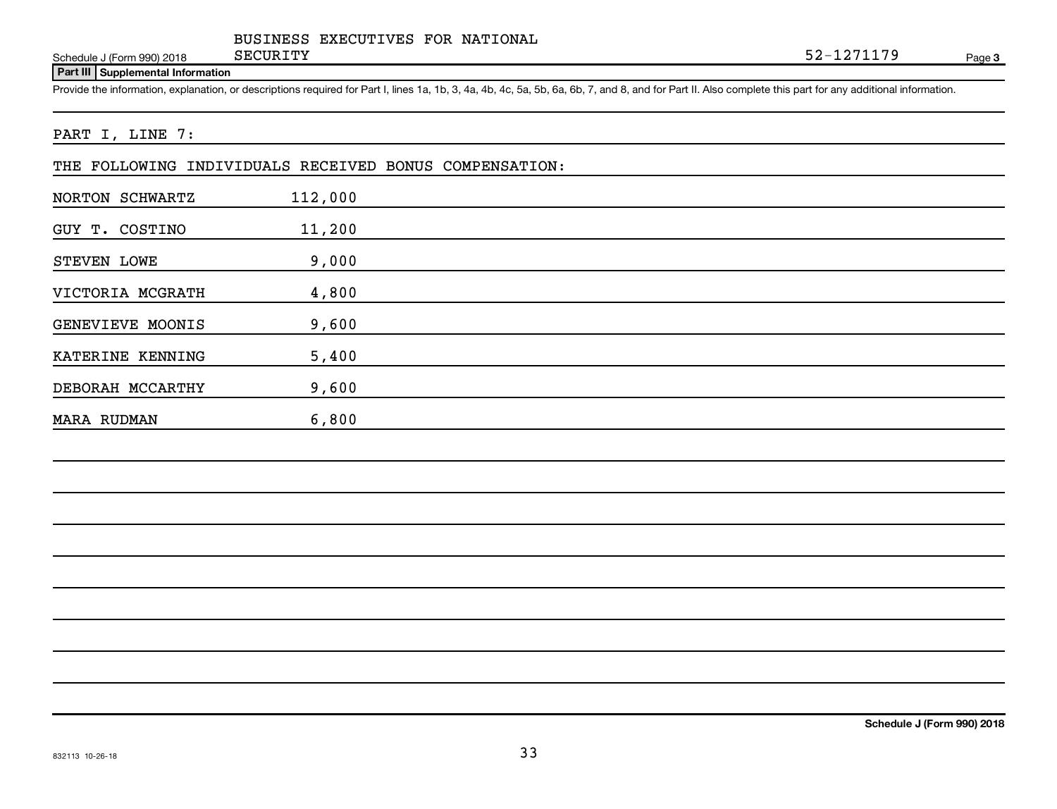Schedule J (Form 990) 2018 SECURITY

Page 3 SECURITY 52-1271179

#### **Part III Supplemental Information**

Provide the information, explanation, or descriptions required for Part I, lines 1a, 1b, 3, 4a, 4b, 4c, 5a, 5b, 6a, 6b, 7, and 8, and for Part II. Also complete this part for any additional information.

#### PART I, LINE 7:

|  |  | THE FOLLOWING INDIVIDUALS RECEIVED BONUS COMPENSATION: |  |
|--|--|--------------------------------------------------------|--|
|  |  |                                                        |  |

| NORTON SCHWARTZ    | 112,000 |  |  |
|--------------------|---------|--|--|
| GUY T. COSTINO     | 11,200  |  |  |
| STEVEN LOWE        | 9,000   |  |  |
| VICTORIA MCGRATH   | 4,800   |  |  |
| GENEVIEVE MOONIS   | 9,600   |  |  |
| KATERINE KENNING   | 5,400   |  |  |
| DEBORAH MCCARTHY   | 9,600   |  |  |
| <b>MARA RUDMAN</b> | 6,800   |  |  |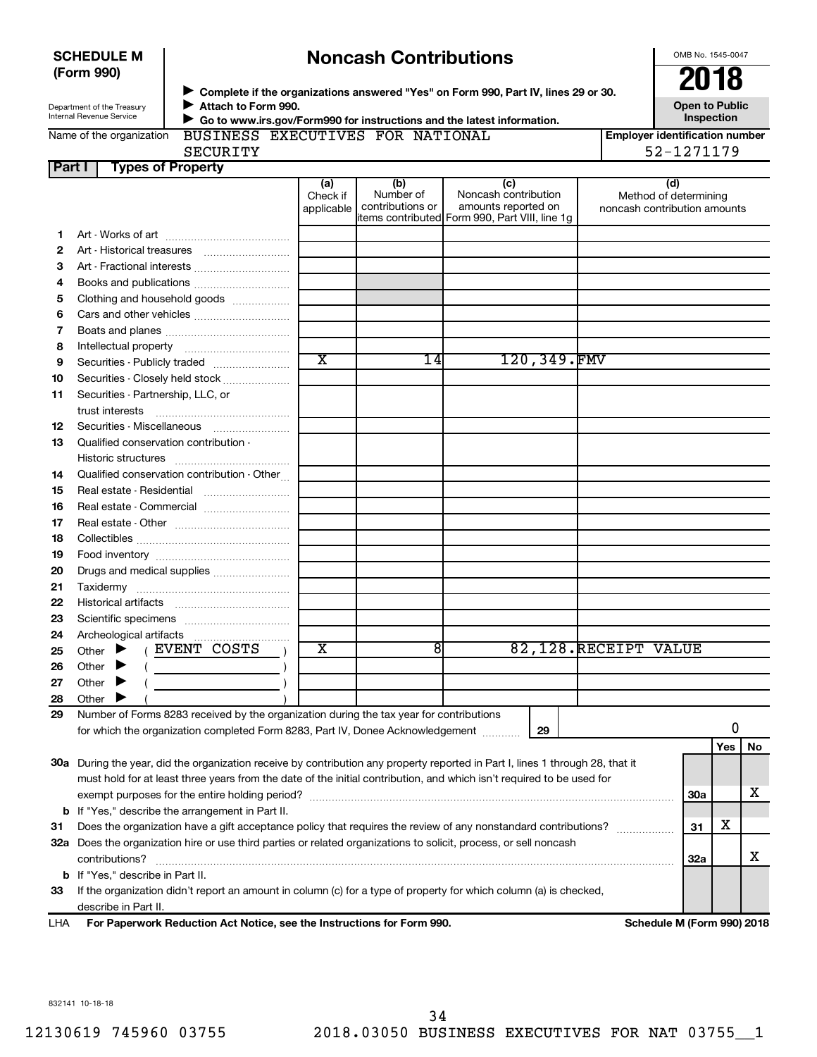| <b>SCHEDULE M</b> |  |
|-------------------|--|
| (Form 990)        |  |

# **Noncash Contributions**

OMB No. 1545-0047

| Department of the Treasury |
|----------------------------|
| Internal Revenue Service   |

◆ Complete if the organizations answered "Yes" on Form 990, Part IV, lines 29 or 30.<br>▶ Complete if the organizations answered "Yes" on Form 990, Part IV, lines 29 or 30. **Attach to Form 990.** J  **Go to www.irs.gov/Form990 for instructions and the latest information.** J

**Open to Public Inspection**

|  | Name of the organization |  |
|--|--------------------------|--|
|  |                          |  |

BUSINESS EXECUTIVES FOR NATIONAL

**Employer identification number**

**Part I Types of Property** SECURITY 52-1271179

|     |                                                                                                                                | (a)<br>Check if         | (b)<br>Number of | (c)<br>Noncash contribution                                            |             | (d)<br>Method of determining |  |     |     |  |
|-----|--------------------------------------------------------------------------------------------------------------------------------|-------------------------|------------------|------------------------------------------------------------------------|-------------|------------------------------|--|-----|-----|--|
|     |                                                                                                                                | applicable              | contributions or | amounts reported on<br>litems contributed Form 990, Part VIII, line 1g |             | noncash contribution amounts |  |     |     |  |
| 1.  |                                                                                                                                |                         |                  |                                                                        |             |                              |  |     |     |  |
| 2   |                                                                                                                                |                         |                  |                                                                        |             |                              |  |     |     |  |
| 3   | Art - Fractional interests                                                                                                     |                         |                  |                                                                        |             |                              |  |     |     |  |
| 4   | Books and publications                                                                                                         |                         |                  |                                                                        |             |                              |  |     |     |  |
| 5   | Clothing and household goods                                                                                                   |                         |                  |                                                                        |             |                              |  |     |     |  |
| 6   |                                                                                                                                |                         |                  |                                                                        |             |                              |  |     |     |  |
| 7   |                                                                                                                                |                         |                  |                                                                        |             |                              |  |     |     |  |
| 8   |                                                                                                                                |                         |                  |                                                                        |             |                              |  |     |     |  |
| 9   | Securities - Publicly traded                                                                                                   | $\overline{\text{x}}$   | 14               |                                                                        | 120,349.FMV |                              |  |     |     |  |
| 10  | Securities - Closely held stock                                                                                                |                         |                  |                                                                        |             |                              |  |     |     |  |
| 11  | Securities - Partnership, LLC, or                                                                                              |                         |                  |                                                                        |             |                              |  |     |     |  |
|     |                                                                                                                                |                         |                  |                                                                        |             |                              |  |     |     |  |
| 12  | Securities Miscellaneous                                                                                                       |                         |                  |                                                                        |             |                              |  |     |     |  |
| 13  | Qualified conservation contribution -                                                                                          |                         |                  |                                                                        |             |                              |  |     |     |  |
|     |                                                                                                                                |                         |                  |                                                                        |             |                              |  |     |     |  |
| 14  | Qualified conservation contribution - Other                                                                                    |                         |                  |                                                                        |             |                              |  |     |     |  |
| 15  | Real estate - Residential                                                                                                      |                         |                  |                                                                        |             |                              |  |     |     |  |
| 16  | Real estate - Commercial                                                                                                       |                         |                  |                                                                        |             |                              |  |     |     |  |
| 17  |                                                                                                                                |                         |                  |                                                                        |             |                              |  |     |     |  |
| 18  |                                                                                                                                |                         |                  |                                                                        |             |                              |  |     |     |  |
| 19  |                                                                                                                                |                         |                  |                                                                        |             |                              |  |     |     |  |
| 20  | Drugs and medical supplies                                                                                                     |                         |                  |                                                                        |             |                              |  |     |     |  |
| 21  |                                                                                                                                |                         |                  |                                                                        |             |                              |  |     |     |  |
| 22  |                                                                                                                                |                         |                  |                                                                        |             |                              |  |     |     |  |
| 23  |                                                                                                                                |                         |                  |                                                                        |             |                              |  |     |     |  |
| 24  |                                                                                                                                |                         |                  |                                                                        |             |                              |  |     |     |  |
| 25  | (EVENT COSTS<br>Other $\blacktriangleright$                                                                                    | $\overline{\mathbf{X}}$ | 8                |                                                                        |             | 82,128.RECEIPT VALUE         |  |     |     |  |
| 26  | $($ $)$<br>Other                                                                                                               |                         |                  |                                                                        |             |                              |  |     |     |  |
| 27  | Other<br>▸                                                                                                                     |                         |                  |                                                                        |             |                              |  |     |     |  |
| 28  | Other                                                                                                                          |                         |                  |                                                                        |             |                              |  |     |     |  |
| 29  | Number of Forms 8283 received by the organization during the tax year for contributions                                        |                         |                  |                                                                        |             |                              |  |     |     |  |
|     | 29<br>for which the organization completed Form 8283, Part IV, Donee Acknowledgement                                           |                         |                  |                                                                        |             |                              |  |     |     |  |
|     |                                                                                                                                |                         |                  |                                                                        |             |                              |  | Yes | No. |  |
|     | 30a During the year, did the organization receive by contribution any property reported in Part I, lines 1 through 28, that it |                         |                  |                                                                        |             |                              |  |     |     |  |
|     | must hold for at least three years from the date of the initial contribution, and which isn't required to be used for          |                         |                  |                                                                        |             |                              |  |     |     |  |
|     |                                                                                                                                |                         |                  |                                                                        |             |                              |  |     |     |  |
|     | <b>b</b> If "Yes," describe the arrangement in Part II.                                                                        |                         |                  |                                                                        |             |                              |  |     |     |  |
| 31  | Does the organization have a gift acceptance policy that requires the review of any nonstandard contributions?                 |                         |                  |                                                                        |             |                              |  |     |     |  |
|     | 32a Does the organization hire or use third parties or related organizations to solicit, process, or sell noncash              |                         |                  |                                                                        |             |                              |  |     |     |  |
|     | 32a                                                                                                                            |                         |                  |                                                                        |             |                              |  |     |     |  |
|     | <b>b</b> If "Yes," describe in Part II.                                                                                        |                         |                  |                                                                        |             |                              |  |     |     |  |
| 33  | If the organization didn't report an amount in column (c) for a type of property for which column (a) is checked,              |                         |                  |                                                                        |             |                              |  |     |     |  |
|     | describe in Part II.                                                                                                           |                         |                  |                                                                        |             |                              |  |     |     |  |
| LHA | For Paperwork Reduction Act Notice, see the Instructions for Form 990.                                                         |                         |                  |                                                                        |             | Schedule M (Form 990) 2018   |  |     |     |  |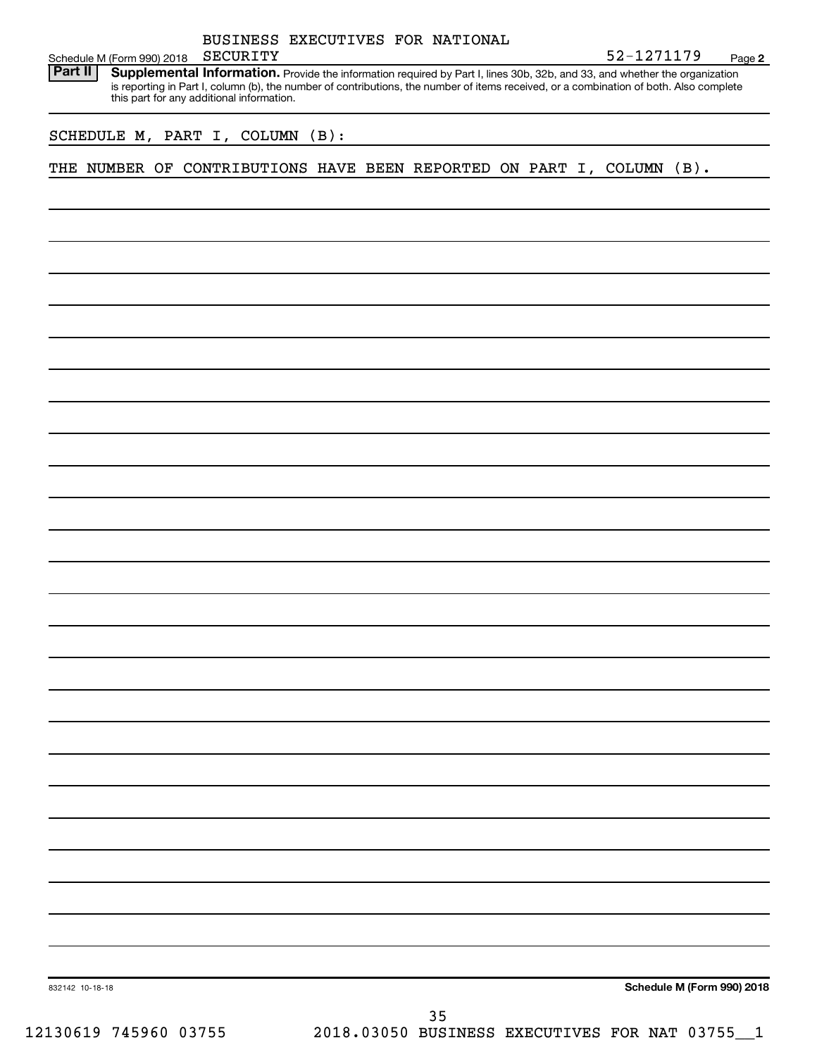|                                       |                                           |  |          |  | BUSINESS EXECUTIVES FOR NATIONAL |  |  |                                                                                                                                                                                                                                                                      |                            |
|---------------------------------------|-------------------------------------------|--|----------|--|----------------------------------|--|--|----------------------------------------------------------------------------------------------------------------------------------------------------------------------------------------------------------------------------------------------------------------------|----------------------------|
| Schedule M (Form 990) 2018<br>Part II |                                           |  | SECURITY |  |                                  |  |  | 52-1271179                                                                                                                                                                                                                                                           | Page 2                     |
|                                       | this part for any additional information. |  |          |  |                                  |  |  | Supplemental Information. Provide the information required by Part I, lines 30b, 32b, and 33, and whether the organization<br>is reporting in Part I, column (b), the number of contributions, the number of items received, or a combination of both. Also complete |                            |
| SCHEDULE M, PART I, COLUMN (B):       |                                           |  |          |  |                                  |  |  |                                                                                                                                                                                                                                                                      |                            |
|                                       |                                           |  |          |  |                                  |  |  | THE NUMBER OF CONTRIBUTIONS HAVE BEEN REPORTED ON PART I, COLUMN (B).                                                                                                                                                                                                |                            |
|                                       |                                           |  |          |  |                                  |  |  |                                                                                                                                                                                                                                                                      |                            |
|                                       |                                           |  |          |  |                                  |  |  |                                                                                                                                                                                                                                                                      |                            |
|                                       |                                           |  |          |  |                                  |  |  |                                                                                                                                                                                                                                                                      |                            |
|                                       |                                           |  |          |  |                                  |  |  |                                                                                                                                                                                                                                                                      |                            |
|                                       |                                           |  |          |  |                                  |  |  |                                                                                                                                                                                                                                                                      |                            |
|                                       |                                           |  |          |  |                                  |  |  |                                                                                                                                                                                                                                                                      |                            |
|                                       |                                           |  |          |  |                                  |  |  |                                                                                                                                                                                                                                                                      |                            |
|                                       |                                           |  |          |  |                                  |  |  |                                                                                                                                                                                                                                                                      |                            |
|                                       |                                           |  |          |  |                                  |  |  |                                                                                                                                                                                                                                                                      |                            |
|                                       |                                           |  |          |  |                                  |  |  |                                                                                                                                                                                                                                                                      |                            |
|                                       |                                           |  |          |  |                                  |  |  |                                                                                                                                                                                                                                                                      |                            |
|                                       |                                           |  |          |  |                                  |  |  |                                                                                                                                                                                                                                                                      |                            |
|                                       |                                           |  |          |  |                                  |  |  |                                                                                                                                                                                                                                                                      |                            |
|                                       |                                           |  |          |  |                                  |  |  |                                                                                                                                                                                                                                                                      |                            |
|                                       |                                           |  |          |  |                                  |  |  |                                                                                                                                                                                                                                                                      |                            |
|                                       |                                           |  |          |  |                                  |  |  |                                                                                                                                                                                                                                                                      |                            |
|                                       |                                           |  |          |  |                                  |  |  |                                                                                                                                                                                                                                                                      |                            |
|                                       |                                           |  |          |  |                                  |  |  |                                                                                                                                                                                                                                                                      |                            |
|                                       |                                           |  |          |  |                                  |  |  |                                                                                                                                                                                                                                                                      |                            |
|                                       |                                           |  |          |  |                                  |  |  |                                                                                                                                                                                                                                                                      |                            |
|                                       |                                           |  |          |  |                                  |  |  |                                                                                                                                                                                                                                                                      |                            |
|                                       |                                           |  |          |  |                                  |  |  |                                                                                                                                                                                                                                                                      |                            |
|                                       |                                           |  |          |  |                                  |  |  |                                                                                                                                                                                                                                                                      |                            |
|                                       |                                           |  |          |  |                                  |  |  |                                                                                                                                                                                                                                                                      |                            |
|                                       |                                           |  |          |  |                                  |  |  |                                                                                                                                                                                                                                                                      |                            |
|                                       |                                           |  |          |  |                                  |  |  |                                                                                                                                                                                                                                                                      |                            |
| 832142 10-18-18                       |                                           |  |          |  |                                  |  |  |                                                                                                                                                                                                                                                                      | Schedule M (Form 990) 2018 |

12130619 745960 03755 2018.03050 BUSINESS EXECUTIVES FOR NAT 03755\_\_1 35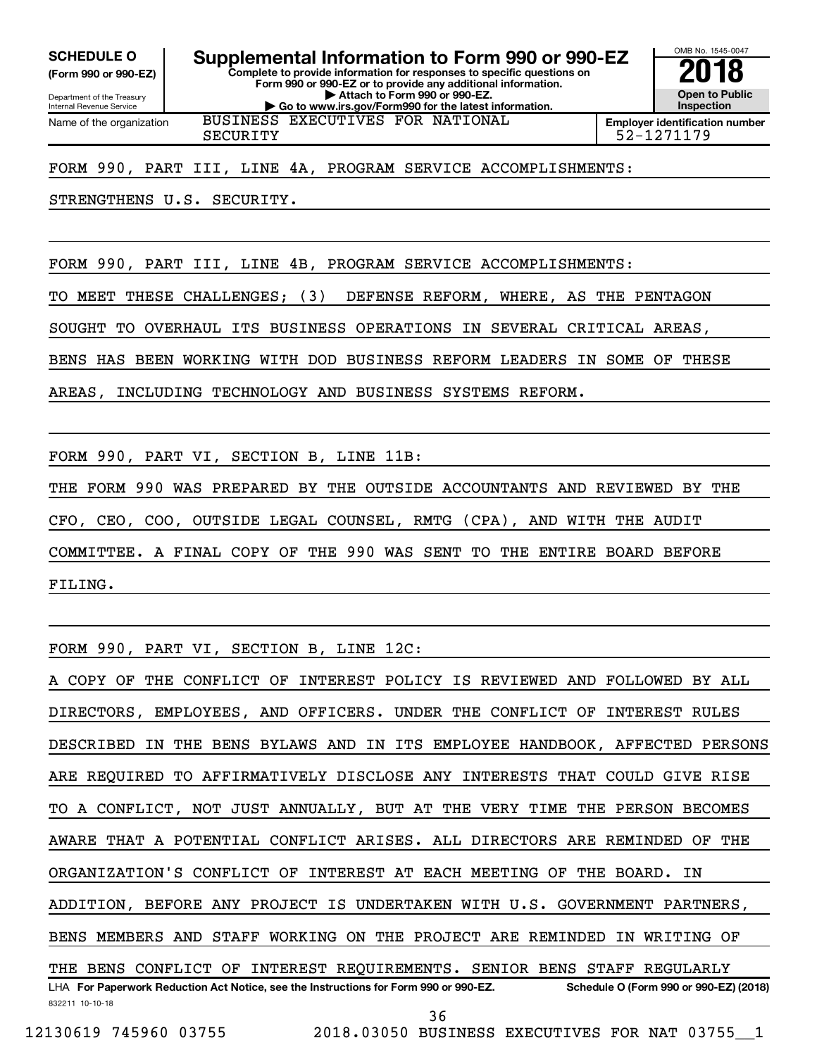**(Form 990 or 990-EZ)**

**Complete to provide information for responses to specific questions on Form 990 or 990-EZ or to provide any additional information. | Attach to Form 990 or 990-EZ. | Go to www.irs.gov/Form990 for the latest information.** SCHEDULE O **Supplemental Information to Form 990 or 990-EZ 2018**<br>(Form 990 or 990-EZ) Complete to provide information for responses to specific questions on

Department of the Treasury Internal Revenue Service Name of the organization

BUSINESS EXECUTIVES FOR NATIONAL

SECURITY 52-1271179

OMB No. 1545-0047

**Open to Public Inspection Employer identification number**

FORM 990, PART III, LINE 4A, PROGRAM SERVICE ACCOMPLISHMENTS:

STRENGTHENS U.S. SECURITY.

FORM 990, PART III, LINE 4B, PROGRAM SERVICE ACCOMPLISHMENTS:

TO MEET THESE CHALLENGES; (3) DEFENSE REFORM, WHERE, AS THE PENTAGON

SOUGHT TO OVERHAUL ITS BUSINESS OPERATIONS IN SEVERAL CRITICAL AREAS,

BENS HAS BEEN WORKING WITH DOD BUSINESS REFORM LEADERS IN SOME OF THESE

AREAS, INCLUDING TECHNOLOGY AND BUSINESS SYSTEMS REFORM.

FORM 990, PART VI, SECTION B, LINE 11B:

THE FORM 990 WAS PREPARED BY THE OUTSIDE ACCOUNTANTS AND REVIEWED BY THE CFO, CEO, COO, OUTSIDE LEGAL COUNSEL, RMTG (CPA), AND WITH THE AUDIT COMMITTEE. A FINAL COPY OF THE 990 WAS SENT TO THE ENTIRE BOARD BEFORE FILING.

FORM 990, PART VI, SECTION B, LINE 12C:

832211 10-10-18 LHA For Paperwork Reduction Act Notice, see the Instructions for Form 990 or 990-EZ. Schedule O (Form 990 or 990-EZ) (2018) COPY OF THE CONFLICT OF INTEREST POLICY IS REVIEWED AND FOLLOWED BY ALL DIRECTORS, EMPLOYEES, AND OFFICERS. UNDER THE CONFLICT OF INTEREST RULES DESCRIBED IN THE BENS BYLAWS AND IN ITS EMPLOYEE HANDBOOK, AFFECTED PERSONS ARE REQUIRED TO AFFIRMATIVELY DISCLOSE ANY INTERESTS THAT COULD GIVE RISE TO A CONFLICT, NOT JUST ANNUALLY, BUT AT THE VERY TIME THE PERSON BECOMES AWARE THAT A POTENTIAL CONFLICT ARISES. ALL DIRECTORS ARE REMINDED OF THE ORGANIZATION'S CONFLICT OF INTEREST AT EACH MEETING OF THE BOARD. IN ADDITION, BEFORE ANY PROJECT IS UNDERTAKEN WITH U.S. GOVERNMENT PARTNERS, BENS MEMBERS AND STAFF WORKING ON THE PROJECT ARE REMINDED IN WRITING OF THE BENS CONFLICT OF INTEREST REQUIREMENTS. SENIOR BENS STAFF REGULARLY 36